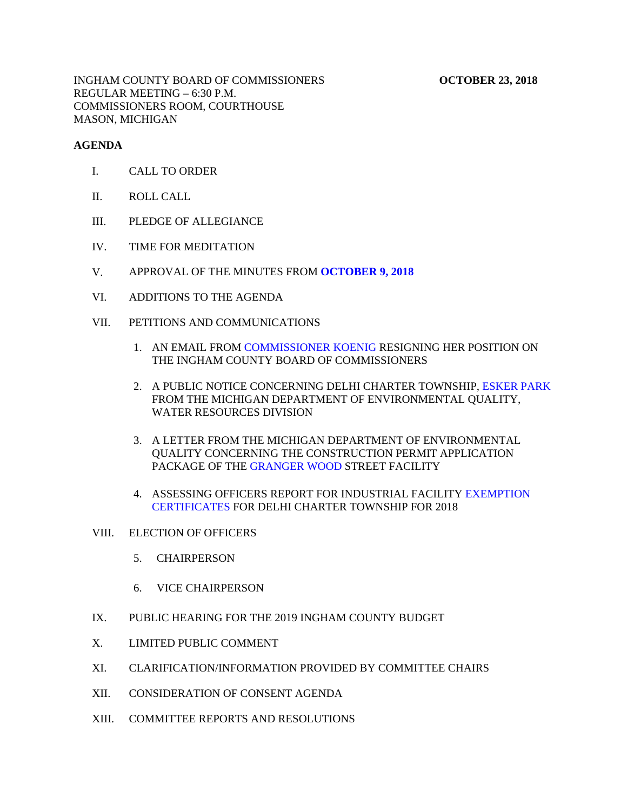#### **AGENDA**

- I. CALL TO ORDER
- II. ROLL CALL
- III. PLEDGE OF ALLEGIANCE
- IV. TIME FOR MEDITATION
- V. APPROVAL OF THE MINUTES FROM **[OCTOBER 9, 2018](#page-4-0)**
- VI. ADDITIONS TO THE AGENDA
- VII. PETITIONS AND COMMUNICATIONS
	- 1. AN EMAIL FROM COMMISSIONER KOENIG RESIGNING HER POSITION ON THE INGHAM [COUNTY BOARD OF COMMISSIONE](#page-55-0)RS
	- 2. A PUBLIC NOTICE CONCERNING DELHI CHARTER TOWN[SHIP, ESKER PARK](#page-56-0) FROM THE MICHIGAN DEPARTMENT OF ENVIRONMENTAL QUALITY, WATER RESOURCES DIVISION
	- 3. A LETTER FROM THE MICHIGAN DEPARTMENT OF ENVIRONMENTAL QUALITY CON[CERNING THE CONSTRUC](#page-57-0)TION PERMIT APPLICATION PACKAGE OF THE GRANGER WOOD STREET FACILITY
	- 4. ASSESSING OFFICERS REPORT FOR INDUSTRIAL FACILITY EXEMPTION [CERTIFICATES FOR DELHI CHARTER TOWNSHIP FOR 2018](#page-60-0)

#### VIII. ELECTION OF OFFICERS

- 5. CHAIRPERSON
- 6. VICE CHAIRPERSON
- IX. PUBLIC HEARING FOR THE 2019 INGHAM COUNTY BUDGET
- X. LIMITED PUBLIC COMMENT
- XI. CLARIFICATION/INFORMATION PROVIDED BY COMMITTEE CHAIRS
- XII. CONSIDERATION OF CONSENT AGENDA
- XIII. COMMITTEE REPORTS AND RESOLUTIONS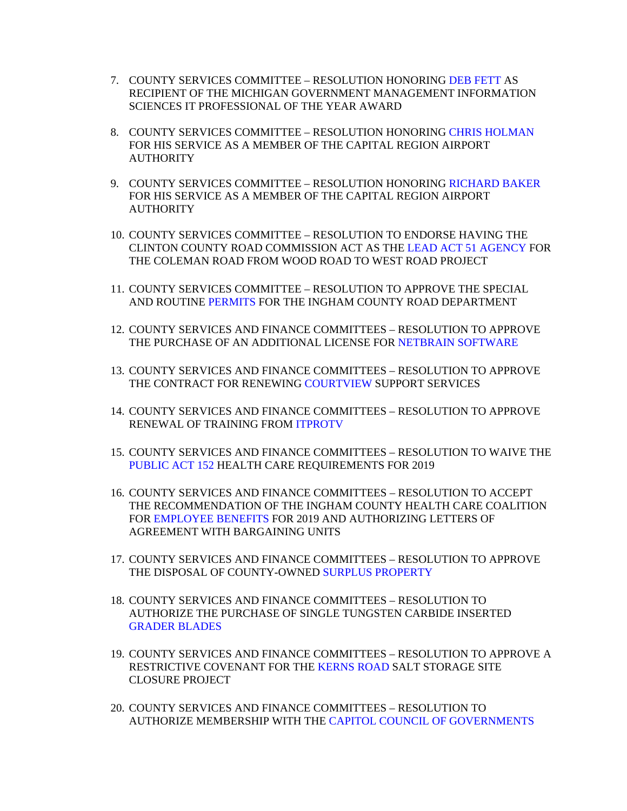- 7. COUNTY SERVICES COMMITTEE RESOLUTION HONORING DEB FETT AS RECIPIENT OF THE MICHIGAN GOVERNMENT MANAG[EMENT INFORMATION](#page-64-0) SCIENCES IT PROFESSIONAL OF THE YEAR AWARD
- 8. COUNTY SERVICES COMMITTEE RESOLUTION HONORI[NG CHRIS HOLMAN](#page-65-0) FOR HIS SERVICE AS A MEMBER OF THE CAPITAL REGION AIRPORT **AUTHORITY**
- 9. COUNTY SERVICES COMMITTEE RESOLUTION HON[ORING RICHARD BAKER](#page-66-0) FOR HIS SERVICE AS A MEMBER OF THE CAPITAL REGION AIRPORT AUTHORITY
- 10. COUNTY SERVICES COMMITTEE RESOLUTION TO ENDORSE HAVING THE CLINTON COUNTY ROAD COMMISSION ACT AS [THE LEAD ACT 51 AGENCY FOR](#page-67-0) THE COLEMAN ROAD FROM WOOD ROAD TO WEST ROAD PROJECT
- 11. COUNTY SERVICES COMMITTEE RESOLUTION TO APPROVE THE SPECIAL AND ROUTI[NE PERMITS FOR T](#page-68-0)HE INGHAM COUNTY ROAD DEPARTMENT
- 12. COUNTY SERVICES AND FINANCE COMMITTEES RESOLUTION TO APPROVE THE PURCHASE OF AN ADDITIONAL LICENSE F[OR NETBRAIN SOFTWARE](#page-70-0)
- 13. COUNTY SERVICES AND FINANCE COMMITTEES RESOLUTION TO APPROVE THE CONTRACT FOR RENE[WING COURTVIEW SUPPOR](#page-71-0)T SERVICES
- 14. COUNTY SERVICES AND FINANCE COMMITTEES RESOLUTION TO APPROVE RENEWAL OF TRAINING F[ROM ITPROTV](#page-72-0)
- 15. COUNTY SERVICES AND FINANCE COMMITTEES RESOLUTION TO WAIVE THE [PUBLIC ACT 152 HEALT](#page-73-0)H CARE REQUIREMENTS FOR 2019
- 16. COUNTY SERVICES AND FINANCE COMMITTEES RESOLUTION TO ACCEPT THE RECOMMENDATION OF THE INGHAM COUNTY HEALTH CARE COALITION F[OR EMPLOYEE BENEFITS FOR 2019](#page-74-0) AND AUTHORIZING LETTERS OF AGREEMENT WITH BARGAINING UNITS
- 17. COUNTY SERVICES AND FINANCE COMMITTEES RESOLUTION TO APPROVE THE DISPOSAL OF COUNTY-OWN[ED SURPLUS PROPERTY](#page-75-0)
- 18. COUNTY SERVICES AND FINANCE COMMITTEES RESOLUTION TO AUTHORIZE THE PURCHASE OF SINGLE TUNGSTEN CARBIDE INSERTED [GRADER BLADES](#page-84-0)
- 19. COUNTY SERVICES AND FINAN[CE COMMITTEES RESO](#page-85-0)LUTION TO APPROVE A RESTRICTIVE COVENANT FOR THE KERNS ROAD SALT STORAGE SITE CLOSURE PROJECT
- 20. COUNTY SERVICES AND FINANCE COMMITTEES RESOLUTION TO AUTHORIZE MEMBERSHIP WITH [THE CAPITOL COUNCIL OF GOVERNMENTS](#page-87-0)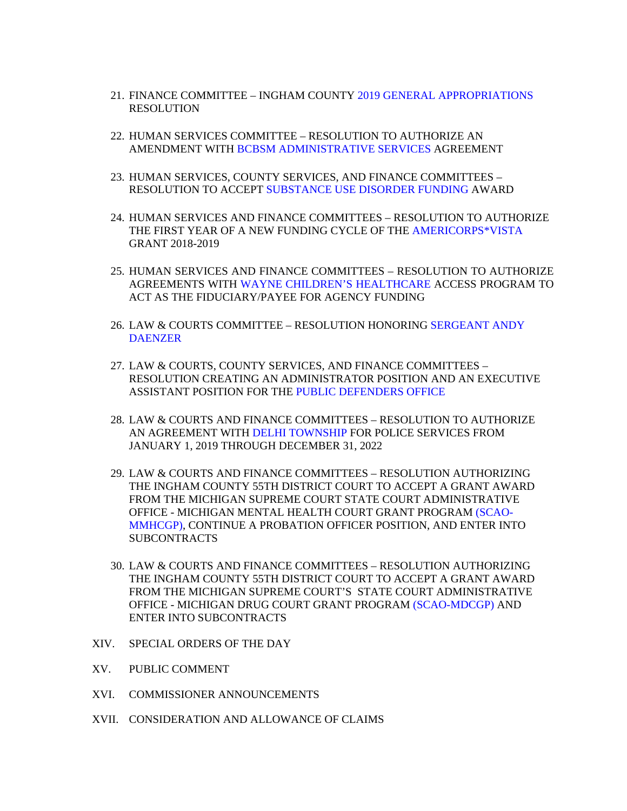- 21. FINANCE COMMITTEE INGHAM COU[NTY 2019 GENERAL APPROPRIATIONS](#page-88-0) RESOLUTION
- 22. HUMAN SERVICES COMMITTEE RESOLUTION TO AUTHORIZE AN AMENDMENT WIT[H BCBSM ADMINISTRATIVE SERVICES AGREE](#page-91-0)MENT
- 23. HUMAN SERVICES, COUNTY SERVICES, AND FINANCE COMMITTEES RESOLUTION TO ACCEP[T SUBSTANCE USE DISORDER FUNDING AWAR](#page-93-0)D
- 24. HUMAN SERVICES AND FINANCE COMMITTEES RESOLUTION TO AUTHORIZE THE FIRST YEAR OF A NEW FUNDING CYC[LE OF](#page-95-0) [THE AMERICORPS\\*VISTA](#page-97-0) GRANT 2018-2019
- 25. HUMAN SERVICES AND FINANCE COMMITTEES RESOLUTION TO AUTHORIZE AGREEMENTS WI[TH WAYNE CHILDREN'S HEALTHCARE ACCE](#page-97-0)SS PROGRAM TO ACT AS THE FIDUCIARY/PAYEE FOR AGENCY FUNDING
- 26. [LAW & COURTS COMMITTEE RESOLUTION HONORING SERGEANT ANDY](#page-99-0) DAENZER
- 27. LAW & COURTS, COUNTY SERVICES, AND FINANCE COMMITTEES RESOLUTION CREATING AN ADMINISTRATOR POSITION AND AN EXECUTIVE ASSISTANT POSITION FOR [THE PUBLIC DEFENDERS OFFICE](#page-100-0)
- 28. LAW & COURTS AND FINANCE COMMITTEES RESOLUTION TO AUTHORIZE AN AGREEMENT WI[TH DELHI TOWNSHIP FOR POL](#page-102-0)ICE SERVICES FROM JANUARY 1, 2019 THROUGH DECEMBER 31, 2022
- 29. LAW & COURTS AND FINANCE COMMITTEES RESOLUTION AUTHORIZING THE INGHAM COUNTY 55TH DISTRICT COURT TO ACCEPT A GRANT AWARD FROM THE MICHIGAN SUPREME COURT STATE COURT ADMINISTRATIVE OFFICE - MICHIGAN MENTAL HEALTH COURT GRANT PROGRAM (SCAO-[MMHCGP\), CONTINUE A PROBATION OFFICER POSITION, AND ENTER INTO](#page-104-0) **SUBCONTRACTS**
- 30. LAW & COURTS AND FINANCE COMMITTEES RESOLUTION AUTHORIZING THE INGHAM COUNTY 55TH DISTRICT COURT TO ACCEPT A GRANT AWARD FROM THE MICHIGAN SUPREME COURT'S STATE [COURT ADMINISTRATIV](#page-106-0)E OFFICE - MICHIGAN DRUG COURT GRANT PROGRAM (SCAO-MDCGP) AND ENTER INTO SUBCONTRACTS
- XIV. SPECIAL ORDERS OF THE DAY
- XV. PUBLIC COMMENT
- XVI. COMMISSIONER ANNOUNCEMENTS
- XVII. CONSIDERATION AND ALLOWANCE OF CLAIMS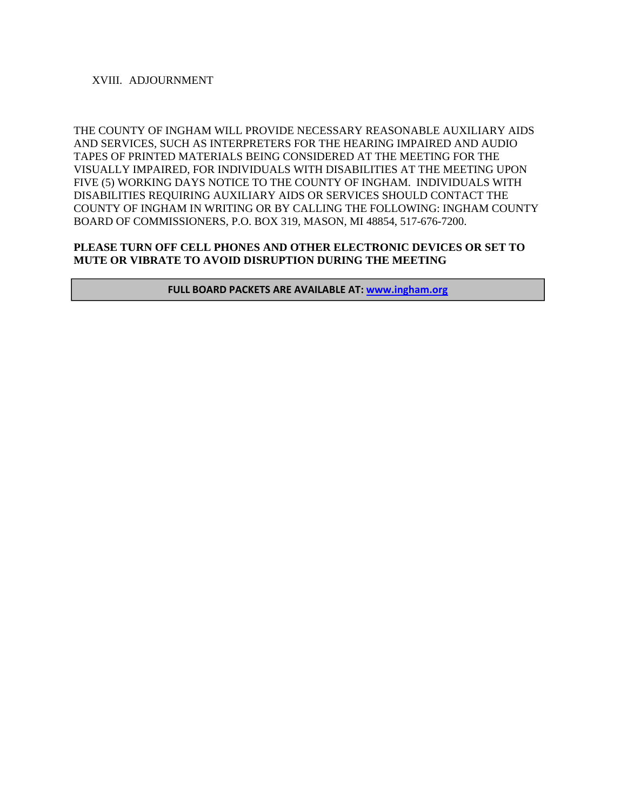### XVIII. ADJOURNMENT

THE COUNTY OF INGHAM WILL PROVIDE NECESSARY REASONABLE AUXILIARY AIDS AND SERVICES, SUCH AS INTERPRETERS FOR THE HEARING IMPAIRED AND AUDIO TAPES OF PRINTED MATERIALS BEING CONSIDERED AT THE MEETING FOR THE VISUALLY IMPAIRED, FOR INDIVIDUALS WITH DISABILITIES AT THE MEETING UPON FIVE (5) WORKING DAYS NOTICE TO THE COUNTY OF INGHAM. INDIVIDUALS WITH DISABILITIES REQUIRING AUXILIARY AIDS OR SERVICES SHOULD CONTACT THE COUNTY OF INGHAM IN WRITING OR BY CALLING THE FOLLOWING: INGHAM COUNTY BOARD OF COMMISSIONERS, P.O. BOX 319, MASON, MI 48854, 517-676-7200.

### **PLEASE TURN OFF CELL PHONES AND OTHER ELECTRONIC DEVICES OR SET TO MUTE OR VIBRATE TO AVOID DISRUPTION DURING THE MEETING**

**FULL BOARD PACKETS ARE AVAILABLE AT: www.ingham.org**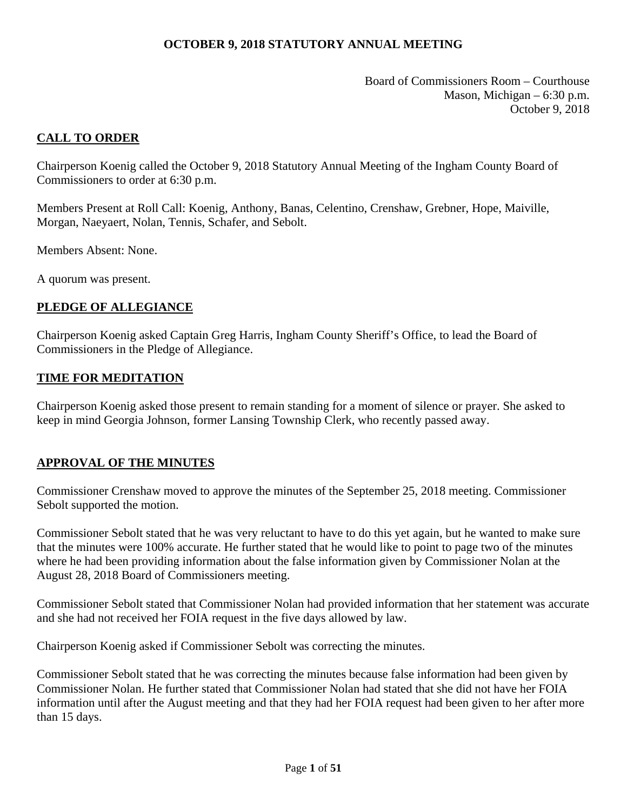Board of Commissioners Room – Courthouse Mason, Michigan – 6:30 p.m. October 9, 2018

# <span id="page-4-0"></span>**CALL TO ORDER**

Chairperson Koenig called the October 9, 2018 Statutory Annual Meeting of the Ingham County Board of Commissioners to order at 6:30 p.m.

Members Present at Roll Call: Koenig, Anthony, Banas, Celentino, Crenshaw, Grebner, Hope, Maiville, Morgan, Naeyaert, Nolan, Tennis, Schafer, and Sebolt.

Members Absent: None.

A quorum was present.

# **PLEDGE OF ALLEGIANCE**

Chairperson Koenig asked Captain Greg Harris, Ingham County Sheriff's Office, to lead the Board of Commissioners in the Pledge of Allegiance.

### **TIME FOR MEDITATION**

Chairperson Koenig asked those present to remain standing for a moment of silence or prayer. She asked to keep in mind Georgia Johnson, former Lansing Township Clerk, who recently passed away.

### **APPROVAL OF THE MINUTES**

Commissioner Crenshaw moved to approve the minutes of the September 25, 2018 meeting. Commissioner Sebolt supported the motion.

Commissioner Sebolt stated that he was very reluctant to have to do this yet again, but he wanted to make sure that the minutes were 100% accurate. He further stated that he would like to point to page two of the minutes where he had been providing information about the false information given by Commissioner Nolan at the August 28, 2018 Board of Commissioners meeting.

Commissioner Sebolt stated that Commissioner Nolan had provided information that her statement was accurate and she had not received her FOIA request in the five days allowed by law.

Chairperson Koenig asked if Commissioner Sebolt was correcting the minutes.

Commissioner Sebolt stated that he was correcting the minutes because false information had been given by Commissioner Nolan. He further stated that Commissioner Nolan had stated that she did not have her FOIA information until after the August meeting and that they had her FOIA request had been given to her after more than 15 days.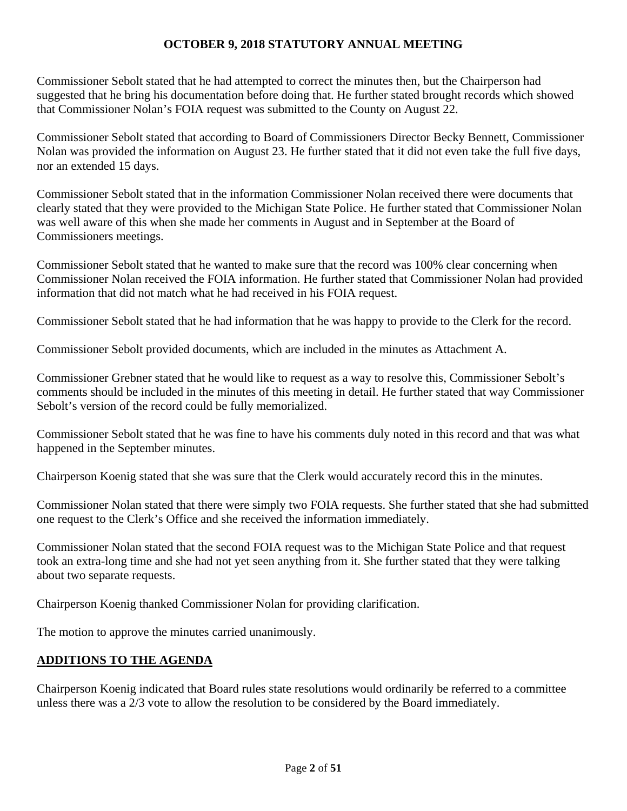Commissioner Sebolt stated that he had attempted to correct the minutes then, but the Chairperson had suggested that he bring his documentation before doing that. He further stated brought records which showed that Commissioner Nolan's FOIA request was submitted to the County on August 22.

Commissioner Sebolt stated that according to Board of Commissioners Director Becky Bennett, Commissioner Nolan was provided the information on August 23. He further stated that it did not even take the full five days, nor an extended 15 days.

Commissioner Sebolt stated that in the information Commissioner Nolan received there were documents that clearly stated that they were provided to the Michigan State Police. He further stated that Commissioner Nolan was well aware of this when she made her comments in August and in September at the Board of Commissioners meetings.

Commissioner Sebolt stated that he wanted to make sure that the record was 100% clear concerning when Commissioner Nolan received the FOIA information. He further stated that Commissioner Nolan had provided information that did not match what he had received in his FOIA request.

Commissioner Sebolt stated that he had information that he was happy to provide to the Clerk for the record.

Commissioner Sebolt provided documents, which are included in the minutes as Attachment A.

Commissioner Grebner stated that he would like to request as a way to resolve this, Commissioner Sebolt's comments should be included in the minutes of this meeting in detail. He further stated that way Commissioner Sebolt's version of the record could be fully memorialized.

Commissioner Sebolt stated that he was fine to have his comments duly noted in this record and that was what happened in the September minutes.

Chairperson Koenig stated that she was sure that the Clerk would accurately record this in the minutes.

Commissioner Nolan stated that there were simply two FOIA requests. She further stated that she had submitted one request to the Clerk's Office and she received the information immediately.

Commissioner Nolan stated that the second FOIA request was to the Michigan State Police and that request took an extra-long time and she had not yet seen anything from it. She further stated that they were talking about two separate requests.

Chairperson Koenig thanked Commissioner Nolan for providing clarification.

The motion to approve the minutes carried unanimously.

# **ADDITIONS TO THE AGENDA**

Chairperson Koenig indicated that Board rules state resolutions would ordinarily be referred to a committee unless there was a 2/3 vote to allow the resolution to be considered by the Board immediately.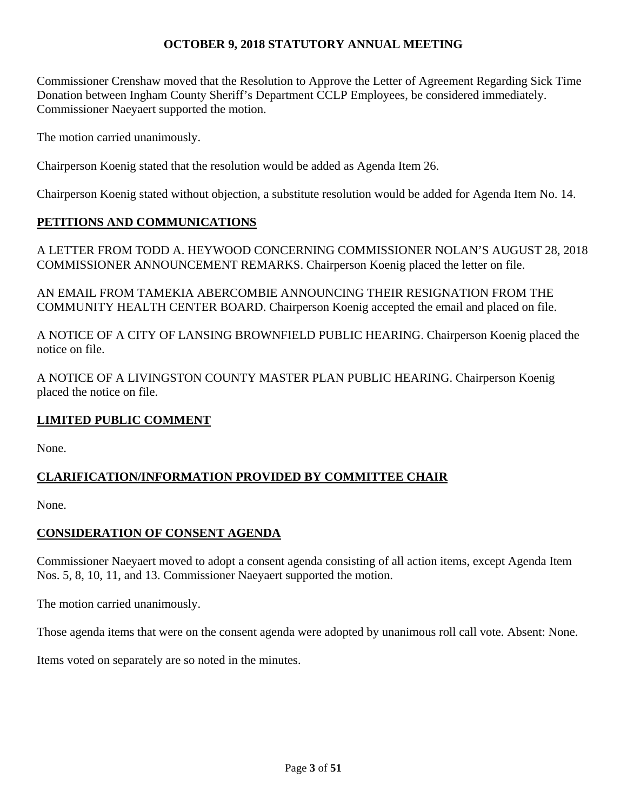Commissioner Crenshaw moved that the Resolution to Approve the Letter of Agreement Regarding Sick Time Donation between Ingham County Sheriff's Department CCLP Employees, be considered immediately. Commissioner Naeyaert supported the motion.

The motion carried unanimously.

Chairperson Koenig stated that the resolution would be added as Agenda Item 26.

Chairperson Koenig stated without objection, a substitute resolution would be added for Agenda Item No. 14.

# **PETITIONS AND COMMUNICATIONS**

A LETTER FROM TODD A. HEYWOOD CONCERNING COMMISSIONER NOLAN'S AUGUST 28, 2018 COMMISSIONER ANNOUNCEMENT REMARKS. Chairperson Koenig placed the letter on file.

AN EMAIL FROM TAMEKIA ABERCOMBIE ANNOUNCING THEIR RESIGNATION FROM THE COMMUNITY HEALTH CENTER BOARD. Chairperson Koenig accepted the email and placed on file.

A NOTICE OF A CITY OF LANSING BROWNFIELD PUBLIC HEARING. Chairperson Koenig placed the notice on file.

A NOTICE OF A LIVINGSTON COUNTY MASTER PLAN PUBLIC HEARING. Chairperson Koenig placed the notice on file.

# **LIMITED PUBLIC COMMENT**

None.

# **CLARIFICATION/INFORMATION PROVIDED BY COMMITTEE CHAIR**

None.

# **CONSIDERATION OF CONSENT AGENDA**

Commissioner Naeyaert moved to adopt a consent agenda consisting of all action items, except Agenda Item Nos. 5, 8, 10, 11, and 13. Commissioner Naeyaert supported the motion.

The motion carried unanimously.

Those agenda items that were on the consent agenda were adopted by unanimous roll call vote. Absent: None.

Items voted on separately are so noted in the minutes.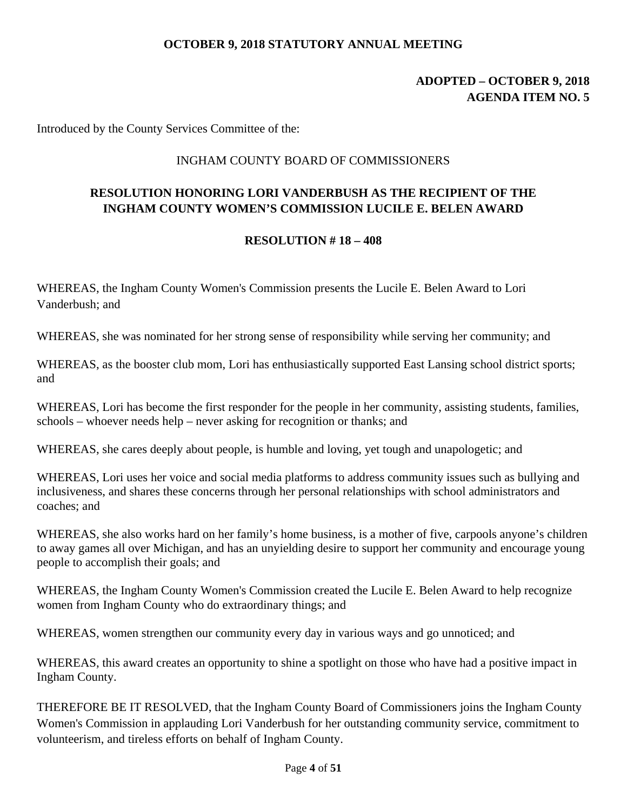# **ADOPTED – OCTOBER 9, 2018 AGENDA ITEM NO. 5**

Introduced by the County Services Committee of the:

# INGHAM COUNTY BOARD OF COMMISSIONERS

# **RESOLUTION HONORING LORI VANDERBUSH AS THE RECIPIENT OF THE INGHAM COUNTY WOMEN'S COMMISSION LUCILE E. BELEN AWARD**

### **RESOLUTION # 18 – 408**

WHEREAS, the Ingham County Women's Commission presents the Lucile E. Belen Award to Lori Vanderbush; and

WHEREAS, she was nominated for her strong sense of responsibility while serving her community; and

WHEREAS, as the booster club mom, Lori has enthusiastically supported East Lansing school district sports; and

WHEREAS, Lori has become the first responder for the people in her community, assisting students, families, schools – whoever needs help – never asking for recognition or thanks; and

WHEREAS, she cares deeply about people, is humble and loving, yet tough and unapologetic; and

WHEREAS, Lori uses her voice and social media platforms to address community issues such as bullying and inclusiveness, and shares these concerns through her personal relationships with school administrators and coaches; and

WHEREAS, she also works hard on her family's home business, is a mother of five, carpools anyone's children to away games all over Michigan, and has an unyielding desire to support her community and encourage young people to accomplish their goals; and

WHEREAS, the Ingham County Women's Commission created the Lucile E. Belen Award to help recognize women from Ingham County who do extraordinary things; and

WHEREAS, women strengthen our community every day in various ways and go unnoticed; and

WHEREAS, this award creates an opportunity to shine a spotlight on those who have had a positive impact in Ingham County.

THEREFORE BE IT RESOLVED, that the Ingham County Board of Commissioners joins the Ingham County Women's Commission in applauding Lori Vanderbush for her outstanding community service, commitment to volunteerism, and tireless efforts on behalf of Ingham County.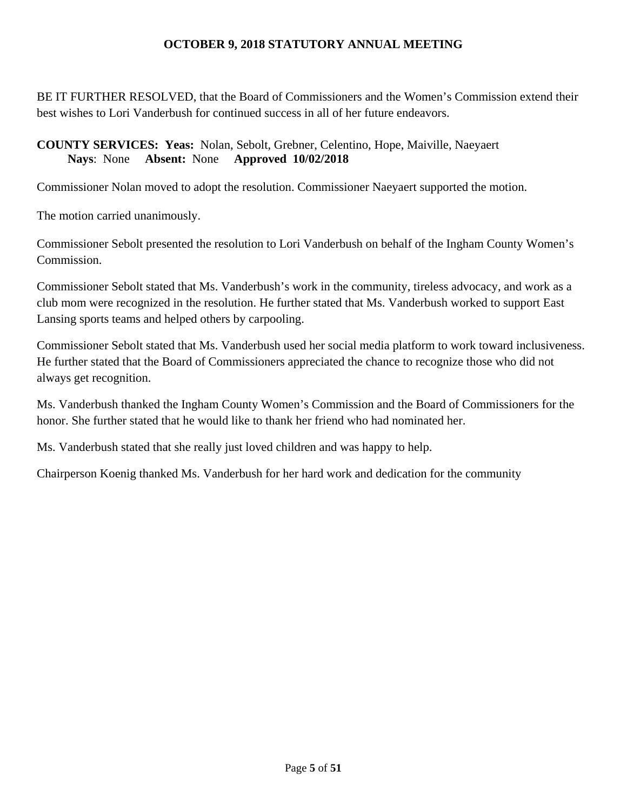BE IT FURTHER RESOLVED, that the Board of Commissioners and the Women's Commission extend their best wishes to Lori Vanderbush for continued success in all of her future endeavors.

# **COUNTY SERVICES: Yeas:** Nolan, Sebolt, Grebner, Celentino, Hope, Maiville, Naeyaert **Nays**: None **Absent:** None **Approved 10/02/2018**

Commissioner Nolan moved to adopt the resolution. Commissioner Naeyaert supported the motion.

The motion carried unanimously.

Commissioner Sebolt presented the resolution to Lori Vanderbush on behalf of the Ingham County Women's Commission.

Commissioner Sebolt stated that Ms. Vanderbush's work in the community, tireless advocacy, and work as a club mom were recognized in the resolution. He further stated that Ms. Vanderbush worked to support East Lansing sports teams and helped others by carpooling.

Commissioner Sebolt stated that Ms. Vanderbush used her social media platform to work toward inclusiveness. He further stated that the Board of Commissioners appreciated the chance to recognize those who did not always get recognition.

Ms. Vanderbush thanked the Ingham County Women's Commission and the Board of Commissioners for the honor. She further stated that he would like to thank her friend who had nominated her.

Ms. Vanderbush stated that she really just loved children and was happy to help.

Chairperson Koenig thanked Ms. Vanderbush for her hard work and dedication for the community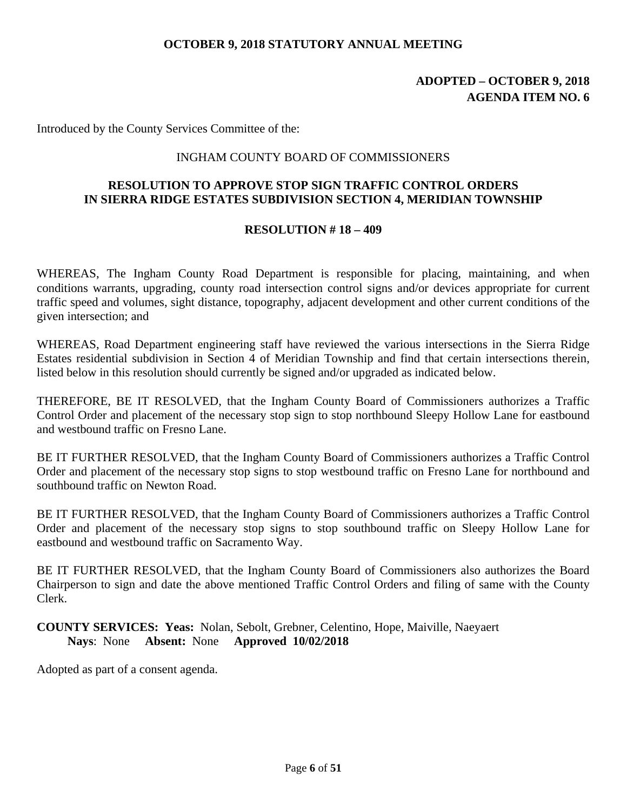# **ADOPTED – OCTOBER 9, 2018 AGENDA ITEM NO. 6**

Introduced by the County Services Committee of the:

### INGHAM COUNTY BOARD OF COMMISSIONERS

# **RESOLUTION TO APPROVE STOP SIGN TRAFFIC CONTROL ORDERS IN SIERRA RIDGE ESTATES SUBDIVISION SECTION 4, MERIDIAN TOWNSHIP**

### **RESOLUTION # 18 – 409**

WHEREAS, The Ingham County Road Department is responsible for placing, maintaining, and when conditions warrants, upgrading, county road intersection control signs and/or devices appropriate for current traffic speed and volumes, sight distance, topography, adjacent development and other current conditions of the given intersection; and

WHEREAS, Road Department engineering staff have reviewed the various intersections in the Sierra Ridge Estates residential subdivision in Section 4 of Meridian Township and find that certain intersections therein, listed below in this resolution should currently be signed and/or upgraded as indicated below.

THEREFORE, BE IT RESOLVED, that the Ingham County Board of Commissioners authorizes a Traffic Control Order and placement of the necessary stop sign to stop northbound Sleepy Hollow Lane for eastbound and westbound traffic on Fresno Lane.

BE IT FURTHER RESOLVED, that the Ingham County Board of Commissioners authorizes a Traffic Control Order and placement of the necessary stop signs to stop westbound traffic on Fresno Lane for northbound and southbound traffic on Newton Road.

BE IT FURTHER RESOLVED, that the Ingham County Board of Commissioners authorizes a Traffic Control Order and placement of the necessary stop signs to stop southbound traffic on Sleepy Hollow Lane for eastbound and westbound traffic on Sacramento Way.

BE IT FURTHER RESOLVED, that the Ingham County Board of Commissioners also authorizes the Board Chairperson to sign and date the above mentioned Traffic Control Orders and filing of same with the County Clerk.

**COUNTY SERVICES: Yeas:** Nolan, Sebolt, Grebner, Celentino, Hope, Maiville, Naeyaert **Nays**: None **Absent:** None **Approved 10/02/2018**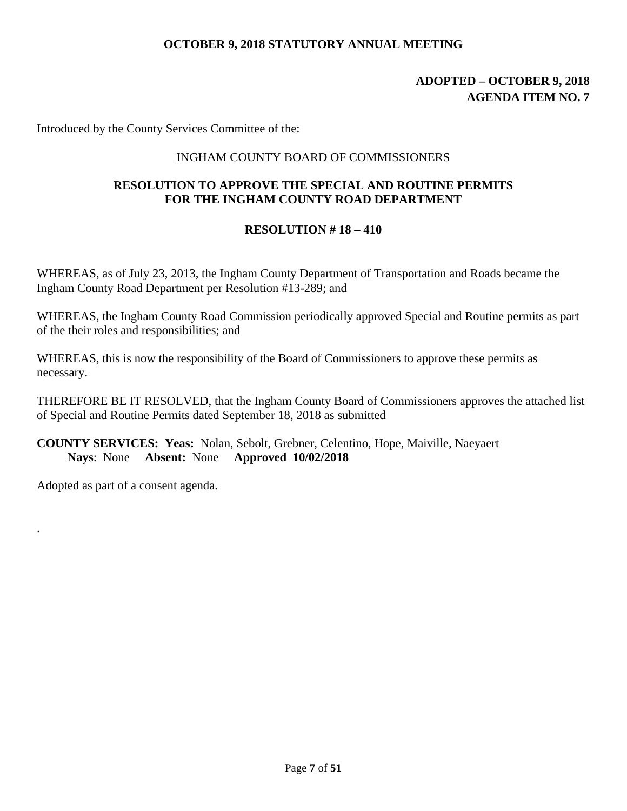# **ADOPTED – OCTOBER 9, 2018 AGENDA ITEM NO. 7**

Introduced by the County Services Committee of the:

## INGHAM COUNTY BOARD OF COMMISSIONERS

# **RESOLUTION TO APPROVE THE SPECIAL AND ROUTINE PERMITS FOR THE INGHAM COUNTY ROAD DEPARTMENT**

# **RESOLUTION # 18 – 410**

WHEREAS, as of July 23, 2013, the Ingham County Department of Transportation and Roads became the Ingham County Road Department per Resolution #13-289; and

WHEREAS, the Ingham County Road Commission periodically approved Special and Routine permits as part of the their roles and responsibilities; and

WHEREAS, this is now the responsibility of the Board of Commissioners to approve these permits as necessary.

THEREFORE BE IT RESOLVED, that the Ingham County Board of Commissioners approves the attached list of Special and Routine Permits dated September 18, 2018 as submitted

**COUNTY SERVICES: Yeas:** Nolan, Sebolt, Grebner, Celentino, Hope, Maiville, Naeyaert **Nays**: None **Absent:** None **Approved 10/02/2018** 

Adopted as part of a consent agenda.

.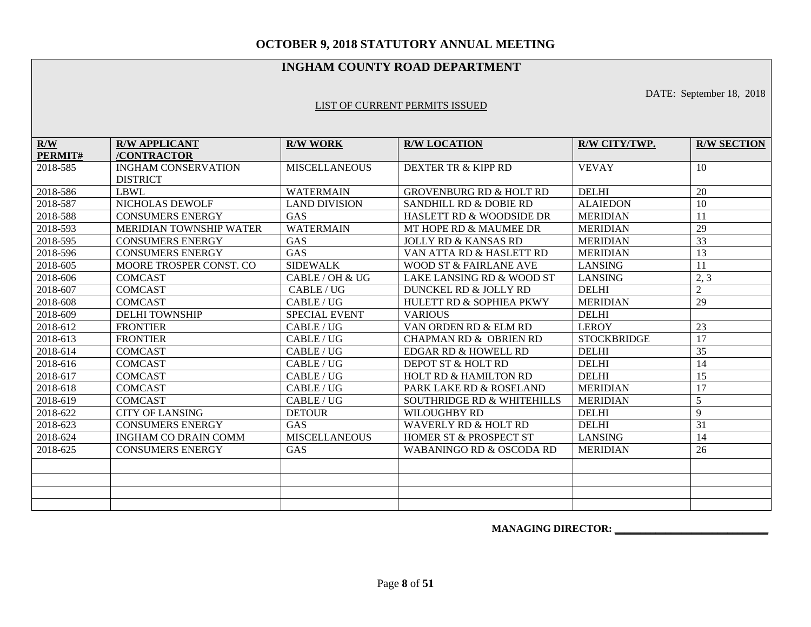### **INGHAM COUNTY ROAD DEPARTMENT**

DATE: September 18, 2018

#### LIST OF CURRENT PERMITS ISSUED

| R/W      | <b>R/W APPLICANT</b>           | <b>R/W WORK</b>      | <b>R/W LOCATION</b>                   | R/W CITY/TWP.      | <b>R/W SECTION</b> |
|----------|--------------------------------|----------------------|---------------------------------------|--------------------|--------------------|
| PERMIT#  | /CONTRACTOR                    |                      |                                       |                    |                    |
| 2018-585 | <b>INGHAM CONSERVATION</b>     | <b>MISCELLANEOUS</b> | DEXTER TR & KIPP RD                   | <b>VEVAY</b>       | 10                 |
|          | <b>DISTRICT</b>                |                      |                                       |                    |                    |
| 2018-586 | <b>LBWL</b>                    | <b>WATERMAIN</b>     | <b>GROVENBURG RD &amp; HOLT RD</b>    | <b>DELHI</b>       | 20                 |
| 2018-587 | NICHOLAS DEWOLF                | <b>LAND DIVISION</b> | <b>SANDHILL RD &amp; DOBIE RD</b>     | <b>ALAIEDON</b>    | 10                 |
| 2018-588 | <b>CONSUMERS ENERGY</b>        | <b>GAS</b>           | <b>HASLETT RD &amp; WOODSIDE DR</b>   | <b>MERIDIAN</b>    | 11                 |
| 2018-593 | <b>MERIDIAN TOWNSHIP WATER</b> | <b>WATERMAIN</b>     | MT HOPE RD & MAUMEE DR                | <b>MERIDIAN</b>    | 29                 |
| 2018-595 | <b>CONSUMERS ENERGY</b>        | GAS                  | <b>JOLLY RD &amp; KANSAS RD</b>       | <b>MERIDIAN</b>    | 33                 |
| 2018-596 | <b>CONSUMERS ENERGY</b>        | GAS                  | VAN ATTA RD & HASLETT RD              | <b>MERIDIAN</b>    | 13                 |
| 2018-605 | MOORE TROSPER CONST. CO        | <b>SIDEWALK</b>      | <b>WOOD ST &amp; FAIRLANE AVE</b>     | <b>LANSING</b>     | 11                 |
| 2018-606 | <b>COMCAST</b>                 | CABLE / OH & UG      | LAKE LANSING RD & WOOD ST             | <b>LANSING</b>     | 2, 3               |
| 2018-607 | <b>COMCAST</b>                 | CABLE / UG           | DUNCKEL RD & JOLLY RD                 | <b>DELHI</b>       | $\overline{2}$     |
| 2018-608 | <b>COMCAST</b>                 | CABLE / UG           | <b>HULETT RD &amp; SOPHIEA PKWY</b>   | <b>MERIDIAN</b>    | 29                 |
| 2018-609 | <b>DELHI TOWNSHIP</b>          | <b>SPECIAL EVENT</b> | <b>VARIOUS</b>                        | <b>DELHI</b>       |                    |
| 2018-612 | <b>FRONTIER</b>                | CABLE/UG             | VAN ORDEN RD & ELM RD                 | <b>LEROY</b>       | 23                 |
| 2018-613 | <b>FRONTIER</b>                | CABLE/UG             | CHAPMAN RD & OBRIEN RD                | <b>STOCKBRIDGE</b> | 17                 |
| 2018-614 | <b>COMCAST</b>                 | CABLE/UG             | EDGAR RD & HOWELL RD                  | <b>DELHI</b>       | 35                 |
| 2018-616 | <b>COMCAST</b>                 | CABLE / UG           | DEPOT ST & HOLT RD                    | <b>DELHI</b>       | 14                 |
| 2018-617 | <b>COMCAST</b>                 | CABLE/UG             | <b>HOLT RD &amp; HAMILTON RD</b>      | <b>DELHI</b>       | 15                 |
| 2018-618 | <b>COMCAST</b>                 | CABLE/UG             | PARK LAKE RD & ROSELAND               | <b>MERIDIAN</b>    | 17                 |
| 2018-619 | <b>COMCAST</b>                 | CABLE / UG           | <b>SOUTHRIDGE RD &amp; WHITEHILLS</b> | <b>MERIDIAN</b>    | 5                  |
| 2018-622 | <b>CITY OF LANSING</b>         | <b>DETOUR</b>        | <b>WILOUGHBY RD</b>                   | <b>DELHI</b>       | 9                  |
| 2018-623 | <b>CONSUMERS ENERGY</b>        | GAS                  | <b>WAVERLY RD &amp; HOLT RD</b>       | <b>DELHI</b>       | 31                 |
| 2018-624 | <b>INGHAM CO DRAIN COMM</b>    | <b>MISCELLANEOUS</b> | HOMER ST & PROSPECT ST                | <b>LANSING</b>     | 14                 |
| 2018-625 | <b>CONSUMERS ENERGY</b>        | GAS                  | WABANINGO RD & OSCODA RD              | <b>MERIDIAN</b>    | 26                 |
|          |                                |                      |                                       |                    |                    |
|          |                                |                      |                                       |                    |                    |
|          |                                |                      |                                       |                    |                    |
|          |                                |                      |                                       |                    |                    |

 **MANAGING DIRECTOR: \_\_\_\_\_\_\_\_\_\_\_\_\_\_\_\_\_\_\_\_\_\_\_\_\_\_\_\_\_\_**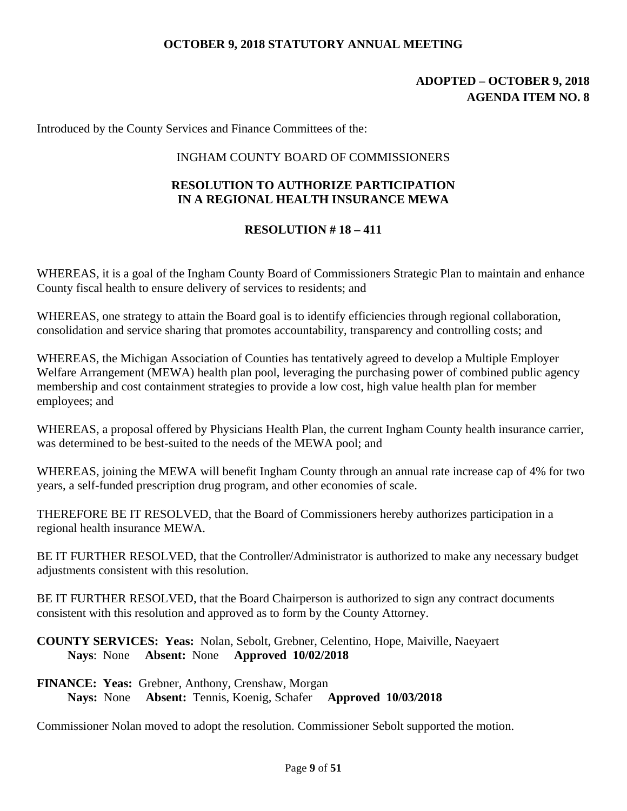# **ADOPTED – OCTOBER 9, 2018 AGENDA ITEM NO. 8**

Introduced by the County Services and Finance Committees of the:

## INGHAM COUNTY BOARD OF COMMISSIONERS

# **RESOLUTION TO AUTHORIZE PARTICIPATION IN A REGIONAL HEALTH INSURANCE MEWA**

# **RESOLUTION # 18 – 411**

WHEREAS, it is a goal of the Ingham County Board of Commissioners Strategic Plan to maintain and enhance County fiscal health to ensure delivery of services to residents; and

WHEREAS, one strategy to attain the Board goal is to identify efficiencies through regional collaboration, consolidation and service sharing that promotes accountability, transparency and controlling costs; and

WHEREAS, the Michigan Association of Counties has tentatively agreed to develop a Multiple Employer Welfare Arrangement (MEWA) health plan pool, leveraging the purchasing power of combined public agency membership and cost containment strategies to provide a low cost, high value health plan for member employees; and

WHEREAS, a proposal offered by Physicians Health Plan, the current Ingham County health insurance carrier, was determined to be best-suited to the needs of the MEWA pool; and

WHEREAS, joining the MEWA will benefit Ingham County through an annual rate increase cap of 4% for two years, a self-funded prescription drug program, and other economies of scale.

THEREFORE BE IT RESOLVED, that the Board of Commissioners hereby authorizes participation in a regional health insurance MEWA.

BE IT FURTHER RESOLVED, that the Controller/Administrator is authorized to make any necessary budget adjustments consistent with this resolution.

BE IT FURTHER RESOLVED, that the Board Chairperson is authorized to sign any contract documents consistent with this resolution and approved as to form by the County Attorney.

**COUNTY SERVICES: Yeas:** Nolan, Sebolt, Grebner, Celentino, Hope, Maiville, Naeyaert **Nays**: None **Absent:** None **Approved 10/02/2018** 

**FINANCE: Yeas:** Grebner, Anthony, Crenshaw, Morgan **Nays:** None **Absent:** Tennis, Koenig, Schafer **Approved 10/03/2018** 

Commissioner Nolan moved to adopt the resolution. Commissioner Sebolt supported the motion.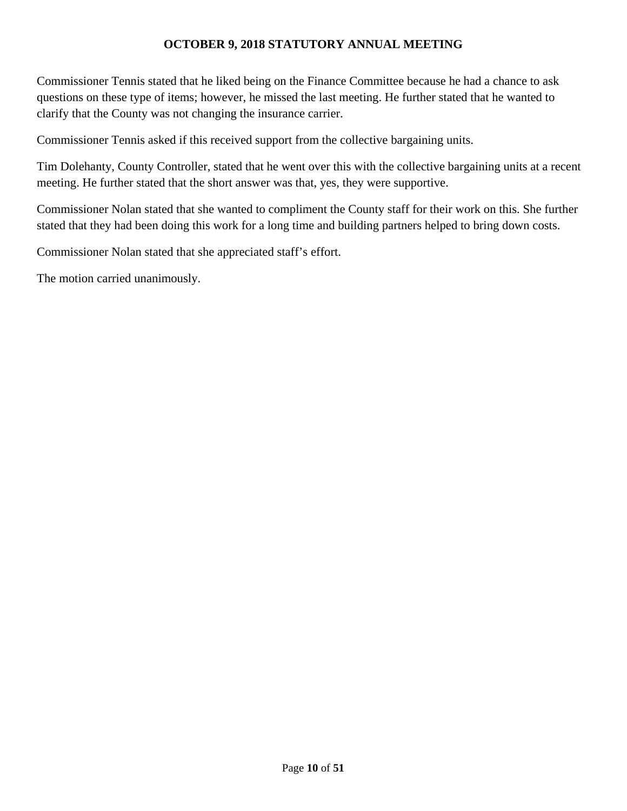Commissioner Tennis stated that he liked being on the Finance Committee because he had a chance to ask questions on these type of items; however, he missed the last meeting. He further stated that he wanted to clarify that the County was not changing the insurance carrier.

Commissioner Tennis asked if this received support from the collective bargaining units.

Tim Dolehanty, County Controller, stated that he went over this with the collective bargaining units at a recent meeting. He further stated that the short answer was that, yes, they were supportive.

Commissioner Nolan stated that she wanted to compliment the County staff for their work on this. She further stated that they had been doing this work for a long time and building partners helped to bring down costs.

Commissioner Nolan stated that she appreciated staff's effort.

The motion carried unanimously.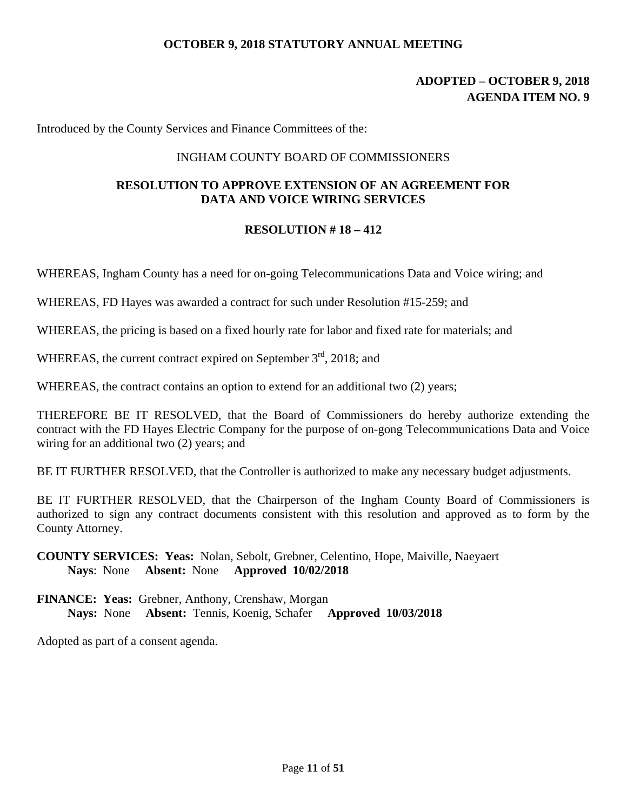# **ADOPTED – OCTOBER 9, 2018 AGENDA ITEM NO. 9**

Introduced by the County Services and Finance Committees of the:

### INGHAM COUNTY BOARD OF COMMISSIONERS

# **RESOLUTION TO APPROVE EXTENSION OF AN AGREEMENT FOR DATA AND VOICE WIRING SERVICES**

### **RESOLUTION # 18 – 412**

WHEREAS, Ingham County has a need for on-going Telecommunications Data and Voice wiring; and

WHEREAS, FD Hayes was awarded a contract for such under Resolution #15-259; and

WHEREAS, the pricing is based on a fixed hourly rate for labor and fixed rate for materials; and

WHEREAS, the current contract expired on September  $3<sup>rd</sup>$ , 2018; and

WHEREAS, the contract contains an option to extend for an additional two  $(2)$  years;

THEREFORE BE IT RESOLVED, that the Board of Commissioners do hereby authorize extending the contract with the FD Hayes Electric Company for the purpose of on-gong Telecommunications Data and Voice wiring for an additional two (2) years; and

BE IT FURTHER RESOLVED, that the Controller is authorized to make any necessary budget adjustments.

BE IT FURTHER RESOLVED, that the Chairperson of the Ingham County Board of Commissioners is authorized to sign any contract documents consistent with this resolution and approved as to form by the County Attorney.

**COUNTY SERVICES: Yeas:** Nolan, Sebolt, Grebner, Celentino, Hope, Maiville, Naeyaert **Nays**: None **Absent:** None **Approved 10/02/2018** 

**FINANCE: Yeas:** Grebner, Anthony, Crenshaw, Morgan **Nays:** None **Absent:** Tennis, Koenig, Schafer **Approved 10/03/2018**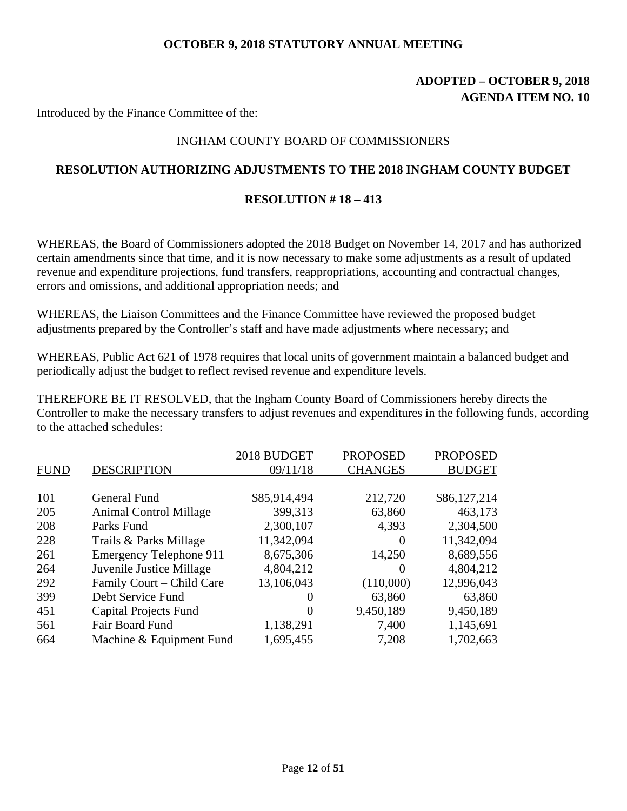# **ADOPTED – OCTOBER 9, 2018 AGENDA ITEM NO. 10**

Introduced by the Finance Committee of the:

# INGHAM COUNTY BOARD OF COMMISSIONERS

# **RESOLUTION AUTHORIZING ADJUSTMENTS TO THE 2018 INGHAM COUNTY BUDGET**

### **RESOLUTION # 18 – 413**

WHEREAS, the Board of Commissioners adopted the 2018 Budget on November 14, 2017 and has authorized certain amendments since that time, and it is now necessary to make some adjustments as a result of updated revenue and expenditure projections, fund transfers, reappropriations, accounting and contractual changes, errors and omissions, and additional appropriation needs; and

WHEREAS, the Liaison Committees and the Finance Committee have reviewed the proposed budget adjustments prepared by the Controller's staff and have made adjustments where necessary; and

WHEREAS, Public Act 621 of 1978 requires that local units of government maintain a balanced budget and periodically adjust the budget to reflect revised revenue and expenditure levels.

THEREFORE BE IT RESOLVED, that the Ingham County Board of Commissioners hereby directs the Controller to make the necessary transfers to adjust revenues and expenditures in the following funds, according to the attached schedules:

|             |                                | 2018 BUDGET  | <b>PROPOSED</b> | <b>PROPOSED</b> |
|-------------|--------------------------------|--------------|-----------------|-----------------|
| <b>FUND</b> | <b>DESCRIPTION</b>             | 09/11/18     | <b>CHANGES</b>  | <b>BUDGET</b>   |
|             |                                |              |                 |                 |
| 101         | <b>General Fund</b>            | \$85,914,494 | 212,720         | \$86,127,214    |
| 205         | <b>Animal Control Millage</b>  | 399,313      | 63,860          | 463,173         |
| 208         | Parks Fund                     | 2,300,107    | 4,393           | 2,304,500       |
| 228         | Trails & Parks Millage         | 11,342,094   | $\Omega$        | 11,342,094      |
| 261         | <b>Emergency Telephone 911</b> | 8,675,306    | 14,250          | 8,689,556       |
| 264         | Juvenile Justice Millage       | 4,804,212    | $\theta$        | 4,804,212       |
| 292         | Family Court – Child Care      | 13,106,043   | (110,000)       | 12,996,043      |
| 399         | Debt Service Fund              | 0            | 63,860          | 63,860          |
| 451         | <b>Capital Projects Fund</b>   | $\theta$     | 9,450,189       | 9,450,189       |
| 561         | Fair Board Fund                | 1,138,291    | 7,400           | 1,145,691       |
| 664         | Machine & Equipment Fund       | 1,695,455    | 7,208           | 1,702,663       |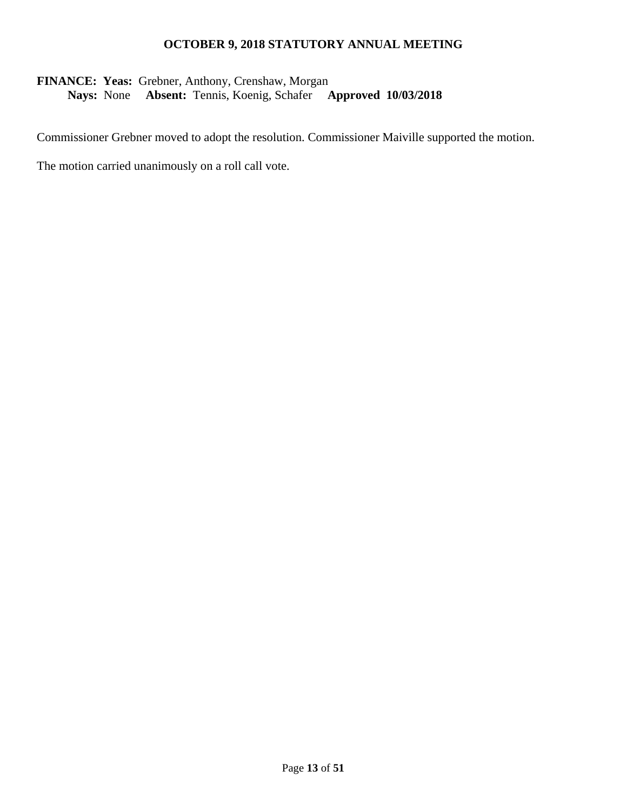# **FINANCE: Yeas:** Grebner, Anthony, Crenshaw, Morgan **Nays:** None **Absent:** Tennis, Koenig, Schafer **Approved 10/03/2018**

Commissioner Grebner moved to adopt the resolution. Commissioner Maiville supported the motion.

The motion carried unanimously on a roll call vote.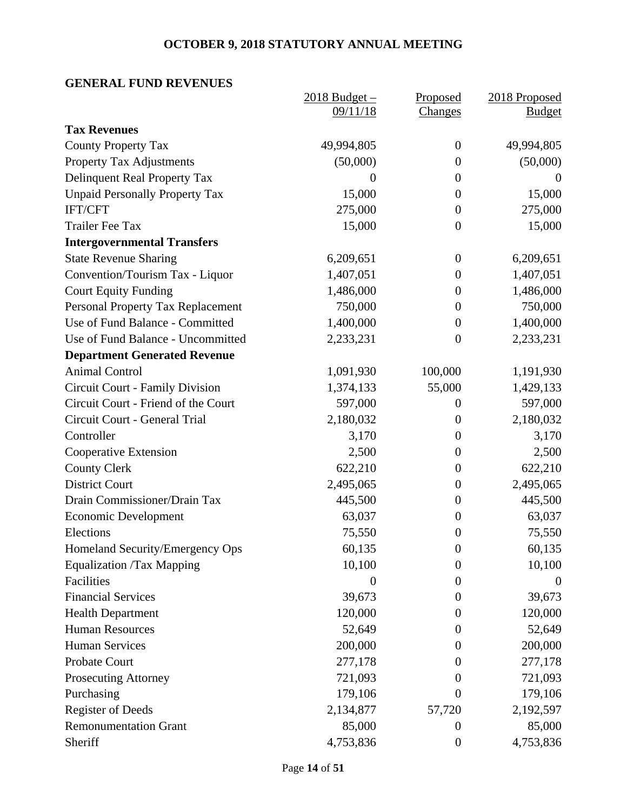# **GENERAL FUND REVENUES**

|                                        | $2018$ Budget $-$ | Proposed         | 2018 Proposed |
|----------------------------------------|-------------------|------------------|---------------|
|                                        | 09/11/18          | Changes          | <b>Budget</b> |
| <b>Tax Revenues</b>                    |                   |                  |               |
| <b>County Property Tax</b>             | 49,994,805        | $\overline{0}$   | 49,994,805    |
| <b>Property Tax Adjustments</b>        | (50,000)          | $\overline{0}$   | (50,000)      |
| Delinquent Real Property Tax           | $\boldsymbol{0}$  | $\boldsymbol{0}$ | $\theta$      |
| <b>Unpaid Personally Property Tax</b>  | 15,000            | $\boldsymbol{0}$ | 15,000        |
| <b>IFT/CFT</b>                         | 275,000           | $\overline{0}$   | 275,000       |
| <b>Trailer Fee Tax</b>                 | 15,000            | $\boldsymbol{0}$ | 15,000        |
| <b>Intergovernmental Transfers</b>     |                   |                  |               |
| <b>State Revenue Sharing</b>           | 6,209,651         | $\overline{0}$   | 6,209,651     |
| Convention/Tourism Tax - Liquor        | 1,407,051         | $\boldsymbol{0}$ | 1,407,051     |
| <b>Court Equity Funding</b>            | 1,486,000         | $\boldsymbol{0}$ | 1,486,000     |
| Personal Property Tax Replacement      | 750,000           | $\boldsymbol{0}$ | 750,000       |
| Use of Fund Balance - Committed        | 1,400,000         | $\overline{0}$   | 1,400,000     |
| Use of Fund Balance - Uncommitted      | 2,233,231         | $\theta$         | 2,233,231     |
| <b>Department Generated Revenue</b>    |                   |                  |               |
| <b>Animal Control</b>                  | 1,091,930         | 100,000          | 1,191,930     |
| <b>Circuit Court - Family Division</b> | 1,374,133         | 55,000           | 1,429,133     |
| Circuit Court - Friend of the Court    | 597,000           | $\theta$         | 597,000       |
| Circuit Court - General Trial          | 2,180,032         | $\boldsymbol{0}$ | 2,180,032     |
| Controller                             | 3,170             | $\boldsymbol{0}$ | 3,170         |
| Cooperative Extension                  | 2,500             | $\overline{0}$   | 2,500         |
| <b>County Clerk</b>                    | 622,210           | $\overline{0}$   | 622,210       |
| <b>District Court</b>                  | 2,495,065         | $\boldsymbol{0}$ | 2,495,065     |
| Drain Commissioner/Drain Tax           | 445,500           | $\boldsymbol{0}$ | 445,500       |
| <b>Economic Development</b>            | 63,037            | $\overline{0}$   | 63,037        |
| Elections                              | 75,550            | $\boldsymbol{0}$ | 75,550        |
| Homeland Security/Emergency Ops        | 60,135            | $\boldsymbol{0}$ | 60,135        |
| <b>Equalization /Tax Mapping</b>       | 10,100            | $\boldsymbol{0}$ | 10,100        |
| Facilities                             | $\boldsymbol{0}$  | $\boldsymbol{0}$ | $\theta$      |
| <b>Financial Services</b>              | 39,673            | $\Omega$         | 39,673        |
| <b>Health Department</b>               | 120,000           | $\overline{0}$   | 120,000       |
| <b>Human Resources</b>                 | 52,649            | $\overline{0}$   | 52,649        |
| <b>Human Services</b>                  | 200,000           | $\Omega$         | 200,000       |
| Probate Court                          | 277,178           | $\theta$         | 277,178       |
| <b>Prosecuting Attorney</b>            | 721,093           | $\overline{0}$   | 721,093       |
| Purchasing                             | 179,106           | $\overline{0}$   | 179,106       |
| <b>Register of Deeds</b>               | 2,134,877         | 57,720           | 2,192,597     |
| <b>Remonumentation Grant</b>           | 85,000            | $\theta$         | 85,000        |
| Sheriff                                | 4,753,836         | $\boldsymbol{0}$ | 4,753,836     |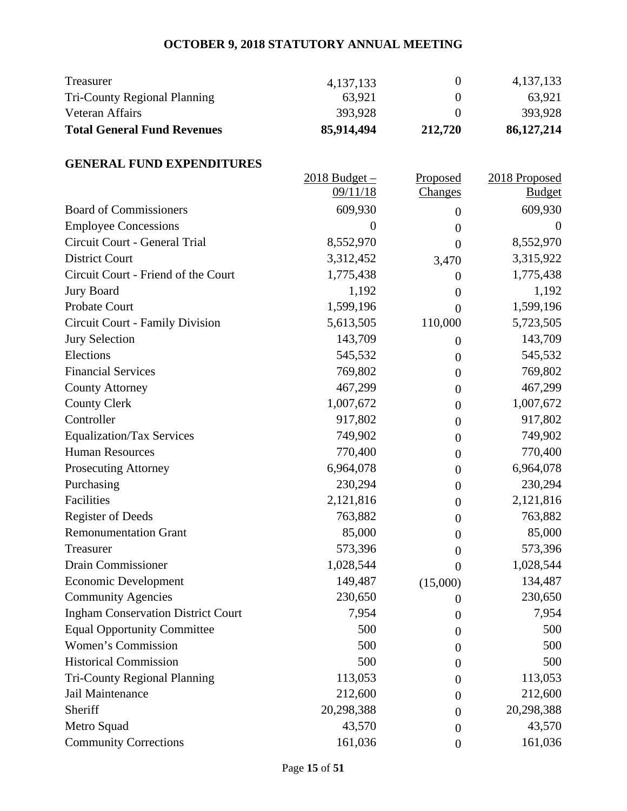| <b>Total General Fund Revenues</b> | 85,914,494  | 212,720 | 86,127,214  |
|------------------------------------|-------------|---------|-------------|
| Veteran Affairs                    | 393.928     |         | 393,928     |
| Tri-County Regional Planning       | 63,921      |         | 63,921      |
| Treasurer                          | 4, 137, 133 |         | 4, 137, 133 |

# **GENERAL FUND EXPENDITURES**

|                                           | $2018$ Budget $-$ | Proposed         | 2018 Proposed |
|-------------------------------------------|-------------------|------------------|---------------|
|                                           | 09/11/18          | <b>Changes</b>   | <b>Budget</b> |
| <b>Board of Commissioners</b>             | 609,930           | $\theta$         | 609,930       |
| <b>Employee Concessions</b>               | $\overline{0}$    | $\boldsymbol{0}$ | $\theta$      |
| Circuit Court - General Trial             | 8,552,970         | $\theta$         | 8,552,970     |
| <b>District Court</b>                     | 3,312,452         | 3,470            | 3,315,922     |
| Circuit Court - Friend of the Court       | 1,775,438         | $\theta$         | 1,775,438     |
| <b>Jury Board</b>                         | 1,192             | $\boldsymbol{0}$ | 1,192         |
| Probate Court                             | 1,599,196         | $\theta$         | 1,599,196     |
| Circuit Court - Family Division           | 5,613,505         | 110,000          | 5,723,505     |
| <b>Jury Selection</b>                     | 143,709           | $\theta$         | 143,709       |
| Elections                                 | 545,532           | $\theta$         | 545,532       |
| <b>Financial Services</b>                 | 769,802           | $\theta$         | 769,802       |
| <b>County Attorney</b>                    | 467,299           | $\theta$         | 467,299       |
| <b>County Clerk</b>                       | 1,007,672         | $\boldsymbol{0}$ | 1,007,672     |
| Controller                                | 917,802           | $\theta$         | 917,802       |
| <b>Equalization/Tax Services</b>          | 749,902           | $\theta$         | 749,902       |
| <b>Human Resources</b>                    | 770,400           | $\boldsymbol{0}$ | 770,400       |
| <b>Prosecuting Attorney</b>               | 6,964,078         | $\theta$         | 6,964,078     |
| Purchasing                                | 230,294           | $\theta$         | 230,294       |
| Facilities                                | 2,121,816         | $\theta$         | 2,121,816     |
| <b>Register of Deeds</b>                  | 763,882           | $\theta$         | 763,882       |
| <b>Remonumentation Grant</b>              | 85,000            | $\theta$         | 85,000        |
| Treasurer                                 | 573,396           | $\boldsymbol{0}$ | 573,396       |
| <b>Drain Commissioner</b>                 | 1,028,544         | $\theta$         | 1,028,544     |
| <b>Economic Development</b>               | 149,487           | (15,000)         | 134,487       |
| <b>Community Agencies</b>                 | 230,650           | $\overline{0}$   | 230,650       |
| <b>Ingham Conservation District Court</b> | 7,954             | $\overline{0}$   | 7,954         |
| <b>Equal Opportunity Committee</b>        | 500               | $\boldsymbol{0}$ | 500           |
| Women's Commission                        | 500               | $\theta$         | 500           |
| <b>Historical Commission</b>              | 500               | $\boldsymbol{0}$ | 500           |
| <b>Tri-County Regional Planning</b>       | 113,053           | 0                | 113,053       |
| Jail Maintenance                          | 212,600           | $\theta$         | 212,600       |
| Sheriff                                   | 20,298,388        | $\Omega$         | 20,298,388    |
| Metro Squad                               | 43,570            | $\Omega$         | 43,570        |
| <b>Community Corrections</b>              | 161,036           | $\boldsymbol{0}$ | 161,036       |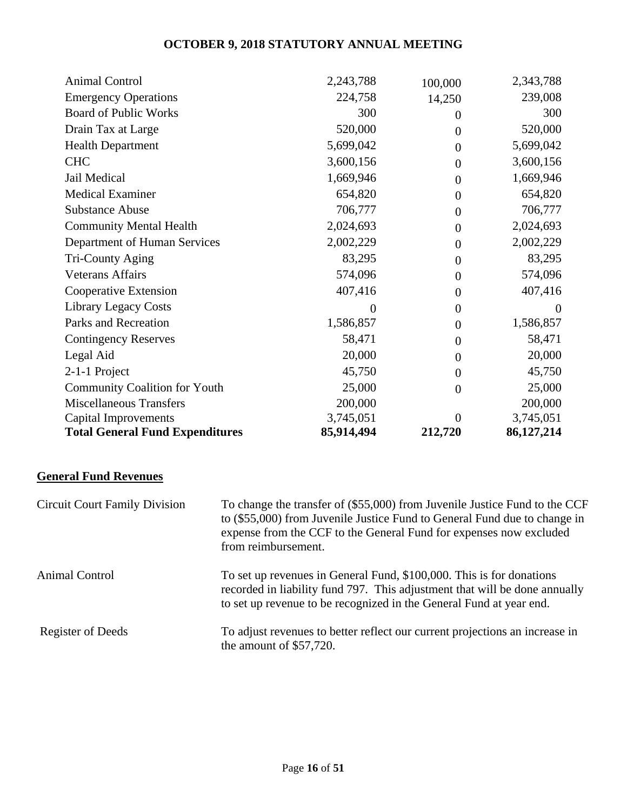| <b>Animal Control</b>                  | 2,243,788  | 100,000          | 2,343,788    |
|----------------------------------------|------------|------------------|--------------|
| <b>Emergency Operations</b>            | 224,758    | 14,250           | 239,008      |
| <b>Board of Public Works</b>           | 300        | $\theta$         | 300          |
| Drain Tax at Large                     | 520,000    | $\theta$         | 520,000      |
| <b>Health Department</b>               | 5,699,042  | $\theta$         | 5,699,042    |
| <b>CHC</b>                             | 3,600,156  | $\theta$         | 3,600,156    |
| Jail Medical                           | 1,669,946  | $\theta$         | 1,669,946    |
| <b>Medical Examiner</b>                | 654,820    | $\theta$         | 654,820      |
| <b>Substance Abuse</b>                 | 706,777    | $\theta$         | 706,777      |
| <b>Community Mental Health</b>         | 2,024,693  | $\theta$         | 2,024,693    |
| Department of Human Services           | 2,002,229  | $\Omega$         | 2,002,229    |
| Tri-County Aging                       | 83,295     | $\theta$         | 83,295       |
| <b>Veterans Affairs</b>                | 574,096    | $\overline{0}$   | 574,096      |
| Cooperative Extension                  | 407,416    | $\theta$         | 407,416      |
| <b>Library Legacy Costs</b>            | 0          | $\theta$         | $\Omega$     |
| Parks and Recreation                   | 1,586,857  | $\boldsymbol{0}$ | 1,586,857    |
| <b>Contingency Reserves</b>            | 58,471     | $\theta$         | 58,471       |
| Legal Aid                              | 20,000     | $\theta$         | 20,000       |
| 2-1-1 Project                          | 45,750     | $\theta$         | 45,750       |
| <b>Community Coalition for Youth</b>   | 25,000     | $\Omega$         | 25,000       |
| <b>Miscellaneous Transfers</b>         | 200,000    |                  | 200,000      |
| Capital Improvements                   | 3,745,051  | $\Omega$         | 3,745,051    |
| <b>Total General Fund Expenditures</b> | 85,914,494 | 212,720          | 86, 127, 214 |

# **General Fund Revenues**

| <b>Circuit Court Family Division</b> | To change the transfer of (\$55,000) from Juvenile Justice Fund to the CCF<br>to (\$55,000) from Juvenile Justice Fund to General Fund due to change in<br>expense from the CCF to the General Fund for expenses now excluded<br>from reimbursement. |
|--------------------------------------|------------------------------------------------------------------------------------------------------------------------------------------------------------------------------------------------------------------------------------------------------|
| <b>Animal Control</b>                | To set up revenues in General Fund, \$100,000. This is for donations<br>recorded in liability fund 797. This adjustment that will be done annually<br>to set up revenue to be recognized in the General Fund at year end.                            |
| Register of Deeds                    | To adjust revenues to better reflect our current projections an increase in<br>the amount of $$57,720$ .                                                                                                                                             |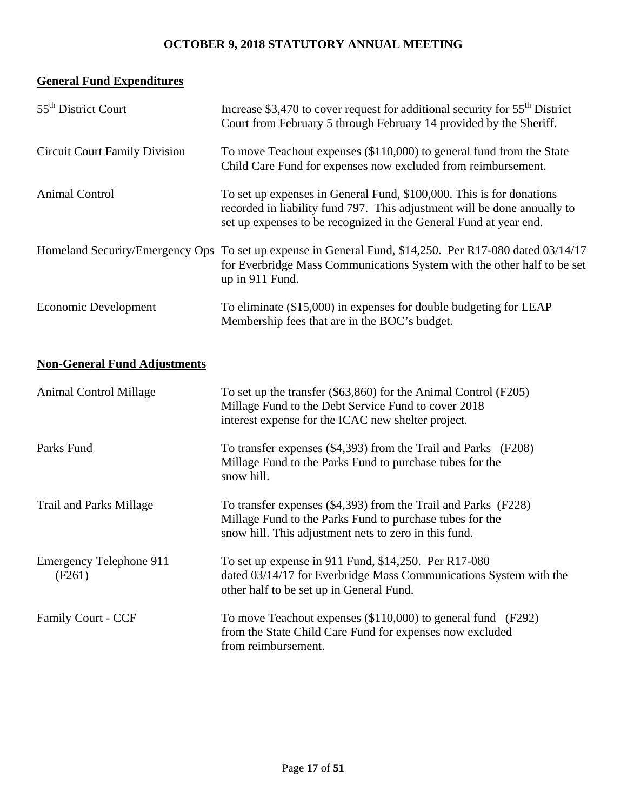# **General Fund Expenditures**

| 55 <sup>th</sup> District Court      | Increase \$3,470 to cover request for additional security for $55th$ District<br>Court from February 5 through February 14 provided by the Sheriff.                                                                   |
|--------------------------------------|-----------------------------------------------------------------------------------------------------------------------------------------------------------------------------------------------------------------------|
| <b>Circuit Court Family Division</b> | To move Teachout expenses (\$110,000) to general fund from the State<br>Child Care Fund for expenses now excluded from reimbursement.                                                                                 |
| Animal Control                       | To set up expenses in General Fund, \$100,000. This is for donations<br>recorded in liability fund 797. This adjustment will be done annually to<br>set up expenses to be recognized in the General Fund at year end. |
|                                      | Homeland Security/Emergency Ops To set up expense in General Fund, \$14,250. Per R17-080 dated 03/14/17<br>for Everbridge Mass Communications System with the other half to be set<br>up in 911 Fund.                 |
| Economic Development                 | To eliminate (\$15,000) in expenses for double budgeting for LEAP<br>Membership fees that are in the BOC's budget.                                                                                                    |

# **Non-General Fund Adjustments**

| <b>Animal Control Millage</b>            | To set up the transfer (\$63,860) for the Animal Control (F205)<br>Millage Fund to the Debt Service Fund to cover 2018<br>interest expense for the ICAC new shelter project.        |
|------------------------------------------|-------------------------------------------------------------------------------------------------------------------------------------------------------------------------------------|
| Parks Fund                               | To transfer expenses (\$4,393) from the Trail and Parks (F208)<br>Millage Fund to the Parks Fund to purchase tubes for the<br>snow hill.                                            |
| <b>Trail and Parks Millage</b>           | To transfer expenses (\$4,393) from the Trail and Parks (F228)<br>Millage Fund to the Parks Fund to purchase tubes for the<br>snow hill. This adjustment nets to zero in this fund. |
| <b>Emergency Telephone 911</b><br>(F261) | To set up expense in 911 Fund, \$14,250. Per R17-080<br>dated 03/14/17 for Everbridge Mass Communications System with the<br>other half to be set up in General Fund.               |
| <b>Family Court - CCF</b>                | To move Teachout expenses $(\$110,000)$ to general fund $(F292)$<br>from the State Child Care Fund for expenses now excluded<br>from reimbursement.                                 |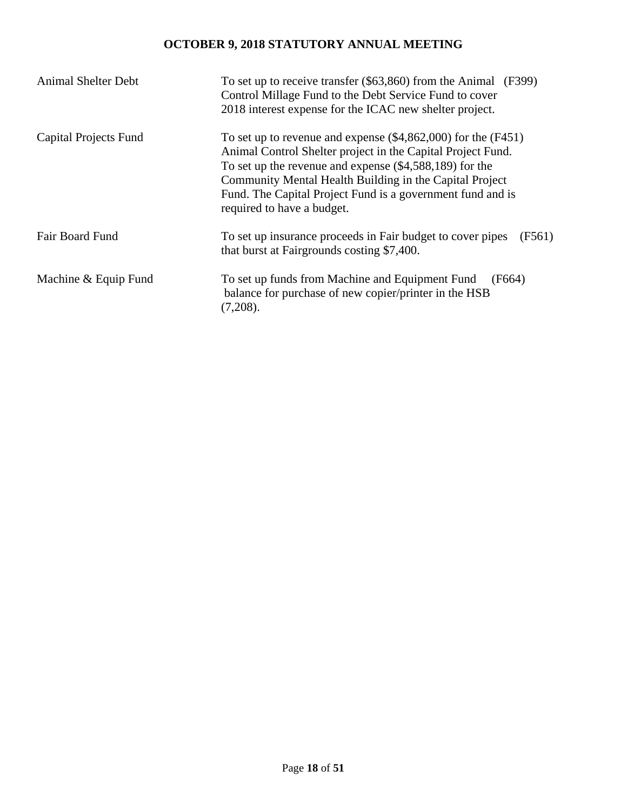| <b>Animal Shelter Debt</b> | To set up to receive transfer $(\$63,860)$ from the Animal $(F399)$<br>Control Millage Fund to the Debt Service Fund to cover<br>2018 interest expense for the ICAC new shelter project.                                                                                                                                                             |
|----------------------------|------------------------------------------------------------------------------------------------------------------------------------------------------------------------------------------------------------------------------------------------------------------------------------------------------------------------------------------------------|
| Capital Projects Fund      | To set up to revenue and expense $(\$4,862,000)$ for the $(F451)$<br>Animal Control Shelter project in the Capital Project Fund.<br>To set up the revenue and expense $(\$4,588,189)$ for the<br>Community Mental Health Building in the Capital Project<br>Fund. The Capital Project Fund is a government fund and is<br>required to have a budget. |
| Fair Board Fund            | To set up insurance proceeds in Fair budget to cover pipes<br>(F561)<br>that burst at Fairgrounds costing \$7,400.                                                                                                                                                                                                                                   |
| Machine & Equip Fund       | To set up funds from Machine and Equipment Fund<br>(F664)<br>balance for purchase of new copier/printer in the HSB<br>(7,208).                                                                                                                                                                                                                       |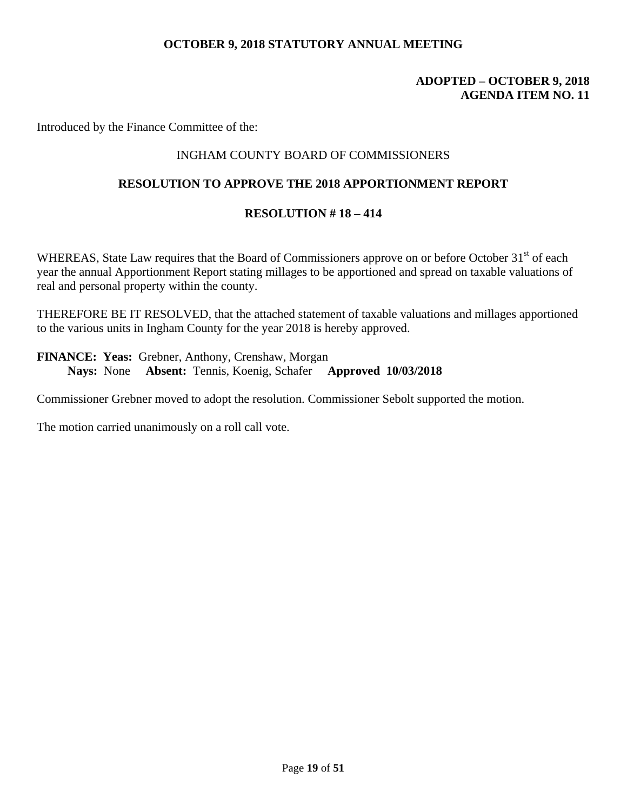# **ADOPTED – OCTOBER 9, 2018 AGENDA ITEM NO. 11**

Introduced by the Finance Committee of the:

# INGHAM COUNTY BOARD OF COMMISSIONERS

## **RESOLUTION TO APPROVE THE 2018 APPORTIONMENT REPORT**

# **RESOLUTION # 18 – 414**

WHEREAS, State Law requires that the Board of Commissioners approve on or before October 31<sup>st</sup> of each year the annual Apportionment Report stating millages to be apportioned and spread on taxable valuations of real and personal property within the county.

THEREFORE BE IT RESOLVED, that the attached statement of taxable valuations and millages apportioned to the various units in Ingham County for the year 2018 is hereby approved.

**FINANCE: Yeas:** Grebner, Anthony, Crenshaw, Morgan **Nays:** None **Absent:** Tennis, Koenig, Schafer **Approved 10/03/2018** 

Commissioner Grebner moved to adopt the resolution. Commissioner Sebolt supported the motion.

The motion carried unanimously on a roll call vote.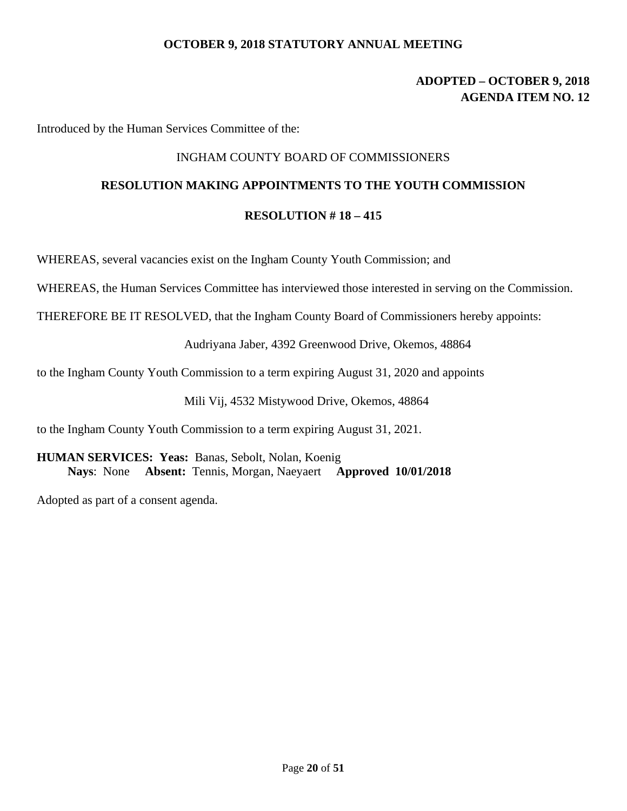# **ADOPTED – OCTOBER 9, 2018 AGENDA ITEM NO. 12**

Introduced by the Human Services Committee of the:

## INGHAM COUNTY BOARD OF COMMISSIONERS

# **RESOLUTION MAKING APPOINTMENTS TO THE YOUTH COMMISSION**

### **RESOLUTION # 18 – 415**

WHEREAS, several vacancies exist on the Ingham County Youth Commission; and

WHEREAS, the Human Services Committee has interviewed those interested in serving on the Commission.

THEREFORE BE IT RESOLVED, that the Ingham County Board of Commissioners hereby appoints:

Audriyana Jaber, 4392 Greenwood Drive, Okemos, 48864

to the Ingham County Youth Commission to a term expiring August 31, 2020 and appoints

Mili Vij, 4532 Mistywood Drive, Okemos, 48864

to the Ingham County Youth Commission to a term expiring August 31, 2021.

**HUMAN SERVICES: Yeas:** Banas, Sebolt, Nolan, Koenig  **Nays**: None **Absent:** Tennis, Morgan, Naeyaert **Approved 10/01/2018**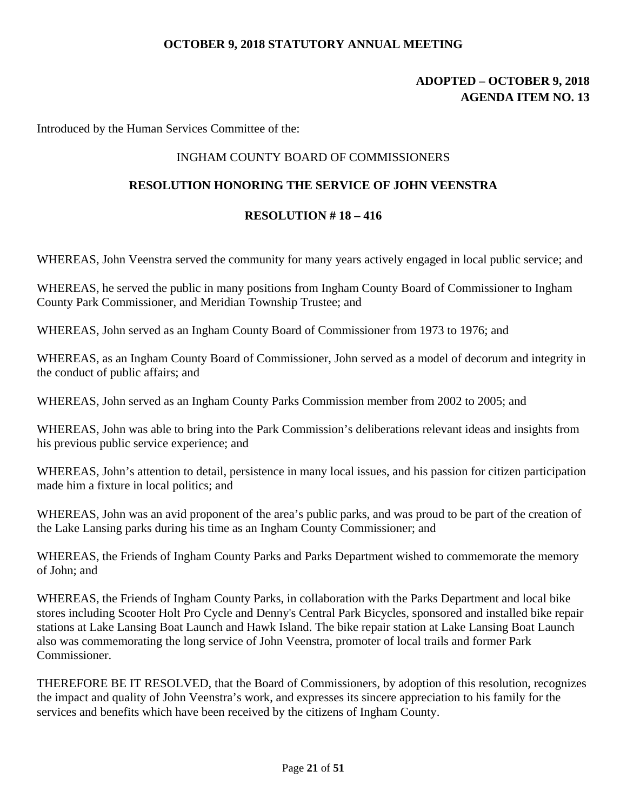# **ADOPTED – OCTOBER 9, 2018 AGENDA ITEM NO. 13**

Introduced by the Human Services Committee of the:

# INGHAM COUNTY BOARD OF COMMISSIONERS

# **RESOLUTION HONORING THE SERVICE OF JOHN VEENSTRA**

### **RESOLUTION # 18 – 416**

WHEREAS, John Veenstra served the community for many years actively engaged in local public service; and

WHEREAS, he served the public in many positions from Ingham County Board of Commissioner to Ingham County Park Commissioner, and Meridian Township Trustee; and

WHEREAS, John served as an Ingham County Board of Commissioner from 1973 to 1976; and

WHEREAS, as an Ingham County Board of Commissioner, John served as a model of decorum and integrity in the conduct of public affairs; and

WHEREAS, John served as an Ingham County Parks Commission member from 2002 to 2005; and

WHEREAS, John was able to bring into the Park Commission's deliberations relevant ideas and insights from his previous public service experience; and

WHEREAS, John's attention to detail, persistence in many local issues, and his passion for citizen participation made him a fixture in local politics; and

WHEREAS, John was an avid proponent of the area's public parks, and was proud to be part of the creation of the Lake Lansing parks during his time as an Ingham County Commissioner; and

WHEREAS, the Friends of Ingham County Parks and Parks Department wished to commemorate the memory of John; and

WHEREAS, the Friends of Ingham County Parks, in collaboration with the Parks Department and local bike stores including Scooter Holt Pro Cycle and Denny's Central Park Bicycles, sponsored and installed bike repair stations at Lake Lansing Boat Launch and Hawk Island. The bike repair station at Lake Lansing Boat Launch also was commemorating the long service of John Veenstra, promoter of local trails and former Park Commissioner.

THEREFORE BE IT RESOLVED, that the Board of Commissioners, by adoption of this resolution, recognizes the impact and quality of John Veenstra's work, and expresses its sincere appreciation to his family for the services and benefits which have been received by the citizens of Ingham County.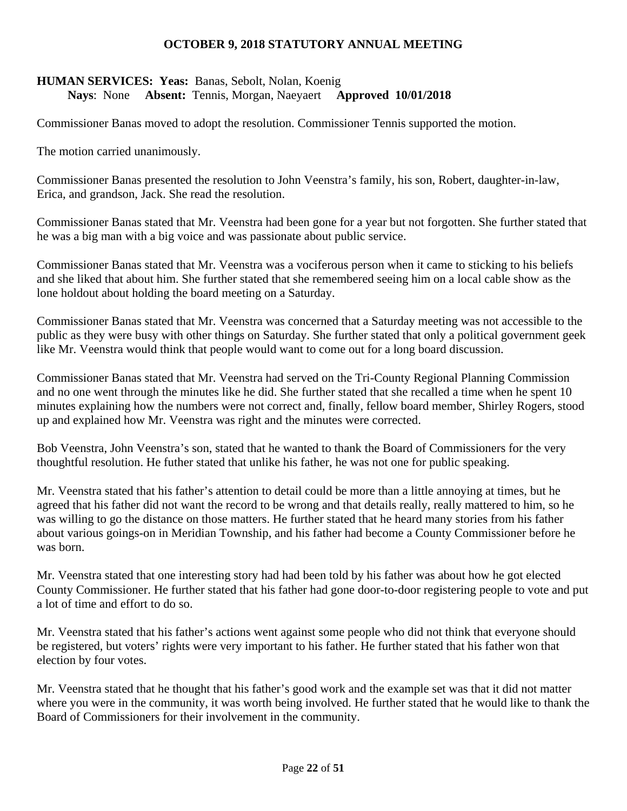# **HUMAN SERVICES: Yeas:** Banas, Sebolt, Nolan, Koenig  **Nays**: None **Absent:** Tennis, Morgan, Naeyaert **Approved 10/01/2018**

Commissioner Banas moved to adopt the resolution. Commissioner Tennis supported the motion.

The motion carried unanimously.

Commissioner Banas presented the resolution to John Veenstra's family, his son, Robert, daughter-in-law, Erica, and grandson, Jack. She read the resolution.

Commissioner Banas stated that Mr. Veenstra had been gone for a year but not forgotten. She further stated that he was a big man with a big voice and was passionate about public service.

Commissioner Banas stated that Mr. Veenstra was a vociferous person when it came to sticking to his beliefs and she liked that about him. She further stated that she remembered seeing him on a local cable show as the lone holdout about holding the board meeting on a Saturday.

Commissioner Banas stated that Mr. Veenstra was concerned that a Saturday meeting was not accessible to the public as they were busy with other things on Saturday. She further stated that only a political government geek like Mr. Veenstra would think that people would want to come out for a long board discussion.

Commissioner Banas stated that Mr. Veenstra had served on the Tri-County Regional Planning Commission and no one went through the minutes like he did. She further stated that she recalled a time when he spent 10 minutes explaining how the numbers were not correct and, finally, fellow board member, Shirley Rogers, stood up and explained how Mr. Veenstra was right and the minutes were corrected.

Bob Veenstra, John Veenstra's son, stated that he wanted to thank the Board of Commissioners for the very thoughtful resolution. He futher stated that unlike his father, he was not one for public speaking.

Mr. Veenstra stated that his father's attention to detail could be more than a little annoying at times, but he agreed that his father did not want the record to be wrong and that details really, really mattered to him, so he was willing to go the distance on those matters. He further stated that he heard many stories from his father about various goings-on in Meridian Township, and his father had become a County Commissioner before he was born.

Mr. Veenstra stated that one interesting story had had been told by his father was about how he got elected County Commissioner. He further stated that his father had gone door-to-door registering people to vote and put a lot of time and effort to do so.

Mr. Veenstra stated that his father's actions went against some people who did not think that everyone should be registered, but voters' rights were very important to his father. He further stated that his father won that election by four votes.

Mr. Veenstra stated that he thought that his father's good work and the example set was that it did not matter where you were in the community, it was worth being involved. He further stated that he would like to thank the Board of Commissioners for their involvement in the community.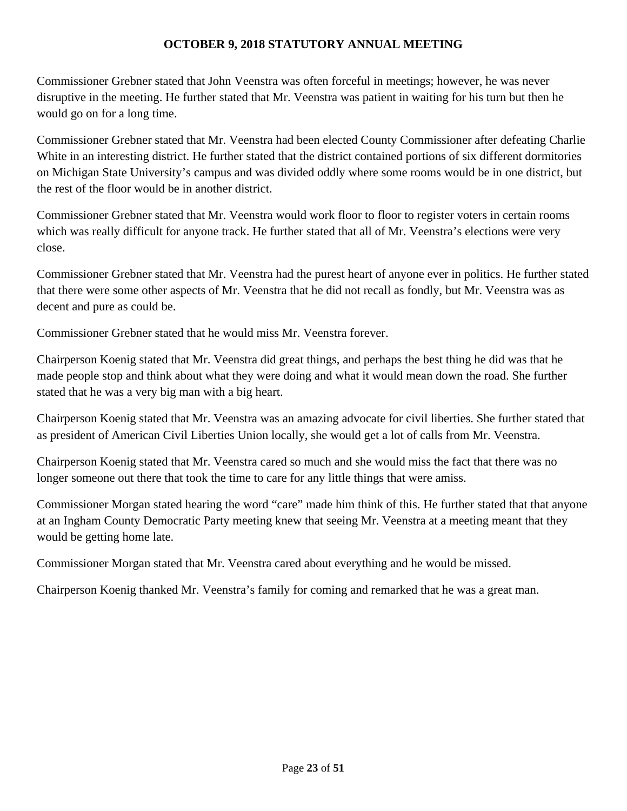Commissioner Grebner stated that John Veenstra was often forceful in meetings; however, he was never disruptive in the meeting. He further stated that Mr. Veenstra was patient in waiting for his turn but then he would go on for a long time.

Commissioner Grebner stated that Mr. Veenstra had been elected County Commissioner after defeating Charlie White in an interesting district. He further stated that the district contained portions of six different dormitories on Michigan State University's campus and was divided oddly where some rooms would be in one district, but the rest of the floor would be in another district.

Commissioner Grebner stated that Mr. Veenstra would work floor to floor to register voters in certain rooms which was really difficult for anyone track. He further stated that all of Mr. Veenstra's elections were very close.

Commissioner Grebner stated that Mr. Veenstra had the purest heart of anyone ever in politics. He further stated that there were some other aspects of Mr. Veenstra that he did not recall as fondly, but Mr. Veenstra was as decent and pure as could be.

Commissioner Grebner stated that he would miss Mr. Veenstra forever.

Chairperson Koenig stated that Mr. Veenstra did great things, and perhaps the best thing he did was that he made people stop and think about what they were doing and what it would mean down the road. She further stated that he was a very big man with a big heart.

Chairperson Koenig stated that Mr. Veenstra was an amazing advocate for civil liberties. She further stated that as president of American Civil Liberties Union locally, she would get a lot of calls from Mr. Veenstra.

Chairperson Koenig stated that Mr. Veenstra cared so much and she would miss the fact that there was no longer someone out there that took the time to care for any little things that were amiss.

Commissioner Morgan stated hearing the word "care" made him think of this. He further stated that that anyone at an Ingham County Democratic Party meeting knew that seeing Mr. Veenstra at a meeting meant that they would be getting home late.

Commissioner Morgan stated that Mr. Veenstra cared about everything and he would be missed.

Chairperson Koenig thanked Mr. Veenstra's family for coming and remarked that he was a great man.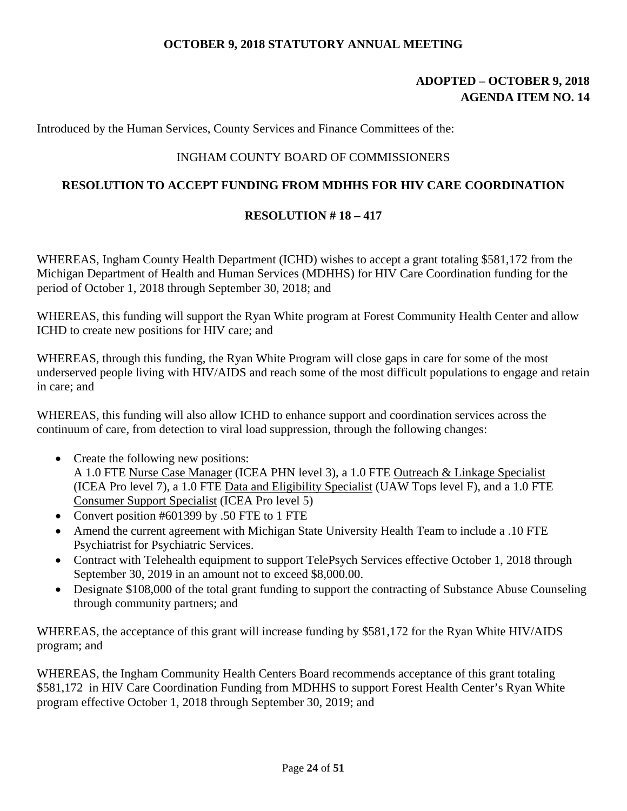# **ADOPTED – OCTOBER 9, 2018 AGENDA ITEM NO. 14**

Introduced by the Human Services, County Services and Finance Committees of the:

# INGHAM COUNTY BOARD OF COMMISSIONERS

# **RESOLUTION TO ACCEPT FUNDING FROM MDHHS FOR HIV CARE COORDINATION**

# **RESOLUTION # 18 – 417**

WHEREAS, Ingham County Health Department (ICHD) wishes to accept a grant totaling \$581,172 from the Michigan Department of Health and Human Services (MDHHS) for HIV Care Coordination funding for the period of October 1, 2018 through September 30, 2018; and

WHEREAS, this funding will support the Ryan White program at Forest Community Health Center and allow ICHD to create new positions for HIV care; and

WHEREAS, through this funding, the Ryan White Program will close gaps in care for some of the most underserved people living with HIV/AIDS and reach some of the most difficult populations to engage and retain in care; and

WHEREAS, this funding will also allow ICHD to enhance support and coordination services across the continuum of care, from detection to viral load suppression, through the following changes:

- Create the following new positions: A 1.0 FTE Nurse Case Manager (ICEA PHN level 3), a 1.0 FTE Outreach & Linkage Specialist (ICEA Pro level 7), a 1.0 FTE Data and Eligibility Specialist (UAW Tops level F), and a 1.0 FTE Consumer Support Specialist (ICEA Pro level 5)
- Convert position #601399 by .50 FTE to 1 FTE
- Amend the current agreement with Michigan State University Health Team to include a .10 FTE Psychiatrist for Psychiatric Services.
- Contract with Telehealth equipment to support TelePsych Services effective October 1, 2018 through September 30, 2019 in an amount not to exceed \$8,000.00.
- Designate \$108,000 of the total grant funding to support the contracting of Substance Abuse Counseling through community partners; and

WHEREAS, the acceptance of this grant will increase funding by \$581,172 for the Ryan White HIV/AIDS program; and

WHEREAS, the Ingham Community Health Centers Board recommends acceptance of this grant totaling \$581,172 in HIV Care Coordination Funding from MDHHS to support Forest Health Center's Ryan White program effective October 1, 2018 through September 30, 2019; and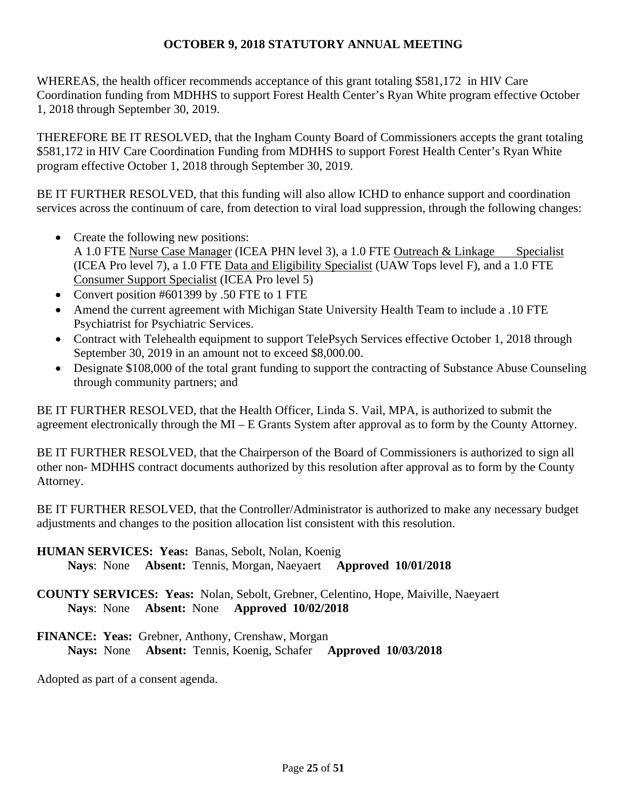WHEREAS, the health officer recommends acceptance of this grant totaling \$581,172 in HIV Care Coordination funding from MDHHS to support Forest Health Center's Ryan White program effective October 1, 2018 through September 30, 2019.

THEREFORE BE IT RESOLVED, that the Ingham County Board of Commissioners accepts the grant totaling \$581,172 in HIV Care Coordination Funding from MDHHS to support Forest Health Center's Ryan White program effective October 1, 2018 through September 30, 2019.

BE IT FURTHER RESOLVED, that this funding will also allow ICHD to enhance support and coordination services across the continuum of care, from detection to viral load suppression, through the following changes:

- Create the following new positions: A 1.0 FTE Nurse Case Manager (ICEA PHN level 3), a 1.0 FTE Outreach & Linkage Specialist (ICEA Pro level 7), a 1.0 FTE Data and Eligibility Specialist (UAW Tops level F), and a 1.0 FTE Consumer Support Specialist (ICEA Pro level 5)
- Convert position #601399 by .50 FTE to 1 FTE
- Amend the current agreement with Michigan State University Health Team to include a .10 FTE Psychiatrist for Psychiatric Services.
- Contract with Telehealth equipment to support TelePsych Services effective October 1, 2018 through September 30, 2019 in an amount not to exceed \$8,000.00.
- Designate \$108,000 of the total grant funding to support the contracting of Substance Abuse Counseling through community partners; and

BE IT FURTHER RESOLVED, that the Health Officer, Linda S. Vail, MPA, is authorized to submit the agreement electronically through the MI – E Grants System after approval as to form by the County Attorney.

BE IT FURTHER RESOLVED, that the Chairperson of the Board of Commissioners is authorized to sign all other non- MDHHS contract documents authorized by this resolution after approval as to form by the County Attorney.

BE IT FURTHER RESOLVED, that the Controller/Administrator is authorized to make any necessary budget adjustments and changes to the position allocation list consistent with this resolution.

**HUMAN SERVICES: Yeas:** Banas, Sebolt, Nolan, Koenig

 **Nays**: None **Absent:** Tennis, Morgan, Naeyaert **Approved 10/01/2018** 

**COUNTY SERVICES: Yeas:** Nolan, Sebolt, Grebner, Celentino, Hope, Maiville, Naeyaert **Nays**: None **Absent:** None **Approved 10/02/2018** 

**FINANCE: Yeas:** Grebner, Anthony, Crenshaw, Morgan **Nays:** None **Absent:** Tennis, Koenig, Schafer **Approved 10/03/2018**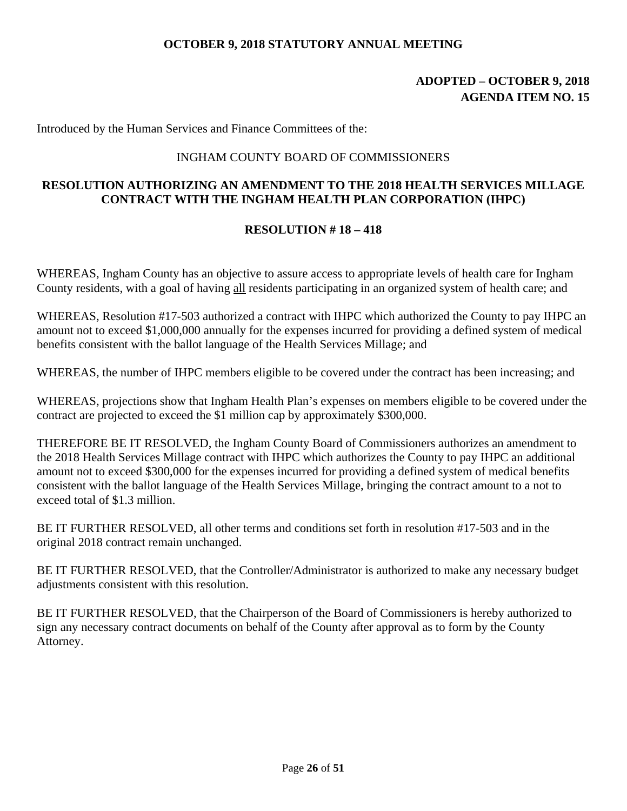# **ADOPTED – OCTOBER 9, 2018 AGENDA ITEM NO. 15**

Introduced by the Human Services and Finance Committees of the:

## INGHAM COUNTY BOARD OF COMMISSIONERS

# **RESOLUTION AUTHORIZING AN AMENDMENT TO THE 2018 HEALTH SERVICES MILLAGE CONTRACT WITH THE INGHAM HEALTH PLAN CORPORATION (IHPC)**

# **RESOLUTION # 18 – 418**

WHEREAS, Ingham County has an objective to assure access to appropriate levels of health care for Ingham County residents, with a goal of having all residents participating in an organized system of health care; and

WHEREAS, Resolution #17-503 authorized a contract with IHPC which authorized the County to pay IHPC an amount not to exceed \$1,000,000 annually for the expenses incurred for providing a defined system of medical benefits consistent with the ballot language of the Health Services Millage; and

WHEREAS, the number of IHPC members eligible to be covered under the contract has been increasing; and

WHEREAS, projections show that Ingham Health Plan's expenses on members eligible to be covered under the contract are projected to exceed the \$1 million cap by approximately \$300,000.

THEREFORE BE IT RESOLVED, the Ingham County Board of Commissioners authorizes an amendment to the 2018 Health Services Millage contract with IHPC which authorizes the County to pay IHPC an additional amount not to exceed \$300,000 for the expenses incurred for providing a defined system of medical benefits consistent with the ballot language of the Health Services Millage, bringing the contract amount to a not to exceed total of \$1.3 million.

BE IT FURTHER RESOLVED, all other terms and conditions set forth in resolution #17-503 and in the original 2018 contract remain unchanged.

BE IT FURTHER RESOLVED, that the Controller/Administrator is authorized to make any necessary budget adjustments consistent with this resolution.

BE IT FURTHER RESOLVED, that the Chairperson of the Board of Commissioners is hereby authorized to sign any necessary contract documents on behalf of the County after approval as to form by the County Attorney.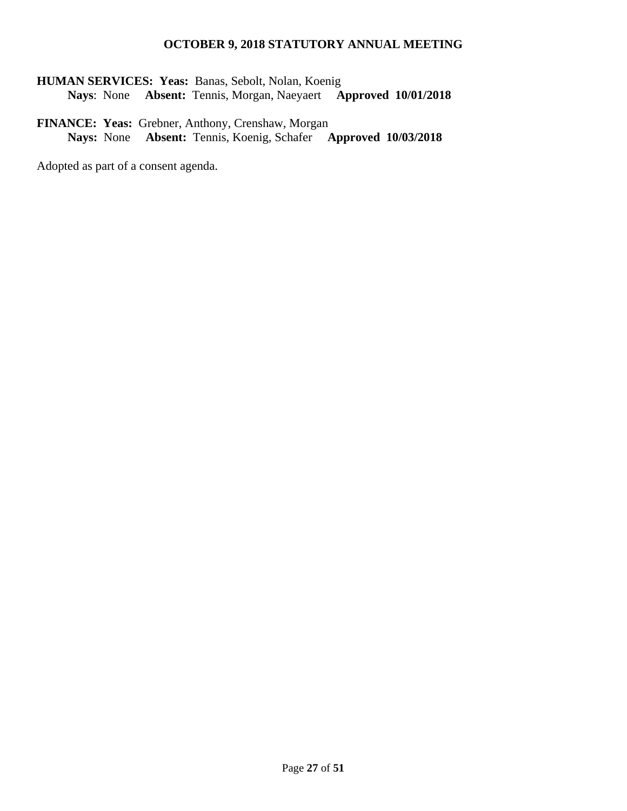**HUMAN SERVICES: Yeas:** Banas, Sebolt, Nolan, Koenig  **Nays**: None **Absent:** Tennis, Morgan, Naeyaert **Approved 10/01/2018** 

**FINANCE: Yeas:** Grebner, Anthony, Crenshaw, Morgan **Nays:** None **Absent:** Tennis, Koenig, Schafer **Approved 10/03/2018**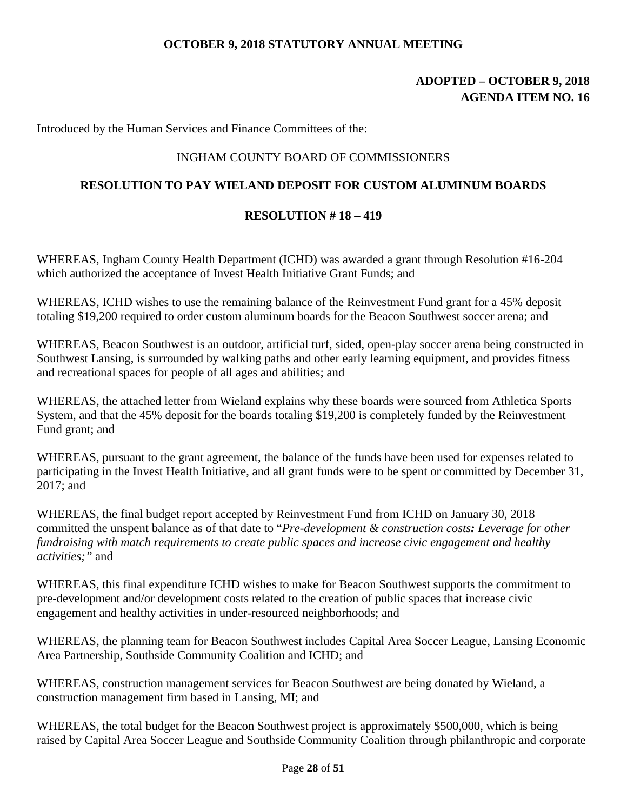# **ADOPTED – OCTOBER 9, 2018 AGENDA ITEM NO. 16**

Introduced by the Human Services and Finance Committees of the:

# INGHAM COUNTY BOARD OF COMMISSIONERS

# **RESOLUTION TO PAY WIELAND DEPOSIT FOR CUSTOM ALUMINUM BOARDS**

### **RESOLUTION # 18 – 419**

WHEREAS, Ingham County Health Department (ICHD) was awarded a grant through Resolution #16-204 which authorized the acceptance of Invest Health Initiative Grant Funds; and

WHEREAS, ICHD wishes to use the remaining balance of the Reinvestment Fund grant for a 45% deposit totaling \$19,200 required to order custom aluminum boards for the Beacon Southwest soccer arena; and

WHEREAS, Beacon Southwest is an outdoor, artificial turf, sided, open-play soccer arena being constructed in Southwest Lansing, is surrounded by walking paths and other early learning equipment, and provides fitness and recreational spaces for people of all ages and abilities; and

WHEREAS, the attached letter from Wieland explains why these boards were sourced from Athletica Sports System, and that the 45% deposit for the boards totaling \$19,200 is completely funded by the Reinvestment Fund grant; and

WHEREAS, pursuant to the grant agreement, the balance of the funds have been used for expenses related to participating in the Invest Health Initiative, and all grant funds were to be spent or committed by December 31, 2017; and

WHEREAS, the final budget report accepted by Reinvestment Fund from ICHD on January 30, 2018 committed the unspent balance as of that date to "*Pre-development & construction costs: Leverage for other fundraising with match requirements to create public spaces and increase civic engagement and healthy activities;"* and

WHEREAS, this final expenditure ICHD wishes to make for Beacon Southwest supports the commitment to pre-development and/or development costs related to the creation of public spaces that increase civic engagement and healthy activities in under-resourced neighborhoods; and

WHEREAS, the planning team for Beacon Southwest includes Capital Area Soccer League, Lansing Economic Area Partnership, Southside Community Coalition and ICHD; and

WHEREAS, construction management services for Beacon Southwest are being donated by Wieland, a construction management firm based in Lansing, MI; and

WHEREAS, the total budget for the Beacon Southwest project is approximately \$500,000, which is being raised by Capital Area Soccer League and Southside Community Coalition through philanthropic and corporate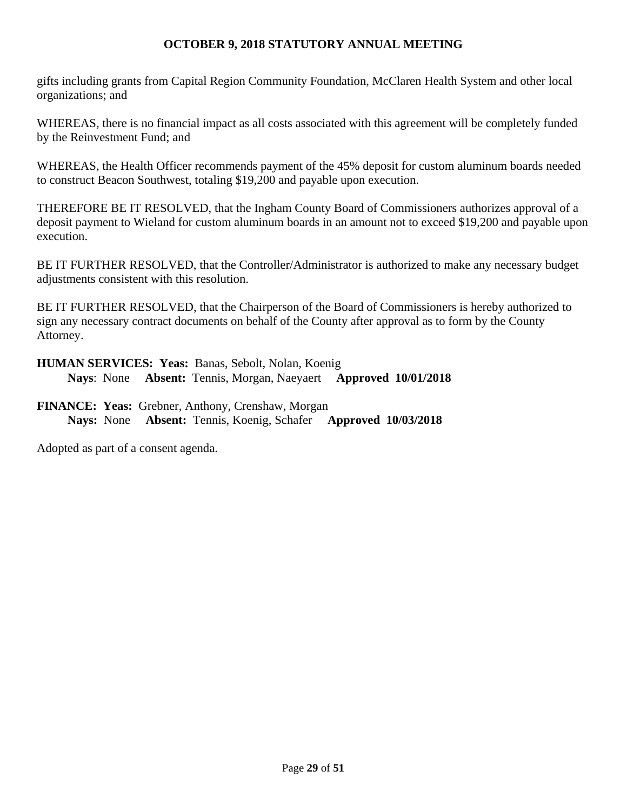gifts including grants from Capital Region Community Foundation, McClaren Health System and other local organizations; and

WHEREAS, there is no financial impact as all costs associated with this agreement will be completely funded by the Reinvestment Fund; and

WHEREAS, the Health Officer recommends payment of the 45% deposit for custom aluminum boards needed to construct Beacon Southwest, totaling \$19,200 and payable upon execution.

THEREFORE BE IT RESOLVED, that the Ingham County Board of Commissioners authorizes approval of a deposit payment to Wieland for custom aluminum boards in an amount not to exceed \$19,200 and payable upon execution.

BE IT FURTHER RESOLVED, that the Controller/Administrator is authorized to make any necessary budget adjustments consistent with this resolution.

BE IT FURTHER RESOLVED, that the Chairperson of the Board of Commissioners is hereby authorized to sign any necessary contract documents on behalf of the County after approval as to form by the County Attorney.

**HUMAN SERVICES: Yeas:** Banas, Sebolt, Nolan, Koenig  **Nays**: None **Absent:** Tennis, Morgan, Naeyaert **Approved 10/01/2018** 

**FINANCE: Yeas:** Grebner, Anthony, Crenshaw, Morgan **Nays:** None **Absent:** Tennis, Koenig, Schafer **Approved 10/03/2018**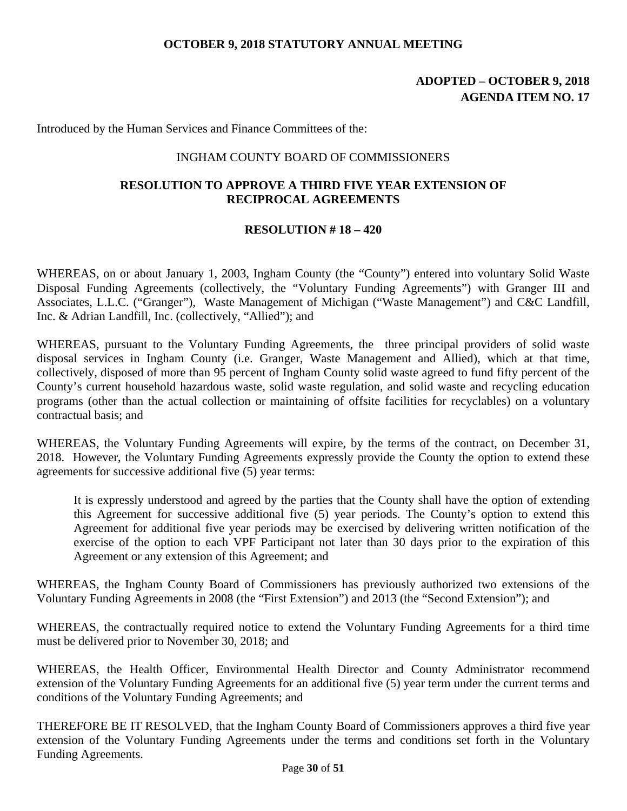# **ADOPTED – OCTOBER 9, 2018 AGENDA ITEM NO. 17**

Introduced by the Human Services and Finance Committees of the:

### INGHAM COUNTY BOARD OF COMMISSIONERS

# **RESOLUTION TO APPROVE A THIRD FIVE YEAR EXTENSION OF RECIPROCAL AGREEMENTS**

### **RESOLUTION # 18 – 420**

WHEREAS, on or about January 1, 2003, Ingham County (the "County") entered into voluntary Solid Waste Disposal Funding Agreements (collectively, the "Voluntary Funding Agreements") with Granger III and Associates, L.L.C. ("Granger"), Waste Management of Michigan ("Waste Management") and C&C Landfill, Inc. & Adrian Landfill, Inc. (collectively, "Allied"); and

WHEREAS, pursuant to the Voluntary Funding Agreements, the three principal providers of solid waste disposal services in Ingham County (i.e. Granger, Waste Management and Allied), which at that time, collectively, disposed of more than 95 percent of Ingham County solid waste agreed to fund fifty percent of the County's current household hazardous waste, solid waste regulation, and solid waste and recycling education programs (other than the actual collection or maintaining of offsite facilities for recyclables) on a voluntary contractual basis; and

WHEREAS, the Voluntary Funding Agreements will expire, by the terms of the contract, on December 31, 2018. However, the Voluntary Funding Agreements expressly provide the County the option to extend these agreements for successive additional five (5) year terms:

It is expressly understood and agreed by the parties that the County shall have the option of extending this Agreement for successive additional five (5) year periods. The County's option to extend this Agreement for additional five year periods may be exercised by delivering written notification of the exercise of the option to each VPF Participant not later than 30 days prior to the expiration of this Agreement or any extension of this Agreement; and

WHEREAS, the Ingham County Board of Commissioners has previously authorized two extensions of the Voluntary Funding Agreements in 2008 (the "First Extension") and 2013 (the "Second Extension"); and

WHEREAS, the contractually required notice to extend the Voluntary Funding Agreements for a third time must be delivered prior to November 30, 2018; and

WHEREAS, the Health Officer, Environmental Health Director and County Administrator recommend extension of the Voluntary Funding Agreements for an additional five (5) year term under the current terms and conditions of the Voluntary Funding Agreements; and

THEREFORE BE IT RESOLVED, that the Ingham County Board of Commissioners approves a third five year extension of the Voluntary Funding Agreements under the terms and conditions set forth in the Voluntary Funding Agreements.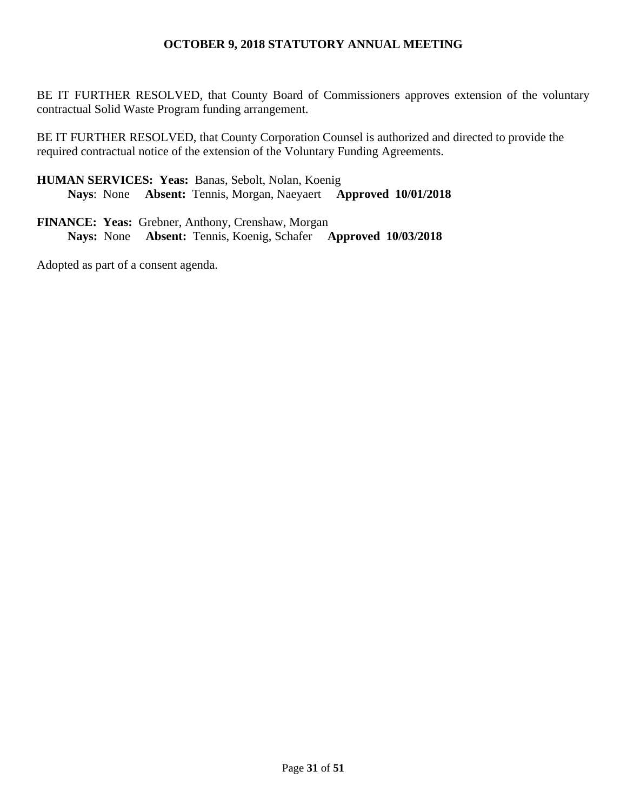BE IT FURTHER RESOLVED, that County Board of Commissioners approves extension of the voluntary contractual Solid Waste Program funding arrangement.

BE IT FURTHER RESOLVED, that County Corporation Counsel is authorized and directed to provide the required contractual notice of the extension of the Voluntary Funding Agreements.

**HUMAN SERVICES: Yeas:** Banas, Sebolt, Nolan, Koenig  **Nays**: None **Absent:** Tennis, Morgan, Naeyaert **Approved 10/01/2018** 

**FINANCE: Yeas:** Grebner, Anthony, Crenshaw, Morgan **Nays:** None **Absent:** Tennis, Koenig, Schafer **Approved 10/03/2018**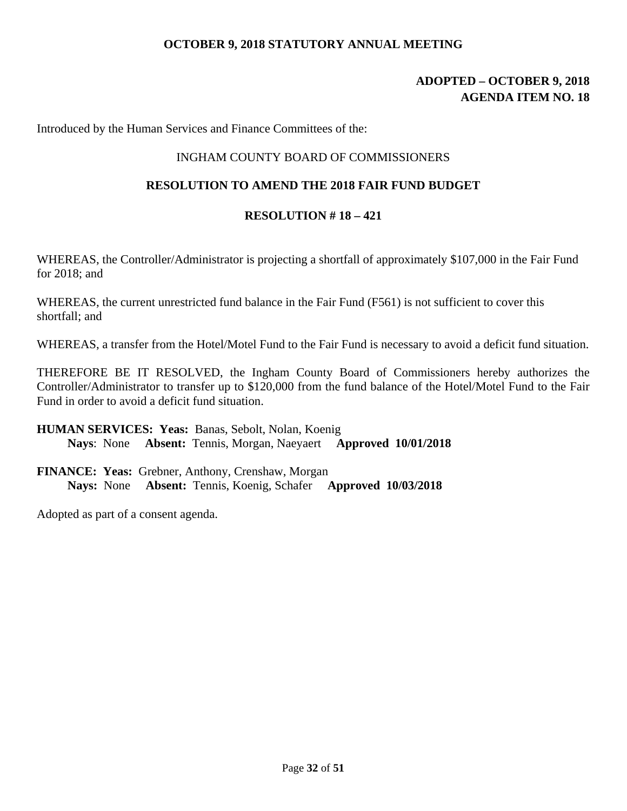# **ADOPTED – OCTOBER 9, 2018 AGENDA ITEM NO. 18**

Introduced by the Human Services and Finance Committees of the:

# INGHAM COUNTY BOARD OF COMMISSIONERS

# **RESOLUTION TO AMEND THE 2018 FAIR FUND BUDGET**

### **RESOLUTION # 18 – 421**

WHEREAS, the Controller/Administrator is projecting a shortfall of approximately \$107,000 in the Fair Fund for 2018; and

WHEREAS, the current unrestricted fund balance in the Fair Fund (F561) is not sufficient to cover this shortfall; and

WHEREAS, a transfer from the Hotel/Motel Fund to the Fair Fund is necessary to avoid a deficit fund situation.

THEREFORE BE IT RESOLVED, the Ingham County Board of Commissioners hereby authorizes the Controller/Administrator to transfer up to \$120,000 from the fund balance of the Hotel/Motel Fund to the Fair Fund in order to avoid a deficit fund situation.

# **HUMAN SERVICES: Yeas:** Banas, Sebolt, Nolan, Koenig  **Nays**: None **Absent:** Tennis, Morgan, Naeyaert **Approved 10/01/2018**

**FINANCE: Yeas:** Grebner, Anthony, Crenshaw, Morgan **Nays:** None **Absent:** Tennis, Koenig, Schafer **Approved 10/03/2018**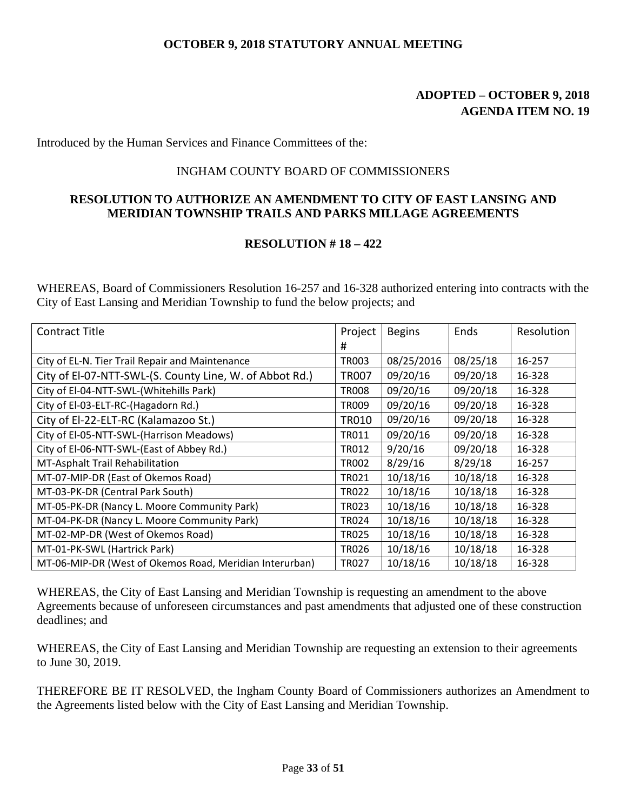# **ADOPTED – OCTOBER 9, 2018 AGENDA ITEM NO. 19**

Introduced by the Human Services and Finance Committees of the:

#### INGHAM COUNTY BOARD OF COMMISSIONERS

#### **RESOLUTION TO AUTHORIZE AN AMENDMENT TO CITY OF EAST LANSING AND MERIDIAN TOWNSHIP TRAILS AND PARKS MILLAGE AGREEMENTS**

#### **RESOLUTION # 18 – 422**

WHEREAS, Board of Commissioners Resolution 16-257 and 16-328 authorized entering into contracts with the City of East Lansing and Meridian Township to fund the below projects; and

| Contract Title                                          | Project      | <b>Begins</b> | Ends     | Resolution |
|---------------------------------------------------------|--------------|---------------|----------|------------|
|                                                         | #            |               |          |            |
| City of EL-N. Tier Trail Repair and Maintenance         | TR003        | 08/25/2016    | 08/25/18 | 16-257     |
| City of El-07-NTT-SWL-(S. County Line, W. of Abbot Rd.) | <b>TR007</b> | 09/20/16      | 09/20/18 | 16-328     |
| City of El-04-NTT-SWL-(Whitehills Park)                 | TR008        | 09/20/16      | 09/20/18 | 16-328     |
| City of El-03-ELT-RC-(Hagadorn Rd.)                     | <b>TR009</b> | 09/20/16      | 09/20/18 | 16-328     |
| City of El-22-ELT-RC (Kalamazoo St.)                    | <b>TR010</b> | 09/20/16      | 09/20/18 | 16-328     |
| City of El-05-NTT-SWL-(Harrison Meadows)                | TR011        | 09/20/16      | 09/20/18 | 16-328     |
| City of El-06-NTT-SWL-(East of Abbey Rd.)               | TR012        | 9/20/16       | 09/20/18 | 16-328     |
| MT-Asphalt Trail Rehabilitation                         | <b>TR002</b> | 8/29/16       | 8/29/18  | 16-257     |
| MT-07-MIP-DR (East of Okemos Road)                      | TR021        | 10/18/16      | 10/18/18 | 16-328     |
| MT-03-PK-DR (Central Park South)                        | <b>TR022</b> | 10/18/16      | 10/18/18 | 16-328     |
| MT-05-PK-DR (Nancy L. Moore Community Park)             | TR023        | 10/18/16      | 10/18/18 | 16-328     |
| MT-04-PK-DR (Nancy L. Moore Community Park)             | <b>TR024</b> | 10/18/16      | 10/18/18 | 16-328     |
| MT-02-MP-DR (West of Okemos Road)                       | <b>TR025</b> | 10/18/16      | 10/18/18 | 16-328     |
| MT-01-PK-SWL (Hartrick Park)                            | TR026        | 10/18/16      | 10/18/18 | 16-328     |
| MT-06-MIP-DR (West of Okemos Road, Meridian Interurban) | TR027        | 10/18/16      | 10/18/18 | 16-328     |

WHEREAS, the City of East Lansing and Meridian Township is requesting an amendment to the above Agreements because of unforeseen circumstances and past amendments that adjusted one of these construction deadlines; and

WHEREAS, the City of East Lansing and Meridian Township are requesting an extension to their agreements to June 30, 2019.

THEREFORE BE IT RESOLVED, the Ingham County Board of Commissioners authorizes an Amendment to the Agreements listed below with the City of East Lansing and Meridian Township.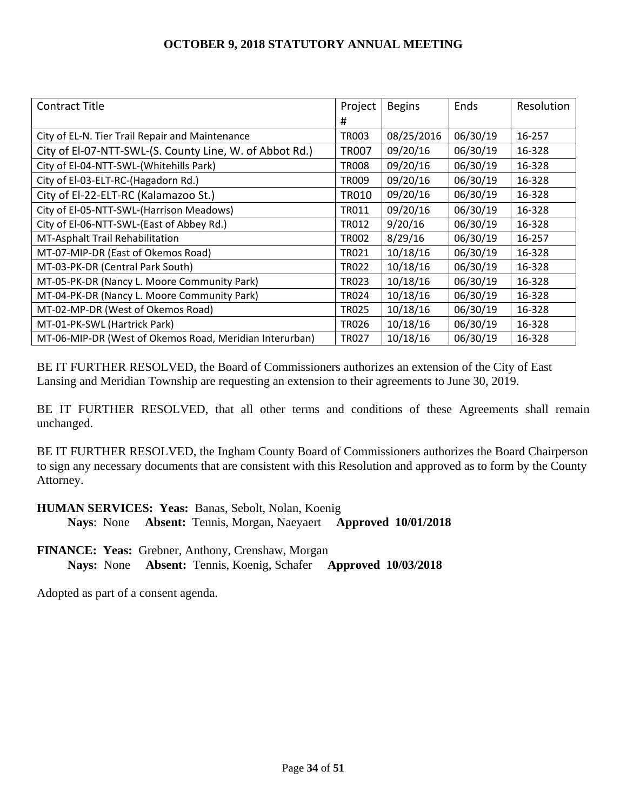| Contract Title                                          | Project      | <b>Begins</b> | Ends     | Resolution |
|---------------------------------------------------------|--------------|---------------|----------|------------|
|                                                         | #            |               |          |            |
| City of EL-N. Tier Trail Repair and Maintenance         | TR003        | 08/25/2016    | 06/30/19 | 16-257     |
| City of El-07-NTT-SWL-(S. County Line, W. of Abbot Rd.) | <b>TR007</b> | 09/20/16      | 06/30/19 | 16-328     |
| City of El-04-NTT-SWL-(Whitehills Park)                 | <b>TR008</b> | 09/20/16      | 06/30/19 | 16-328     |
| City of El-03-ELT-RC-(Hagadorn Rd.)                     | <b>TR009</b> | 09/20/16      | 06/30/19 | 16-328     |
| City of El-22-ELT-RC (Kalamazoo St.)                    | TR010        | 09/20/16      | 06/30/19 | 16-328     |
| City of El-05-NTT-SWL-(Harrison Meadows)                | TR011        | 09/20/16      | 06/30/19 | 16-328     |
| City of El-06-NTT-SWL-(East of Abbey Rd.)               | <b>TR012</b> | 9/20/16       | 06/30/19 | 16-328     |
| MT-Asphalt Trail Rehabilitation                         | <b>TR002</b> | 8/29/16       | 06/30/19 | 16-257     |
| MT-07-MIP-DR (East of Okemos Road)                      | TR021        | 10/18/16      | 06/30/19 | 16-328     |
| MT-03-PK-DR (Central Park South)                        | <b>TR022</b> | 10/18/16      | 06/30/19 | 16-328     |
| MT-05-PK-DR (Nancy L. Moore Community Park)             | TR023        | 10/18/16      | 06/30/19 | 16-328     |
| MT-04-PK-DR (Nancy L. Moore Community Park)             | <b>TR024</b> | 10/18/16      | 06/30/19 | 16-328     |
| MT-02-MP-DR (West of Okemos Road)                       | <b>TR025</b> | 10/18/16      | 06/30/19 | 16-328     |
| MT-01-PK-SWL (Hartrick Park)                            | <b>TR026</b> | 10/18/16      | 06/30/19 | 16-328     |
| MT-06-MIP-DR (West of Okemos Road, Meridian Interurban) | TR027        | 10/18/16      | 06/30/19 | 16-328     |

BE IT FURTHER RESOLVED, the Board of Commissioners authorizes an extension of the City of East Lansing and Meridian Township are requesting an extension to their agreements to June 30, 2019.

BE IT FURTHER RESOLVED, that all other terms and conditions of these Agreements shall remain unchanged.

BE IT FURTHER RESOLVED, the Ingham County Board of Commissioners authorizes the Board Chairperson to sign any necessary documents that are consistent with this Resolution and approved as to form by the County Attorney.

**HUMAN SERVICES: Yeas:** Banas, Sebolt, Nolan, Koenig

 **Nays**: None **Absent:** Tennis, Morgan, Naeyaert **Approved 10/01/2018** 

**FINANCE: Yeas:** Grebner, Anthony, Crenshaw, Morgan **Nays:** None **Absent:** Tennis, Koenig, Schafer **Approved 10/03/2018**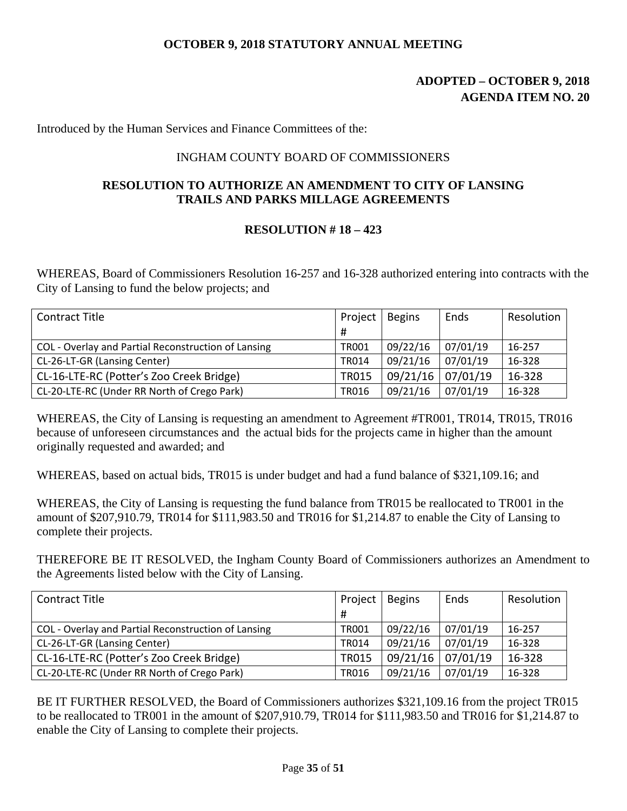# **ADOPTED – OCTOBER 9, 2018 AGENDA ITEM NO. 20**

Introduced by the Human Services and Finance Committees of the:

#### INGHAM COUNTY BOARD OF COMMISSIONERS

### **RESOLUTION TO AUTHORIZE AN AMENDMENT TO CITY OF LANSING TRAILS AND PARKS MILLAGE AGREEMENTS**

#### **RESOLUTION # 18 – 423**

WHEREAS, Board of Commissioners Resolution 16-257 and 16-328 authorized entering into contracts with the City of Lansing to fund the below projects; and

| <b>Contract Title</b>                               | Project      | <b>Begins</b> | Ends     | Resolution |
|-----------------------------------------------------|--------------|---------------|----------|------------|
|                                                     | #            |               |          |            |
| COL - Overlay and Partial Reconstruction of Lansing | <b>TR001</b> | 09/22/16      | 07/01/19 | 16-257     |
| CL-26-LT-GR (Lansing Center)                        | <b>TR014</b> | 09/21/16      | 07/01/19 | 16-328     |
| CL-16-LTE-RC (Potter's Zoo Creek Bridge)            | <b>TR015</b> | 09/21/16      | 07/01/19 | 16-328     |
| CL-20-LTE-RC (Under RR North of Crego Park)         | TR016        | 09/21/16      | 07/01/19 | 16-328     |

WHEREAS, the City of Lansing is requesting an amendment to Agreement #TR001, TR014, TR015, TR016 because of unforeseen circumstances and the actual bids for the projects came in higher than the amount originally requested and awarded; and

WHEREAS, based on actual bids, TR015 is under budget and had a fund balance of \$321,109.16; and

WHEREAS, the City of Lansing is requesting the fund balance from TR015 be reallocated to TR001 in the amount of \$207,910.79, TR014 for \$111,983.50 and TR016 for \$1,214.87 to enable the City of Lansing to complete their projects.

THEREFORE BE IT RESOLVED, the Ingham County Board of Commissioners authorizes an Amendment to the Agreements listed below with the City of Lansing.

| <b>Contract Title</b><br>Project                    |              | <b>Begins</b> | Ends     | Resolution |
|-----------------------------------------------------|--------------|---------------|----------|------------|
|                                                     | #            |               |          |            |
| COL - Overlay and Partial Reconstruction of Lansing | <b>TR001</b> | 09/22/16      | 07/01/19 | 16-257     |
| CL-26-LT-GR (Lansing Center)                        | <b>TR014</b> | 09/21/16      | 07/01/19 | 16-328     |
| CL-16-LTE-RC (Potter's Zoo Creek Bridge)            | <b>TR015</b> | 09/21/16      | 07/01/19 | 16-328     |
| CL-20-LTE-RC (Under RR North of Crego Park)         | <b>TR016</b> | 09/21/16      | 07/01/19 | 16-328     |

BE IT FURTHER RESOLVED, the Board of Commissioners authorizes \$321,109.16 from the project TR015 to be reallocated to TR001 in the amount of \$207,910.79, TR014 for \$111,983.50 and TR016 for \$1,214.87 to enable the City of Lansing to complete their projects.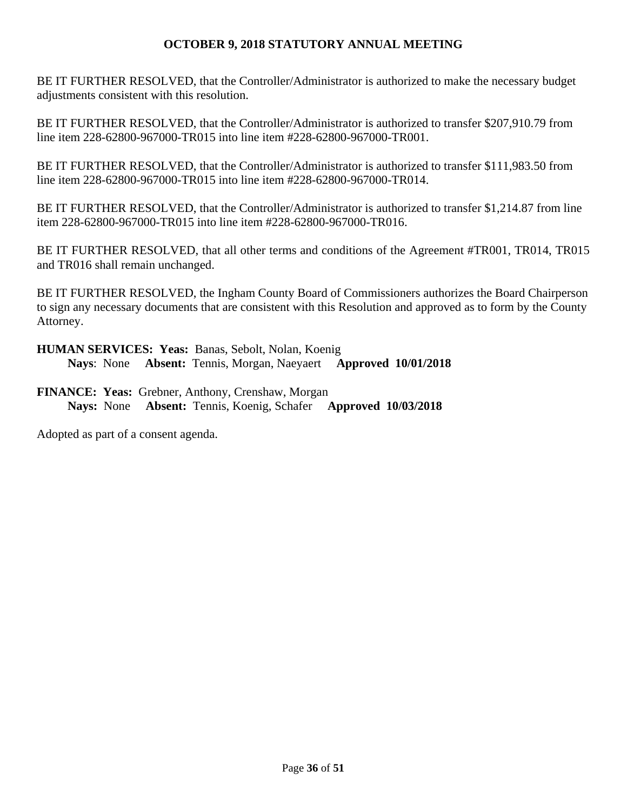BE IT FURTHER RESOLVED, that the Controller/Administrator is authorized to make the necessary budget adjustments consistent with this resolution.

BE IT FURTHER RESOLVED, that the Controller/Administrator is authorized to transfer \$207,910.79 from line item 228-62800-967000-TR015 into line item #228-62800-967000-TR001.

BE IT FURTHER RESOLVED, that the Controller/Administrator is authorized to transfer \$111,983.50 from line item 228-62800-967000-TR015 into line item #228-62800-967000-TR014.

BE IT FURTHER RESOLVED, that the Controller/Administrator is authorized to transfer \$1,214.87 from line item 228-62800-967000-TR015 into line item #228-62800-967000-TR016.

BE IT FURTHER RESOLVED, that all other terms and conditions of the Agreement #TR001, TR014, TR015 and TR016 shall remain unchanged.

BE IT FURTHER RESOLVED, the Ingham County Board of Commissioners authorizes the Board Chairperson to sign any necessary documents that are consistent with this Resolution and approved as to form by the County Attorney.

**HUMAN SERVICES: Yeas:** Banas, Sebolt, Nolan, Koenig  **Nays**: None **Absent:** Tennis, Morgan, Naeyaert **Approved 10/01/2018** 

**FINANCE: Yeas:** Grebner, Anthony, Crenshaw, Morgan **Nays:** None **Absent:** Tennis, Koenig, Schafer **Approved 10/03/2018**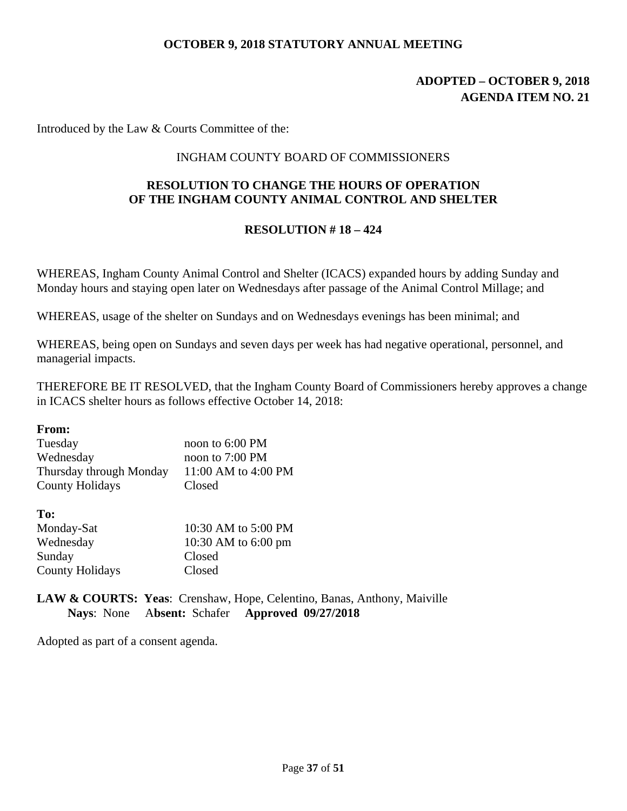# **ADOPTED – OCTOBER 9, 2018 AGENDA ITEM NO. 21**

Introduced by the Law & Courts Committee of the:

#### INGHAM COUNTY BOARD OF COMMISSIONERS

# **RESOLUTION TO CHANGE THE HOURS OF OPERATION OF THE INGHAM COUNTY ANIMAL CONTROL AND SHELTER**

#### **RESOLUTION # 18 – 424**

WHEREAS, Ingham County Animal Control and Shelter (ICACS) expanded hours by adding Sunday and Monday hours and staying open later on Wednesdays after passage of the Animal Control Millage; and

WHEREAS, usage of the shelter on Sundays and on Wednesdays evenings has been minimal; and

WHEREAS, being open on Sundays and seven days per week has had negative operational, personnel, and managerial impacts.

THEREFORE BE IT RESOLVED, that the Ingham County Board of Commissioners hereby approves a change in ICACS shelter hours as follows effective October 14, 2018:

**From:** 

| noon to 6:00 PM     |
|---------------------|
| noon to 7:00 PM     |
| 11:00 AM to 4:00 PM |
| Closed              |
|                     |

**To:** 

| .                      |                     |
|------------------------|---------------------|
| Monday-Sat             | 10:30 AM to 5:00 PM |
| Wednesday              | 10:30 AM to 6:00 pm |
| Sunday                 | Closed              |
| <b>County Holidays</b> | Closed              |

**LAW & COURTS: Yeas**: Crenshaw, Hope, Celentino, Banas, Anthony, Maiville  **Nays**: None A**bsent:** Schafer **Approved 09/27/2018**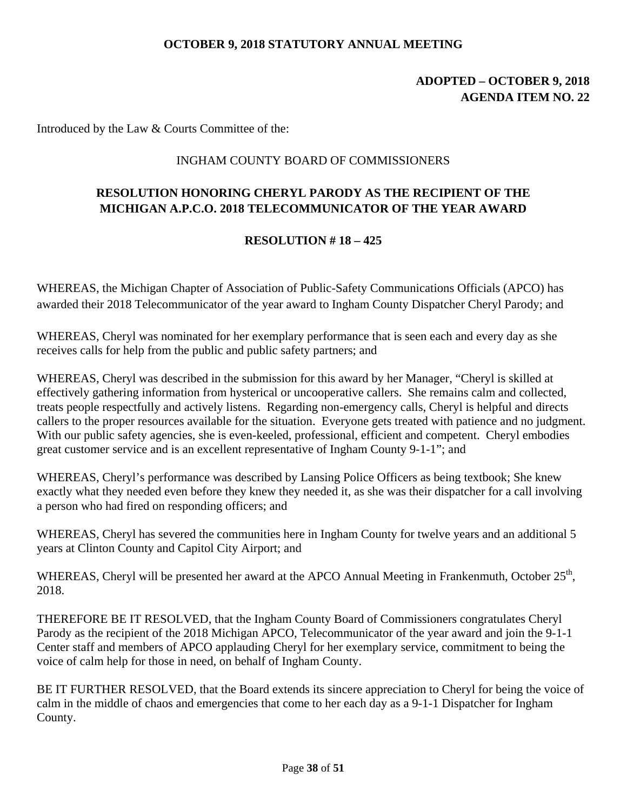# **ADOPTED – OCTOBER 9, 2018 AGENDA ITEM NO. 22**

Introduced by the Law & Courts Committee of the:

#### INGHAM COUNTY BOARD OF COMMISSIONERS

# **RESOLUTION HONORING CHERYL PARODY AS THE RECIPIENT OF THE MICHIGAN A.P.C.O. 2018 TELECOMMUNICATOR OF THE YEAR AWARD**

#### **RESOLUTION # 18 – 425**

WHEREAS, the Michigan Chapter of Association of Public-Safety Communications Officials (APCO) has awarded their 2018 Telecommunicator of the year award to Ingham County Dispatcher Cheryl Parody; and

WHEREAS, Cheryl was nominated for her exemplary performance that is seen each and every day as she receives calls for help from the public and public safety partners; and

WHEREAS, Cheryl was described in the submission for this award by her Manager, "Cheryl is skilled at effectively gathering information from hysterical or uncooperative callers. She remains calm and collected, treats people respectfully and actively listens. Regarding non-emergency calls, Cheryl is helpful and directs callers to the proper resources available for the situation. Everyone gets treated with patience and no judgment. With our public safety agencies, she is even-keeled, professional, efficient and competent. Cheryl embodies great customer service and is an excellent representative of Ingham County 9-1-1"; and

WHEREAS, Cheryl's performance was described by Lansing Police Officers as being textbook; She knew exactly what they needed even before they knew they needed it, as she was their dispatcher for a call involving a person who had fired on responding officers; and

WHEREAS, Cheryl has severed the communities here in Ingham County for twelve years and an additional 5 years at Clinton County and Capitol City Airport; and

WHEREAS, Cheryl will be presented her award at the APCO Annual Meeting in Frankenmuth, October 25<sup>th</sup>, 2018.

THEREFORE BE IT RESOLVED, that the Ingham County Board of Commissioners congratulates Cheryl Parody as the recipient of the 2018 Michigan APCO, Telecommunicator of the year award and join the 9-1-1 Center staff and members of APCO applauding Cheryl for her exemplary service, commitment to being the voice of calm help for those in need, on behalf of Ingham County.

BE IT FURTHER RESOLVED, that the Board extends its sincere appreciation to Cheryl for being the voice of calm in the middle of chaos and emergencies that come to her each day as a 9-1-1 Dispatcher for Ingham County.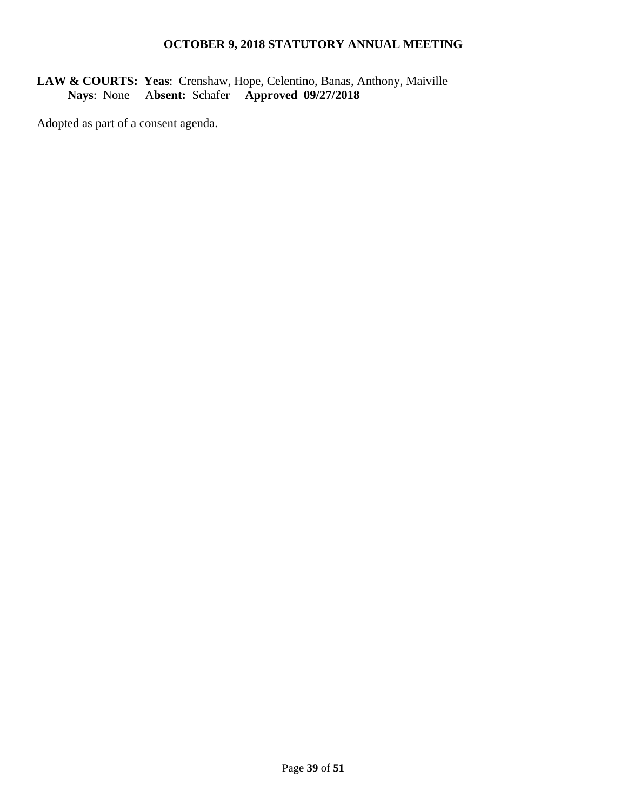# **LAW & COURTS: Yeas**: Crenshaw, Hope, Celentino, Banas, Anthony, Maiville  **Nays**: None A**bsent:** Schafer **Approved 09/27/2018**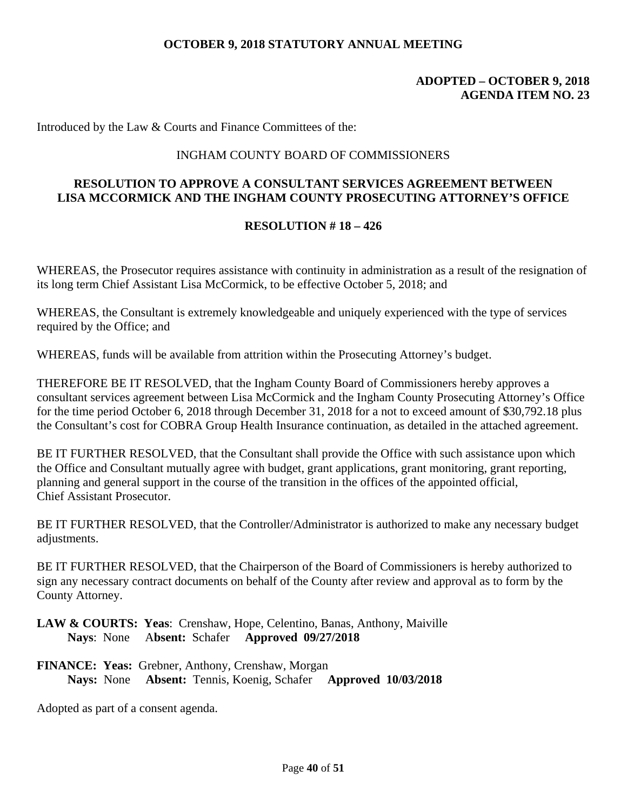### **ADOPTED – OCTOBER 9, 2018 AGENDA ITEM NO. 23**

Introduced by the Law & Courts and Finance Committees of the:

#### INGHAM COUNTY BOARD OF COMMISSIONERS

# **RESOLUTION TO APPROVE A CONSULTANT SERVICES AGREEMENT BETWEEN LISA MCCORMICK AND THE INGHAM COUNTY PROSECUTING ATTORNEY'S OFFICE**

#### **RESOLUTION # 18 – 426**

WHEREAS, the Prosecutor requires assistance with continuity in administration as a result of the resignation of its long term Chief Assistant Lisa McCormick, to be effective October 5, 2018; and

WHEREAS, the Consultant is extremely knowledgeable and uniquely experienced with the type of services required by the Office; and

WHEREAS, funds will be available from attrition within the Prosecuting Attorney's budget.

THEREFORE BE IT RESOLVED, that the Ingham County Board of Commissioners hereby approves a consultant services agreement between Lisa McCormick and the Ingham County Prosecuting Attorney's Office for the time period October 6, 2018 through December 31, 2018 for a not to exceed amount of \$30,792.18 plus the Consultant's cost for COBRA Group Health Insurance continuation, as detailed in the attached agreement.

BE IT FURTHER RESOLVED, that the Consultant shall provide the Office with such assistance upon which the Office and Consultant mutually agree with budget, grant applications, grant monitoring, grant reporting, planning and general support in the course of the transition in the offices of the appointed official, Chief Assistant Prosecutor.

BE IT FURTHER RESOLVED, that the Controller/Administrator is authorized to make any necessary budget adjustments.

BE IT FURTHER RESOLVED, that the Chairperson of the Board of Commissioners is hereby authorized to sign any necessary contract documents on behalf of the County after review and approval as to form by the County Attorney.

**LAW & COURTS: Yeas**: Crenshaw, Hope, Celentino, Banas, Anthony, Maiville  **Nays**: None A**bsent:** Schafer **Approved 09/27/2018**

**FINANCE: Yeas:** Grebner, Anthony, Crenshaw, Morgan **Nays:** None **Absent:** Tennis, Koenig, Schafer **Approved 10/03/2018**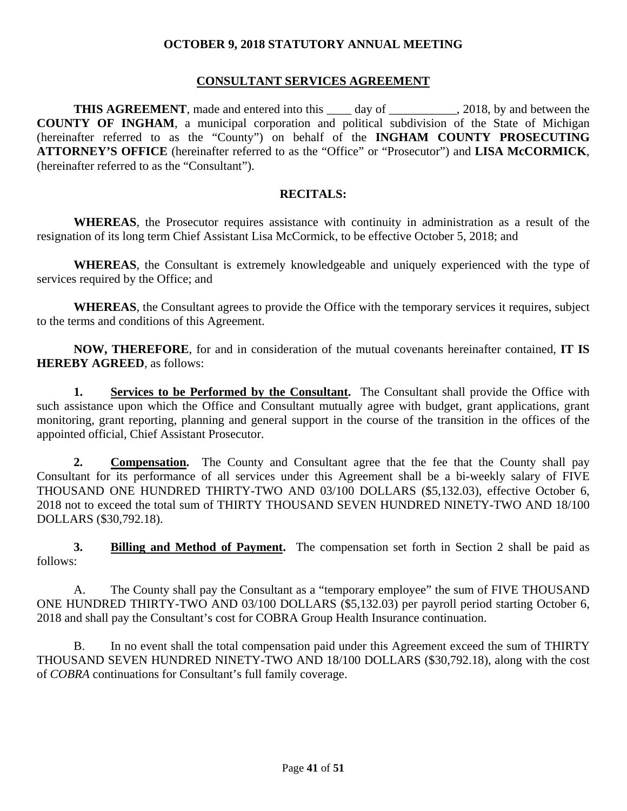#### **CONSULTANT SERVICES AGREEMENT**

**THIS AGREEMENT**, made and entered into this \_\_\_\_ day of \_\_\_\_\_\_\_\_\_\_, 2018, by and between the **COUNTY OF INGHAM**, a municipal corporation and political subdivision of the State of Michigan (hereinafter referred to as the "County") on behalf of the **INGHAM COUNTY PROSECUTING ATTORNEY'S OFFICE** (hereinafter referred to as the "Office" or "Prosecutor") and **LISA McCORMICK**, (hereinafter referred to as the "Consultant").

#### **RECITALS:**

**WHEREAS**, the Prosecutor requires assistance with continuity in administration as a result of the resignation of its long term Chief Assistant Lisa McCormick, to be effective October 5, 2018; and

**WHEREAS**, the Consultant is extremely knowledgeable and uniquely experienced with the type of services required by the Office; and

**WHEREAS**, the Consultant agrees to provide the Office with the temporary services it requires, subject to the terms and conditions of this Agreement.

**NOW, THEREFORE**, for and in consideration of the mutual covenants hereinafter contained, **IT IS HEREBY AGREED**, as follows:

**1.** Services to be Performed by the Consultant. The Consultant shall provide the Office with such assistance upon which the Office and Consultant mutually agree with budget, grant applications, grant monitoring, grant reporting, planning and general support in the course of the transition in the offices of the appointed official, Chief Assistant Prosecutor.

**2. Compensation.** The County and Consultant agree that the fee that the County shall pay Consultant for its performance of all services under this Agreement shall be a bi-weekly salary of FIVE THOUSAND ONE HUNDRED THIRTY-TWO AND 03/100 DOLLARS (\$5,132.03), effective October 6, 2018 not to exceed the total sum of THIRTY THOUSAND SEVEN HUNDRED NINETY-TWO AND 18/100 DOLLARS (\$30,792.18).

**3. Billing and Method of Payment.** The compensation set forth in Section 2 shall be paid as follows:

 A. The County shall pay the Consultant as a "temporary employee" the sum of FIVE THOUSAND ONE HUNDRED THIRTY-TWO AND 03/100 DOLLARS (\$5,132.03) per payroll period starting October 6, 2018 and shall pay the Consultant's cost for COBRA Group Health Insurance continuation.

 B. In no event shall the total compensation paid under this Agreement exceed the sum of THIRTY THOUSAND SEVEN HUNDRED NINETY-TWO AND 18/100 DOLLARS (\$30,792.18), along with the cost of *COBRA* continuations for Consultant's full family coverage.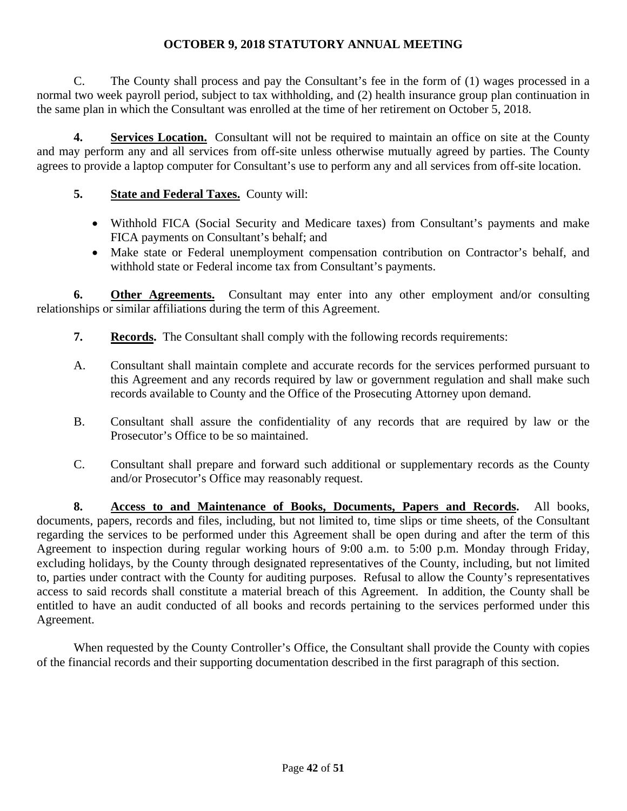C. The County shall process and pay the Consultant's fee in the form of (1) wages processed in a normal two week payroll period, subject to tax withholding, and (2) health insurance group plan continuation in the same plan in which the Consultant was enrolled at the time of her retirement on October 5, 2018.

**4. Services Location.** Consultant will not be required to maintain an office on site at the County and may perform any and all services from off-site unless otherwise mutually agreed by parties. The County agrees to provide a laptop computer for Consultant's use to perform any and all services from off-site location.

# **5. State and Federal Taxes.** County will:

- Withhold FICA (Social Security and Medicare taxes) from Consultant's payments and make FICA payments on Consultant's behalf; and
- Make state or Federal unemployment compensation contribution on Contractor's behalf, and withhold state or Federal income tax from Consultant's payments.

**6.** Other Agreements. Consultant may enter into any other employment and/or consulting relationships or similar affiliations during the term of this Agreement.

- **7.** Records. The Consultant shall comply with the following records requirements:
- A. Consultant shall maintain complete and accurate records for the services performed pursuant to this Agreement and any records required by law or government regulation and shall make such records available to County and the Office of the Prosecuting Attorney upon demand.
- B. Consultant shall assure the confidentiality of any records that are required by law or the Prosecutor's Office to be so maintained.
- C. Consultant shall prepare and forward such additional or supplementary records as the County and/or Prosecutor's Office may reasonably request.

**8. Access to and Maintenance of Books, Documents, Papers and Records.** All books, documents, papers, records and files, including, but not limited to, time slips or time sheets, of the Consultant regarding the services to be performed under this Agreement shall be open during and after the term of this Agreement to inspection during regular working hours of 9:00 a.m. to 5:00 p.m. Monday through Friday, excluding holidays, by the County through designated representatives of the County, including, but not limited to, parties under contract with the County for auditing purposes. Refusal to allow the County's representatives access to said records shall constitute a material breach of this Agreement. In addition, the County shall be entitled to have an audit conducted of all books and records pertaining to the services performed under this Agreement.

 When requested by the County Controller's Office, the Consultant shall provide the County with copies of the financial records and their supporting documentation described in the first paragraph of this section.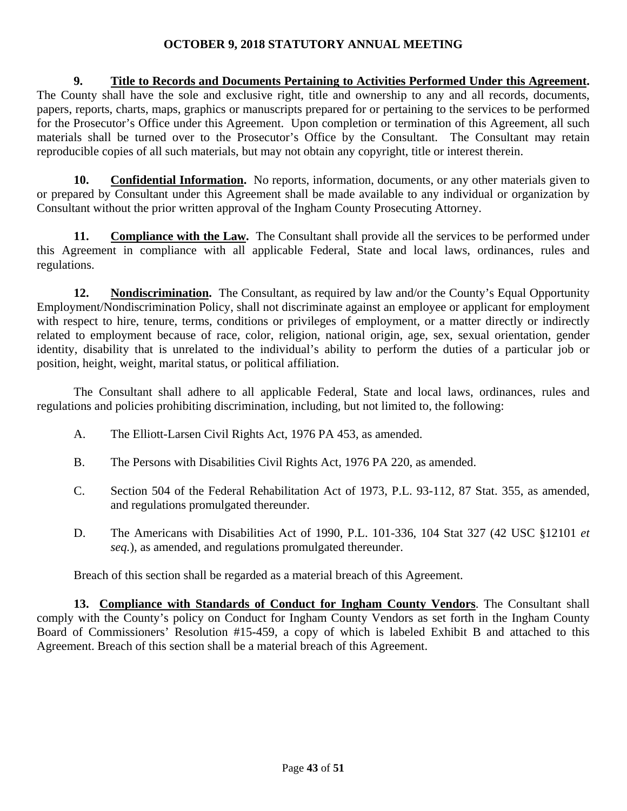**9. Title to Records and Documents Pertaining to Activities Performed Under this Agreement.** The County shall have the sole and exclusive right, title and ownership to any and all records, documents, papers, reports, charts, maps, graphics or manuscripts prepared for or pertaining to the services to be performed for the Prosecutor's Office under this Agreement. Upon completion or termination of this Agreement, all such materials shall be turned over to the Prosecutor's Office by the Consultant. The Consultant may retain reproducible copies of all such materials, but may not obtain any copyright, title or interest therein.

**10. Confidential Information.** No reports, information, documents, or any other materials given to or prepared by Consultant under this Agreement shall be made available to any individual or organization by Consultant without the prior written approval of the Ingham County Prosecuting Attorney.

11. Compliance with the Law. The Consultant shall provide all the services to be performed under this Agreement in compliance with all applicable Federal, State and local laws, ordinances, rules and regulations.

**12. Nondiscrimination.** The Consultant, as required by law and/or the County's Equal Opportunity Employment/Nondiscrimination Policy, shall not discriminate against an employee or applicant for employment with respect to hire, tenure, terms, conditions or privileges of employment, or a matter directly or indirectly related to employment because of race, color, religion, national origin, age, sex, sexual orientation, gender identity, disability that is unrelated to the individual's ability to perform the duties of a particular job or position, height, weight, marital status, or political affiliation.

 The Consultant shall adhere to all applicable Federal, State and local laws, ordinances, rules and regulations and policies prohibiting discrimination, including, but not limited to, the following:

- A. The Elliott-Larsen Civil Rights Act, 1976 PA 453, as amended.
- B. The Persons with Disabilities Civil Rights Act, 1976 PA 220, as amended.
- C. Section 504 of the Federal Rehabilitation Act of 1973, P.L. 93-112, 87 Stat. 355, as amended, and regulations promulgated thereunder.
- D. The Americans with Disabilities Act of 1990, P.L. 101-336, 104 Stat 327 (42 USC §12101 *et seq.*), as amended, and regulations promulgated thereunder.

Breach of this section shall be regarded as a material breach of this Agreement.

**13. Compliance with Standards of Conduct for Ingham County Vendors**. The Consultant shall comply with the County's policy on Conduct for Ingham County Vendors as set forth in the Ingham County Board of Commissioners' Resolution #15-459, a copy of which is labeled Exhibit B and attached to this Agreement. Breach of this section shall be a material breach of this Agreement.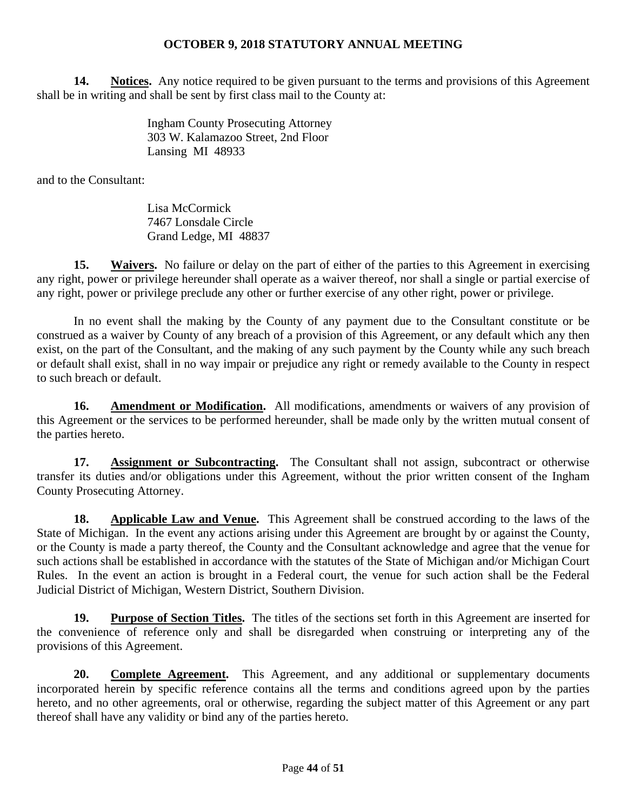**14. Notices.** Any notice required to be given pursuant to the terms and provisions of this Agreement shall be in writing and shall be sent by first class mail to the County at:

> Ingham County Prosecuting Attorney 303 W. Kalamazoo Street, 2nd Floor Lansing MI 48933

and to the Consultant:

 Lisa McCormick 7467 Lonsdale Circle Grand Ledge, MI 48837

**15. Waivers.** No failure or delay on the part of either of the parties to this Agreement in exercising any right, power or privilege hereunder shall operate as a waiver thereof, nor shall a single or partial exercise of any right, power or privilege preclude any other or further exercise of any other right, power or privilege.

 In no event shall the making by the County of any payment due to the Consultant constitute or be construed as a waiver by County of any breach of a provision of this Agreement, or any default which any then exist, on the part of the Consultant, and the making of any such payment by the County while any such breach or default shall exist, shall in no way impair or prejudice any right or remedy available to the County in respect to such breach or default.

**16. Amendment or Modification.** All modifications, amendments or waivers of any provision of this Agreement or the services to be performed hereunder, shall be made only by the written mutual consent of the parties hereto.

**17. Assignment or Subcontracting.** The Consultant shall not assign, subcontract or otherwise transfer its duties and/or obligations under this Agreement, without the prior written consent of the Ingham County Prosecuting Attorney.

**18. Applicable Law and Venue.** This Agreement shall be construed according to the laws of the State of Michigan. In the event any actions arising under this Agreement are brought by or against the County, or the County is made a party thereof, the County and the Consultant acknowledge and agree that the venue for such actions shall be established in accordance with the statutes of the State of Michigan and/or Michigan Court Rules. In the event an action is brought in a Federal court, the venue for such action shall be the Federal Judicial District of Michigan, Western District, Southern Division.

**19. Purpose of Section Titles.** The titles of the sections set forth in this Agreement are inserted for the convenience of reference only and shall be disregarded when construing or interpreting any of the provisions of this Agreement.

**20. Complete Agreement.** This Agreement, and any additional or supplementary documents incorporated herein by specific reference contains all the terms and conditions agreed upon by the parties hereto, and no other agreements, oral or otherwise, regarding the subject matter of this Agreement or any part thereof shall have any validity or bind any of the parties hereto.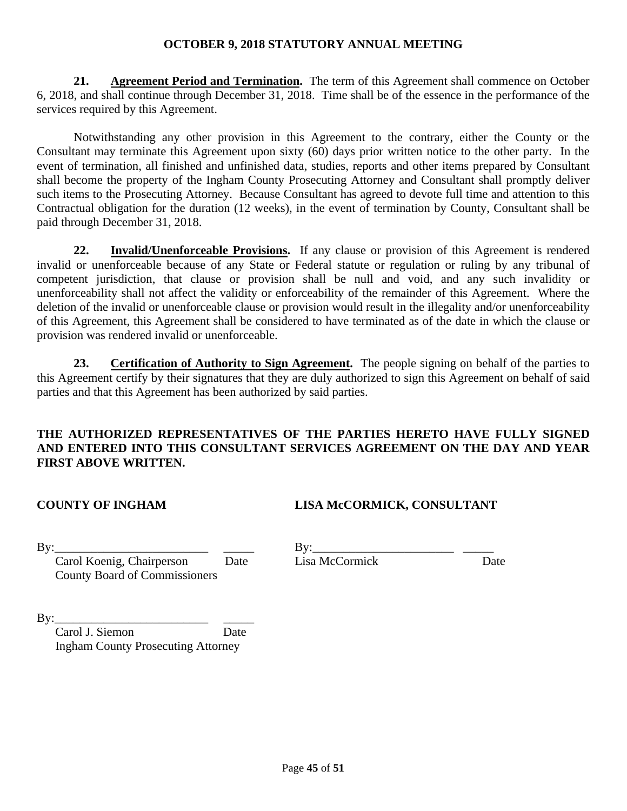**21. Agreement Period and Termination.** The term of this Agreement shall commence on October 6, 2018, and shall continue through December 31, 2018. Time shall be of the essence in the performance of the services required by this Agreement.

 Notwithstanding any other provision in this Agreement to the contrary, either the County or the Consultant may terminate this Agreement upon sixty (60) days prior written notice to the other party. In the event of termination, all finished and unfinished data, studies, reports and other items prepared by Consultant shall become the property of the Ingham County Prosecuting Attorney and Consultant shall promptly deliver such items to the Prosecuting Attorney. Because Consultant has agreed to devote full time and attention to this Contractual obligation for the duration (12 weeks), in the event of termination by County, Consultant shall be paid through December 31, 2018.

**22. Invalid/Unenforceable Provisions.** If any clause or provision of this Agreement is rendered invalid or unenforceable because of any State or Federal statute or regulation or ruling by any tribunal of competent jurisdiction, that clause or provision shall be null and void, and any such invalidity or unenforceability shall not affect the validity or enforceability of the remainder of this Agreement. Where the deletion of the invalid or unenforceable clause or provision would result in the illegality and/or unenforceability of this Agreement, this Agreement shall be considered to have terminated as of the date in which the clause or provision was rendered invalid or unenforceable.

**23. Certification of Authority to Sign Agreement.** The people signing on behalf of the parties to this Agreement certify by their signatures that they are duly authorized to sign this Agreement on behalf of said parties and that this Agreement has been authorized by said parties.

# **THE AUTHORIZED REPRESENTATIVES OF THE PARTIES HERETO HAVE FULLY SIGNED AND ENTERED INTO THIS CONSULTANT SERVICES AGREEMENT ON THE DAY AND YEAR FIRST ABOVE WRITTEN.**

# **COUNTY OF INGHAM LISA McCORMICK, CONSULTANT**

County Board of Commissioners

By:\_\_\_\_\_\_\_\_\_\_\_\_\_\_\_\_\_\_\_\_\_\_\_\_\_ \_\_\_\_\_ By:\_\_\_\_\_\_\_\_\_\_\_\_\_\_\_\_\_\_\_\_\_\_\_ \_\_\_\_\_ Carol Koenig, Chairperson Date Lisa McCormick Date

 $\mathbf{B} \mathbf{v}$ :

 Carol J. Siemon Date Ingham County Prosecuting Attorney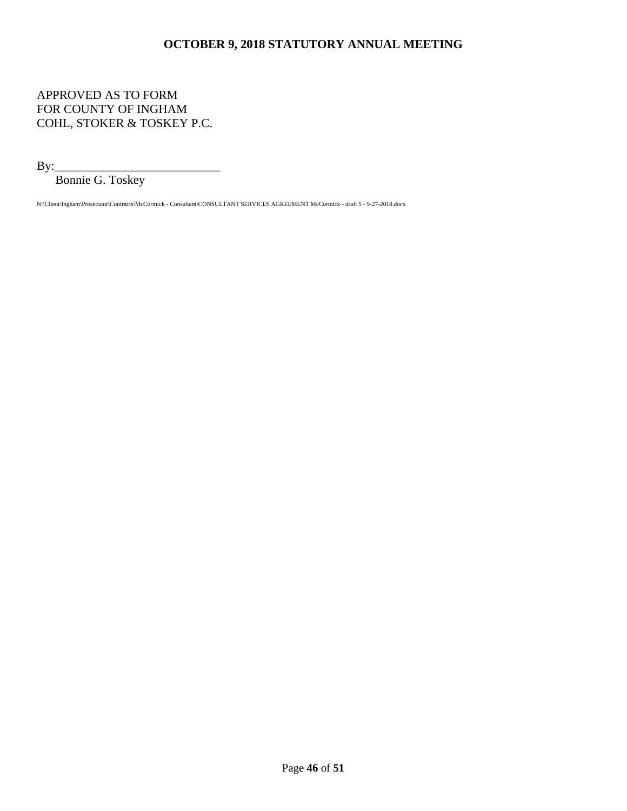# APPROVED AS TO FORM FOR COUNTY OF INGHAM COHL, STOKER & TOSKEY P.C.

By:\_\_\_\_\_\_\_\_\_\_\_\_\_\_\_\_\_\_\_\_\_\_\_\_\_\_\_

Bonnie G. Toskey

N:\Client\Ingham\Prosecutor\Contracts\McCormick - Consultant\CONSULTANT SERVICES AGREEMENT McCormick - draft 5 - 9-27-2018.docx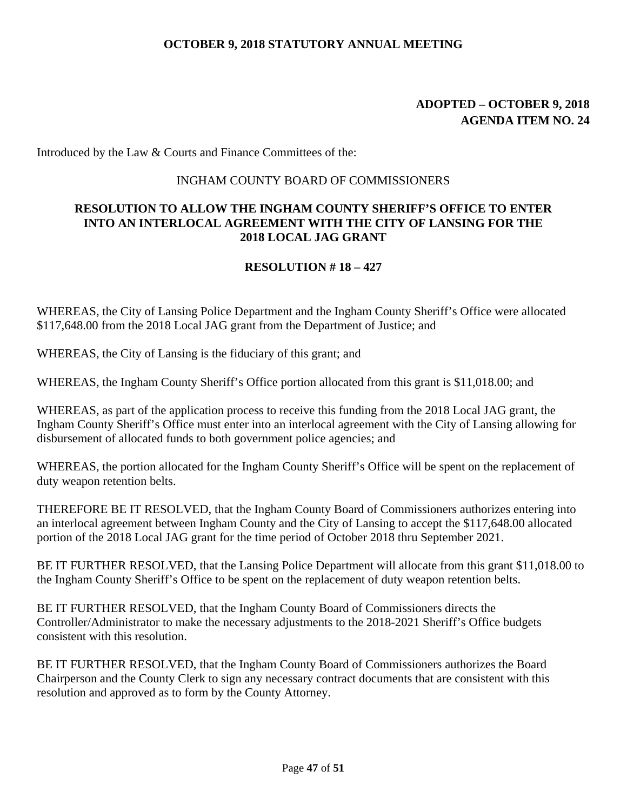# **ADOPTED – OCTOBER 9, 2018 AGENDA ITEM NO. 24**

Introduced by the Law & Courts and Finance Committees of the:

#### INGHAM COUNTY BOARD OF COMMISSIONERS

#### **RESOLUTION TO ALLOW THE INGHAM COUNTY SHERIFF'S OFFICE TO ENTER INTO AN INTERLOCAL AGREEMENT WITH THE CITY OF LANSING FOR THE 2018 LOCAL JAG GRANT**

#### **RESOLUTION # 18 – 427**

WHEREAS, the City of Lansing Police Department and the Ingham County Sheriff's Office were allocated \$117,648.00 from the 2018 Local JAG grant from the Department of Justice; and

WHEREAS, the City of Lansing is the fiduciary of this grant; and

WHEREAS, the Ingham County Sheriff's Office portion allocated from this grant is \$11,018.00; and

WHEREAS, as part of the application process to receive this funding from the 2018 Local JAG grant, the Ingham County Sheriff's Office must enter into an interlocal agreement with the City of Lansing allowing for disbursement of allocated funds to both government police agencies; and

WHEREAS, the portion allocated for the Ingham County Sheriff's Office will be spent on the replacement of duty weapon retention belts.

THEREFORE BE IT RESOLVED, that the Ingham County Board of Commissioners authorizes entering into an interlocal agreement between Ingham County and the City of Lansing to accept the \$117,648.00 allocated portion of the 2018 Local JAG grant for the time period of October 2018 thru September 2021.

BE IT FURTHER RESOLVED, that the Lansing Police Department will allocate from this grant \$11,018.00 to the Ingham County Sheriff's Office to be spent on the replacement of duty weapon retention belts.

BE IT FURTHER RESOLVED, that the Ingham County Board of Commissioners directs the Controller/Administrator to make the necessary adjustments to the 2018-2021 Sheriff's Office budgets consistent with this resolution.

BE IT FURTHER RESOLVED, that the Ingham County Board of Commissioners authorizes the Board Chairperson and the County Clerk to sign any necessary contract documents that are consistent with this resolution and approved as to form by the County Attorney.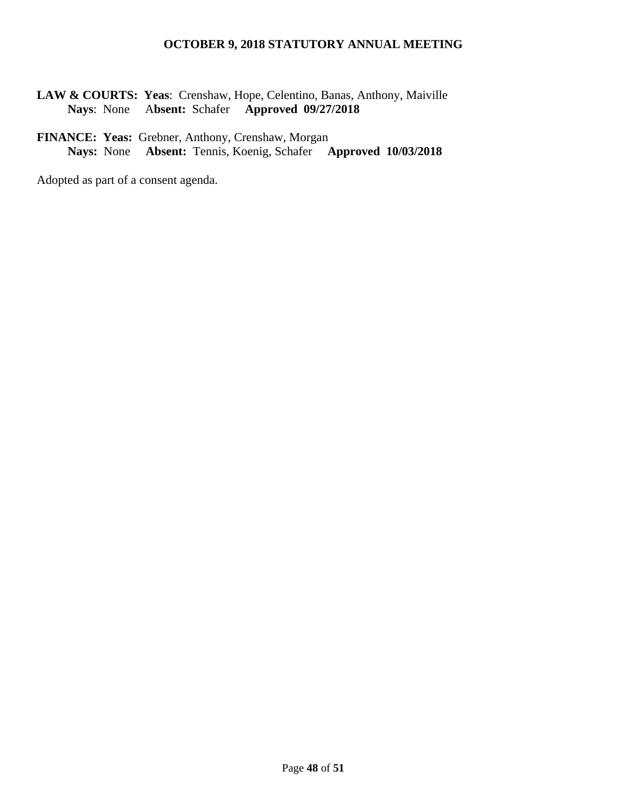**LAW & COURTS: Yeas**: Crenshaw, Hope, Celentino, Banas, Anthony, Maiville  **Nays**: None A**bsent:** Schafer **Approved 09/27/2018**

# **FINANCE: Yeas:** Grebner, Anthony, Crenshaw, Morgan **Nays:** None **Absent:** Tennis, Koenig, Schafer **Approved 10/03/2018**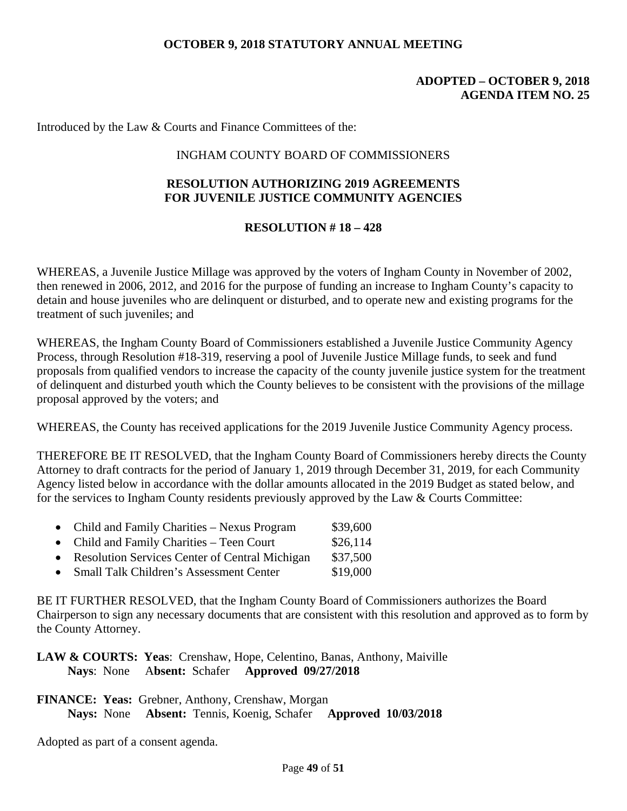#### **ADOPTED – OCTOBER 9, 2018 AGENDA ITEM NO. 25**

Introduced by the Law & Courts and Finance Committees of the:

#### INGHAM COUNTY BOARD OF COMMISSIONERS

#### **RESOLUTION AUTHORIZING 2019 AGREEMENTS FOR JUVENILE JUSTICE COMMUNITY AGENCIES**

#### **RESOLUTION # 18 – 428**

WHEREAS, a Juvenile Justice Millage was approved by the voters of Ingham County in November of 2002, then renewed in 2006, 2012, and 2016 for the purpose of funding an increase to Ingham County's capacity to detain and house juveniles who are delinquent or disturbed, and to operate new and existing programs for the treatment of such juveniles; and

WHEREAS, the Ingham County Board of Commissioners established a Juvenile Justice Community Agency Process, through Resolution #18-319, reserving a pool of Juvenile Justice Millage funds, to seek and fund proposals from qualified vendors to increase the capacity of the county juvenile justice system for the treatment of delinquent and disturbed youth which the County believes to be consistent with the provisions of the millage proposal approved by the voters; and

WHEREAS, the County has received applications for the 2019 Juvenile Justice Community Agency process.

THEREFORE BE IT RESOLVED, that the Ingham County Board of Commissioners hereby directs the County Attorney to draft contracts for the period of January 1, 2019 through December 31, 2019, for each Community Agency listed below in accordance with the dollar amounts allocated in the 2019 Budget as stated below, and for the services to Ingham County residents previously approved by the Law & Courts Committee:

- Child and Family Charities Nexus Program \$39,600
- Child and Family Charities Teen Court \$26,114
- Resolution Services Center of Central Michigan \$37,500
- Small Talk Children's Assessment Center \$19,000

BE IT FURTHER RESOLVED, that the Ingham County Board of Commissioners authorizes the Board Chairperson to sign any necessary documents that are consistent with this resolution and approved as to form by the County Attorney.

**LAW & COURTS: Yeas**: Crenshaw, Hope, Celentino, Banas, Anthony, Maiville  **Nays**: None A**bsent:** Schafer **Approved 09/27/2018**

**FINANCE: Yeas:** Grebner, Anthony, Crenshaw, Morgan **Nays:** None **Absent:** Tennis, Koenig, Schafer **Approved 10/03/2018**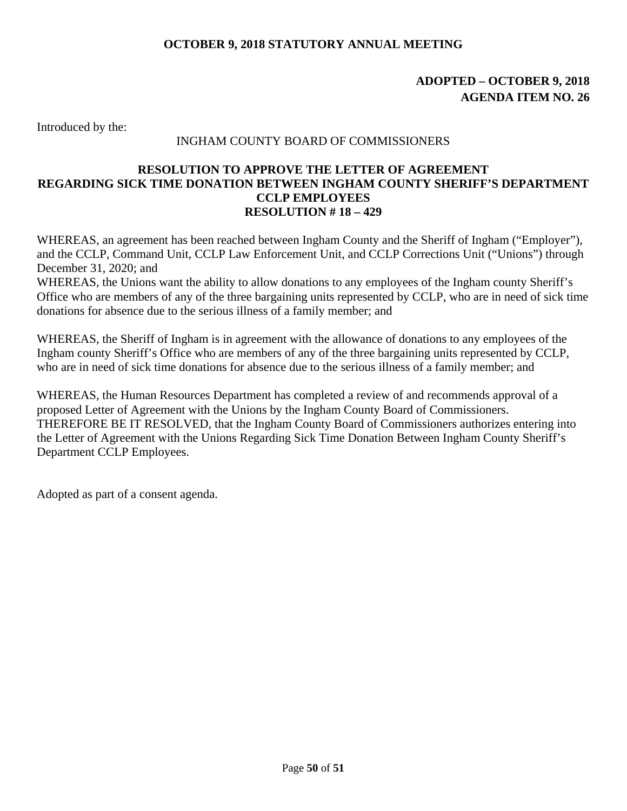# **ADOPTED – OCTOBER 9, 2018 AGENDA ITEM NO. 26**

Introduced by the:

#### INGHAM COUNTY BOARD OF COMMISSIONERS

#### **RESOLUTION TO APPROVE THE LETTER OF AGREEMENT REGARDING SICK TIME DONATION BETWEEN INGHAM COUNTY SHERIFF'S DEPARTMENT CCLP EMPLOYEES RESOLUTION # 18 – 429**

WHEREAS, an agreement has been reached between Ingham County and the Sheriff of Ingham ("Employer"), and the CCLP, Command Unit, CCLP Law Enforcement Unit, and CCLP Corrections Unit ("Unions") through December 31, 2020; and

WHEREAS, the Unions want the ability to allow donations to any employees of the Ingham county Sheriff's Office who are members of any of the three bargaining units represented by CCLP, who are in need of sick time donations for absence due to the serious illness of a family member; and

WHEREAS, the Sheriff of Ingham is in agreement with the allowance of donations to any employees of the Ingham county Sheriff's Office who are members of any of the three bargaining units represented by CCLP, who are in need of sick time donations for absence due to the serious illness of a family member; and

WHEREAS, the Human Resources Department has completed a review of and recommends approval of a proposed Letter of Agreement with the Unions by the Ingham County Board of Commissioners. THEREFORE BE IT RESOLVED, that the Ingham County Board of Commissioners authorizes entering into the Letter of Agreement with the Unions Regarding Sick Time Donation Between Ingham County Sheriff's Department CCLP Employees.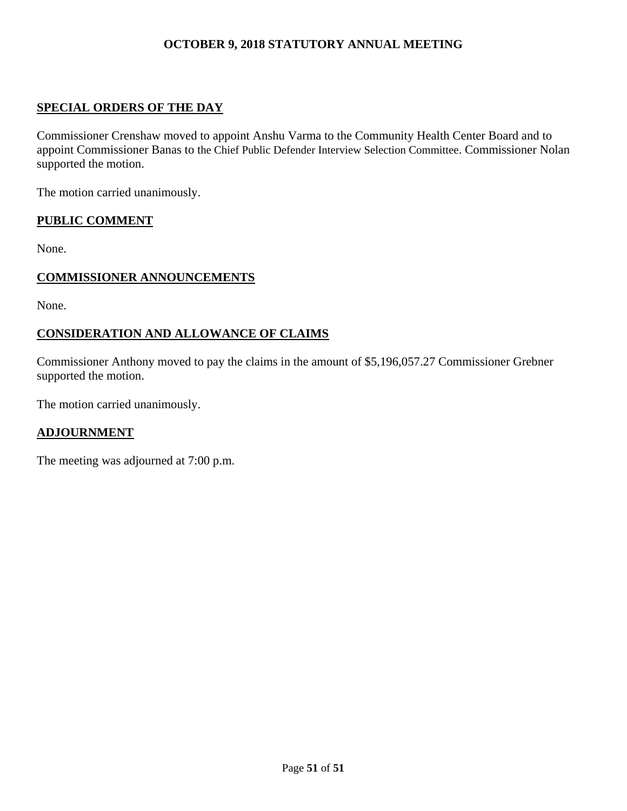# **SPECIAL ORDERS OF THE DAY**

Commissioner Crenshaw moved to appoint Anshu Varma to the Community Health Center Board and to appoint Commissioner Banas to the Chief Public Defender Interview Selection Committee. Commissioner Nolan supported the motion.

The motion carried unanimously.

#### **PUBLIC COMMENT**

None.

#### **COMMISSIONER ANNOUNCEMENTS**

None.

# **CONSIDERATION AND ALLOWANCE OF CLAIMS**

Commissioner Anthony moved to pay the claims in the amount of \$5,196,057.27 Commissioner Grebner supported the motion.

The motion carried unanimously.

#### **ADJOURNMENT**

The meeting was adjourned at 7:00 p.m.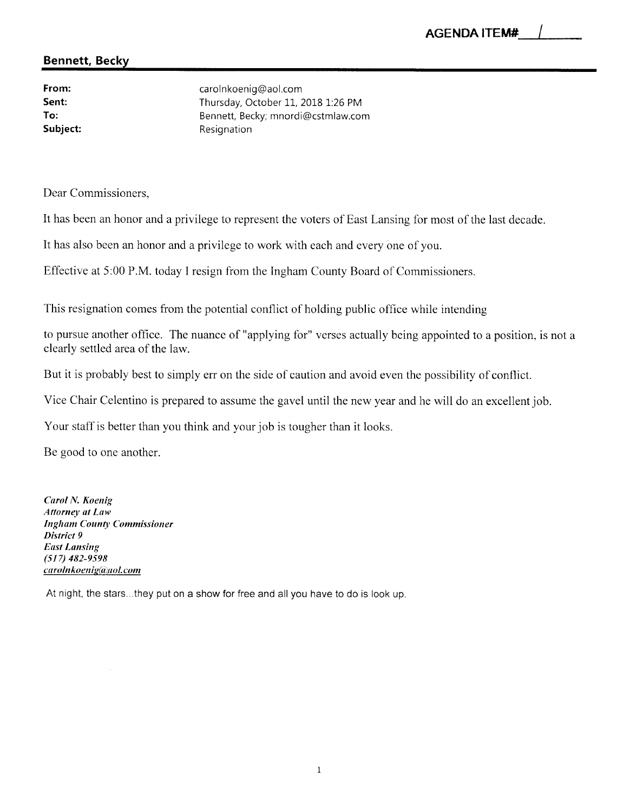#### **Bennett, Becky**

From: Sent: To: Subject:

carolnkoenig@aol.com Thursday, October 11, 2018 1:26 PM Bennett, Becky; mnordi@cstmlaw.com Resignation

Dear Commissioners.

It has been an honor and a privilege to represent the voters of East Lansing for most of the last decade.

It has also been an honor and a privilege to work with each and every one of you.

Effective at 5:00 P.M. today I resign from the Ingham County Board of Commissioners.

This resignation comes from the potential conflict of holding public office while intending

to pursue another office. The nuance of "applying for" verses actually being appointed to a position, is not a clearly settled area of the law.

But it is probably best to simply err on the side of caution and avoid even the possibility of conflict.

Vice Chair Celentino is prepared to assume the gavel until the new year and he will do an excellent job.

Your staff is better than you think and your job is tougher than it looks.

Be good to one another.

**Carol N. Koenig Attorney at Law Ingham County Commissioner** District 9 **East Lansing**  $(517)$  482-9598 carolnkoenig@aol.com

At night, the stars...they put on a show for free and all you have to do is look up.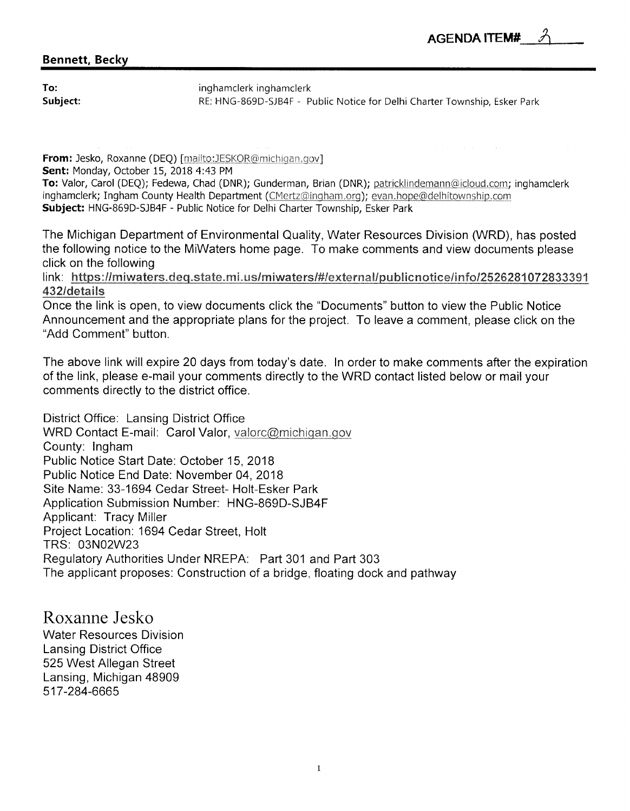### **Bennett, Becky**

To: Subject: inghamclerk inghamclerk RE: HNG-869D-SJB4F - Public Notice for Delhi Charter Township, Esker Park

From: Jesko, Roxanne (DEQ) [mailto:JESKOR@michigan.gov]

Sent: Monday, October 15, 2018 4:43 PM

To: Valor, Carol (DEQ); Fedewa, Chad (DNR); Gunderman, Brian (DNR); patricklindemann@icloud.com; inghamclerk inghamclerk; Ingham County Health Department (CMertz@ingham.org); evan.hope@delhitownship.com Subject: HNG-869D-SJB4F - Public Notice for Delhi Charter Township, Esker Park

The Michigan Department of Environmental Quality, Water Resources Division (WRD), has posted the following notice to the MiWaters home page. To make comments and view documents please click on the following

link: https://miwaters.deq.state.mi.us/miwaters/#/external/publicnotice/info/2526281072833391 432/details

Once the link is open, to view documents click the "Documents" button to view the Public Notice Announcement and the appropriate plans for the project. To leave a comment, please click on the "Add Comment" button.

The above link will expire 20 days from today's date. In order to make comments after the expiration of the link, please e-mail your comments directly to the WRD contact listed below or mail your comments directly to the district office.

District Office: Lansing District Office WRD Contact E-mail: Carol Valor, valorc@michigan.gov County: Ingham Public Notice Start Date: October 15, 2018 Public Notice End Date: November 04, 2018 Site Name: 33-1694 Cedar Street- Holt-Esker Park Application Submission Number: HNG-869D-SJB4F Applicant: Tracy Miller Project Location: 1694 Cedar Street, Holt TRS: 03N02W23 Regulatory Authorities Under NREPA: Part 301 and Part 303 The applicant proposes: Construction of a bridge, floating dock and pathway

Roxanne Jesko **Water Resources Division Lansing District Office** 525 West Allegan Street Lansing, Michigan 48909 517-284-6665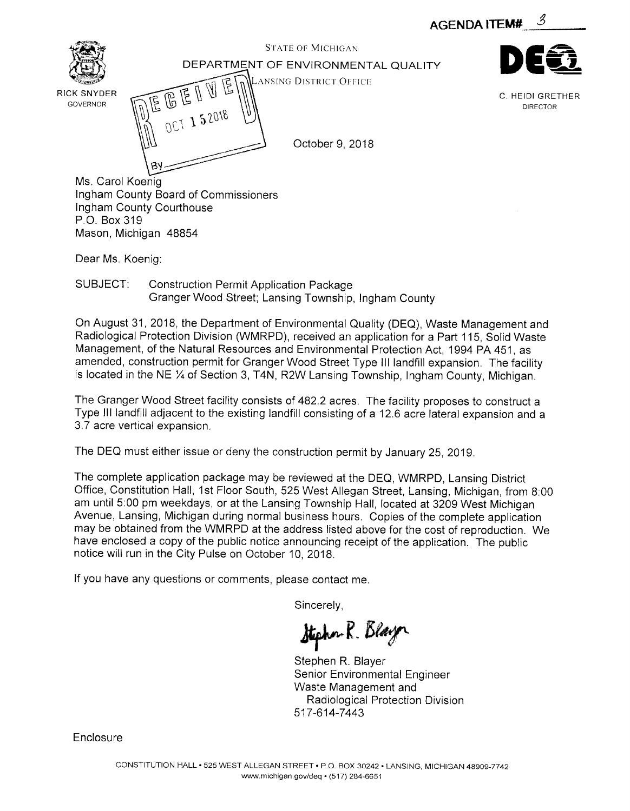



Dear Ms. Koenig:

Mason, Michigan 48854

SUBJECT: **Construction Permit Application Package** Granger Wood Street; Lansing Township, Ingham County

On August 31, 2018, the Department of Environmental Quality (DEQ). Waste Management and Radiological Protection Division (WMRPD), received an application for a Part 115, Solid Waste Management, of the Natural Resources and Environmental Protection Act, 1994 PA 451, as amended, construction permit for Granger Wood Street Type III landfill expansion. The facility is located in the NE 1/4 of Section 3, T4N, R2W Lansing Township, Ingham County, Michigan.

The Granger Wood Street facility consists of 482.2 acres. The facility proposes to construct a Type III landfill adjacent to the existing landfill consisting of a 12.6 acre lateral expansion and a 3.7 acre vertical expansion.

The DEQ must either issue or deny the construction permit by January 25, 2019.

The complete application package may be reviewed at the DEQ, WMRPD, Lansing District Office, Constitution Hall, 1st Floor South, 525 West Allegan Street, Lansing, Michigan, from 8:00 am until 5:00 pm weekdays, or at the Lansing Township Hall, located at 3209 West Michigan Avenue, Lansing, Michigan during normal business hours. Copies of the complete application may be obtained from the WMRPD at the address listed above for the cost of reproduction. We have enclosed a copy of the public notice announcing receipt of the application. The public notice will run in the City Pulse on October 10, 2018.

If you have any questions or comments, please contact me.

Sincerely,

Stephen R. Blayer

Stephen R. Blayer Senior Environmental Engineer Waste Management and Radiological Protection Division 517-614-7443

Enclosure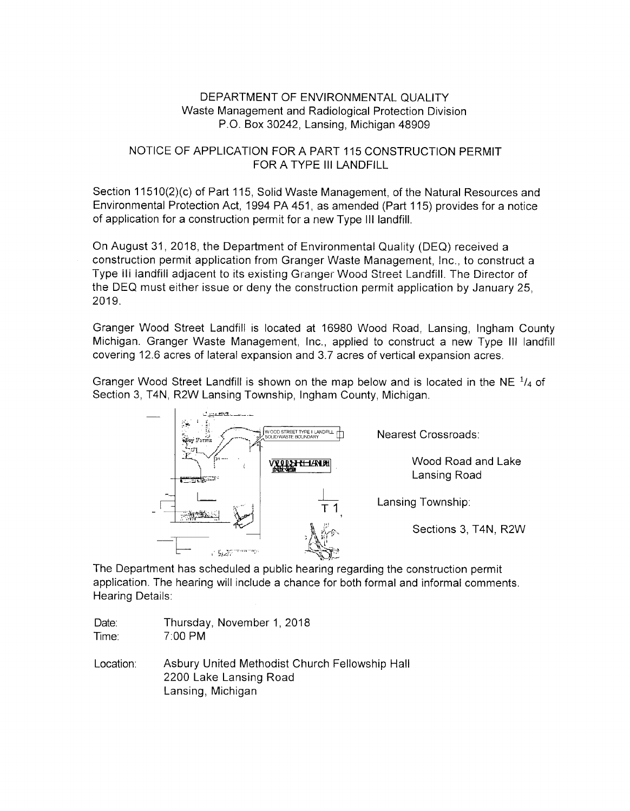#### DEPARTMENT OF ENVIRONMENTAL QUALITY Waste Management and Radiological Protection Division P.O. Box 30242, Lansing, Michigan 48909

#### NOTICE OF APPLICATION FOR A PART 115 CONSTRUCTION PERMIT FOR A TYPE III LANDFILL

Section 11510(2)(c) of Part 115, Solid Waste Management, of the Natural Resources and Environmental Protection Act, 1994 PA 451, as amended (Part 115) provides for a notice of application for a construction permit for a new Type III landfill.

On August 31, 2018, the Department of Environmental Quality (DEQ) received a construction permit application from Granger Waste Management, Inc., to construct a Type III landfill adjacent to its existing Granger Wood Street Landfill. The Director of the DEQ must either issue or deny the construction permit application by January 25, 2019.

Granger Wood Street Landfill is located at 16980 Wood Road, Lansing, Ingham County Michigan. Granger Waste Management, Inc., applied to construct a new Type III landfill covering 12.6 acres of lateral expansion and 3.7 acres of vertical expansion acres.

Granger Wood Street Landfill is shown on the map below and is located in the NE  $^{1}/_{4}$  of Section 3, T4N, R2W Lansing Township, Ingham County, Michigan.



The Department has scheduled a public hearing regarding the construction permit application. The hearing will include a chance for both formal and informal comments. Hearing Details:

| Date: | Thursday, November 1, 2018 |
|-------|----------------------------|
| Time: | 7:00 PM                    |

Asbury United Methodist Church Fellowship Hall Location: 2200 Lake Lansing Road Lansing, Michigan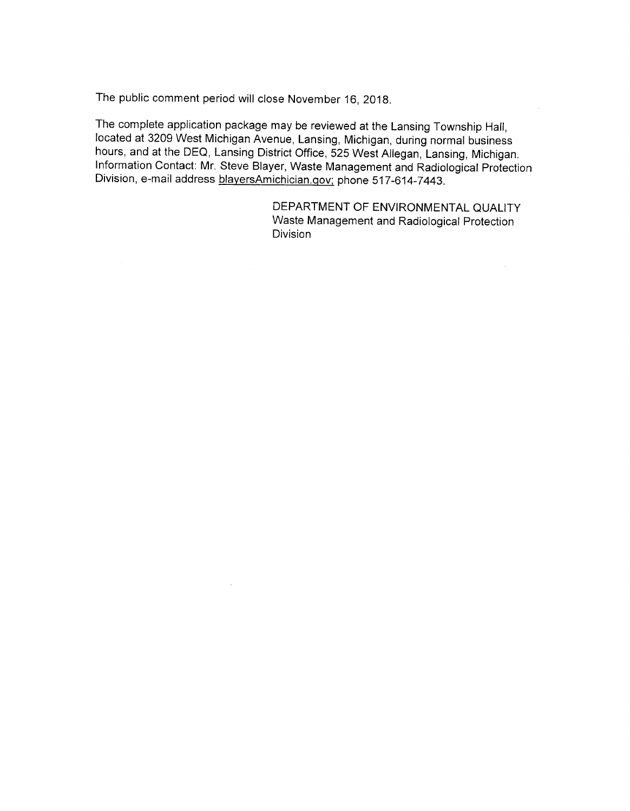The public comment period will close November 16, 2018.

The complete application package may be reviewed at the Lansing Township Hall, located at 3209 West Michigan Avenue, Lansing, Michigan, during normal business hours, and at the DEQ, Lansing District Office, 525 West Allegan, Lansing, Michigan. Information Contact: Mr. Steve Blayer, Waste Management and Radiological Protection Division, e-mail address blayersAmichician.gov; phone 517-614-7443.

> DEPARTMENT OF ENVIRONMENTAL QUALITY Waste Management and Radiological Protection **Division**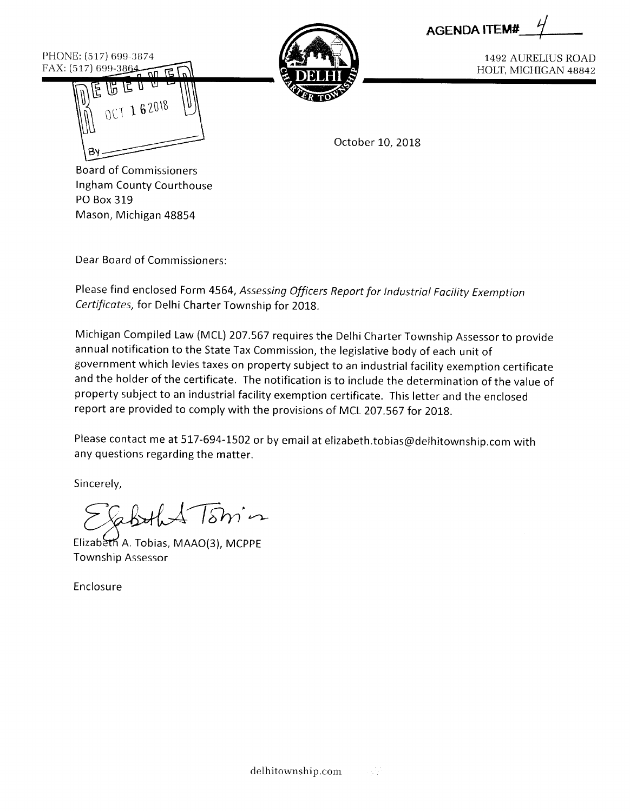| <b>AGENDA ITEM#</b> |  |
|---------------------|--|
|---------------------|--|

PHONE: (517) 699-3874 FAX: (517) 699-3864





**1492 AURELIUS ROAD** HOLT, MICHIGAN 48842

October 10, 2018

**Board of Commissioners** Ingham County Courthouse PO Box 319 Mason, Michigan 48854

Dear Board of Commissioners:

Please find enclosed Form 4564, Assessing Officers Report for Industrial Facility Exemption Certificates, for Delhi Charter Township for 2018.

Michigan Compiled Law (MCL) 207.567 requires the Delhi Charter Township Assessor to provide annual notification to the State Tax Commission, the legislative body of each unit of government which levies taxes on property subject to an industrial facility exemption certificate and the holder of the certificate. The notification is to include the determination of the value of property subject to an industrial facility exemption certificate. This letter and the enclosed report are provided to comply with the provisions of MCL 207.567 for 2018.

Please contact me at 517-694-1502 or by email at elizabeth.tobias@delhitownship.com with any questions regarding the matter.

Sincerely,

 $sm$ 

Elizabeth A. Tobias, MAAO(3), MCPPE **Township Assessor** 

Enclosure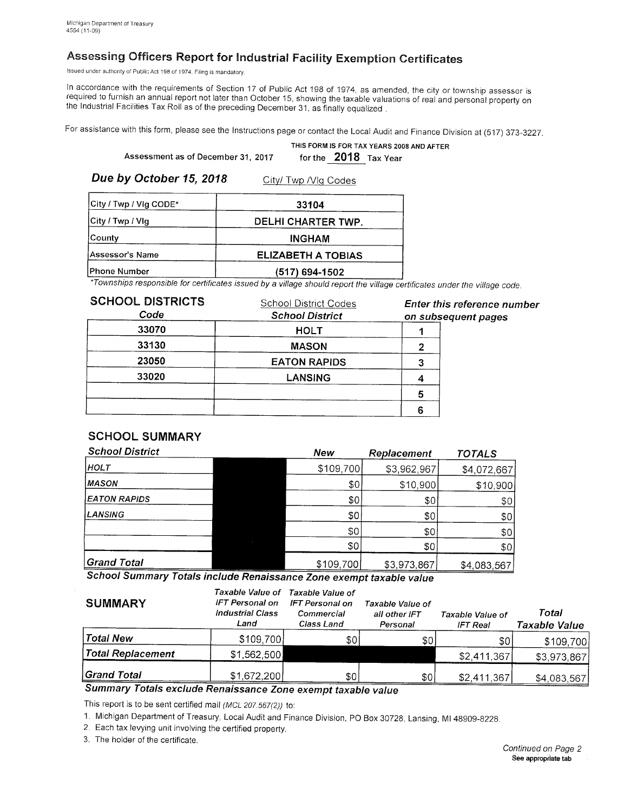# Assessing Officers Report for Industrial Facility Exemption Certificates

Issued under authority of Public Act 198 of 1974. Filing is mandatory.

In accordance with the requirements of Section 17 of Public Act 198 of 1974, as amended, the city or township assessor is required to furnish an annual report not later than October 15, showing the taxable valuations of real and personal property on the Industrial Facilities Tax Roll as of the preceding December 31, as finally equalized.

For assistance with this form, please see the Instructions page or contact the Local Audit and Finance Division at (517) 373-3227.

|                                    | THIS FORM IS FOR TAX YEARS 2008 AND AFTER |
|------------------------------------|-------------------------------------------|
| Assessment as of December 31, 2017 | for the 2018 Tax Year                     |

Due by October 15, 2018

|  | City/ Twp / Vlg Codes |  |
|--|-----------------------|--|
|  |                       |  |

| City / Twp / Vig CODE* | 33104              |
|------------------------|--------------------|
| City / Twp / Vlg       | DELHI CHARTER TWP. |
| County                 | <b>INGHAM</b>      |
| <b>Assessor's Name</b> | ELIZABETH A TOBIAS |
| <b>Phone Number</b>    | (517) 694-1502     |

\*Townships responsible for certificates issued by a village should report the village certificates under the village code.

| <b>SCHOOL DISTRICTS</b><br>Code | <b>School District Codes</b><br><b>School District</b> | Enter this reference number<br>on subsequent pages |
|---------------------------------|--------------------------------------------------------|----------------------------------------------------|
| 33070                           | <b>HOLT</b>                                            |                                                    |
| 33130                           | <b>MASON</b>                                           |                                                    |
| 23050                           | <b>EATON RAPIDS</b>                                    |                                                    |
| 33020                           | <b>LANSING</b>                                         |                                                    |
|                                 |                                                        |                                                    |
|                                 |                                                        |                                                    |

# **SCHOOL SUMMARY**

| <b>School District</b>                                                                | New       | Replacement | <b>TOTALS</b> |
|---------------------------------------------------------------------------------------|-----------|-------------|---------------|
| <b>HOLT</b>                                                                           | \$109,700 | \$3,962,967 | \$4,072,667   |
| <b>MASON</b>                                                                          | \$0       | \$10,900    | \$10,900      |
| <b>EATON RAPIDS</b>                                                                   | \$0       | \$0         | \$0           |
| <b>LANSING</b>                                                                        | \$0       | \$0         | \$0           |
|                                                                                       | \$0       | \$0         | \$0           |
|                                                                                       | \$0       | \$0         | \$0           |
| <b>Grand Total</b><br>$\mathbf{A} \cdot \mathbf{A} \cdot \mathbf{A} \cdot \mathbf{A}$ | \$109,700 | \$3,973,867 | \$4,083,567   |

School Summary Totals include Renaissance Zone exempt taxable value

| <b>SUMMARY</b>        | Taxable Value of<br>IFT Personal on<br><b>Industrial Class</b><br>Land | Taxable Value of<br><b>IFT Personal on</b><br>Commercial<br>Class Land | Taxable Value of<br>all other IFT<br>Personal | Taxable Value of<br>IFT Real | Total<br>Taxable Value |
|-----------------------|------------------------------------------------------------------------|------------------------------------------------------------------------|-----------------------------------------------|------------------------------|------------------------|
| Total New             | \$109,700                                                              | \$0                                                                    | \$0                                           | \$0                          | \$109,700              |
| Total Replacement     | \$1,562,500                                                            |                                                                        |                                               | \$2,411,367                  | \$3,973,867            |
| Grand Total<br>$\sim$ | \$1,672,200                                                            | \$0                                                                    | \$0                                           | \$2,411,367                  | \$4,083,567            |

Summary Totals exclude Renaissance Zone exempt taxable value

This report is to be sent certified mail (MCL 207.567(2)) to:

1. Michigan Department of Treasury, Local Audit and Finance Division, PO Box 30728, Lansing, MI 48909-8228.

2. Each tax levying unit involving the certified property.

3. The holder of the certificate.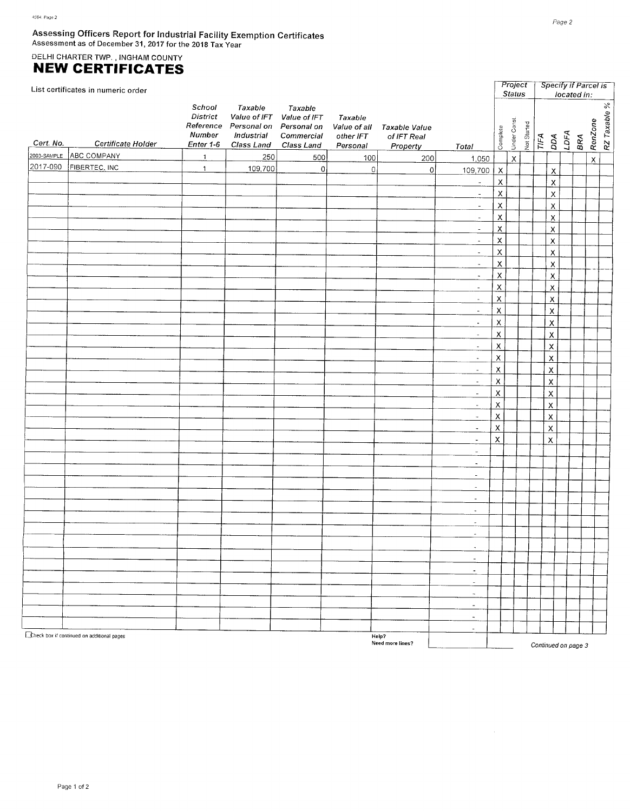# Assessing Officers Report for Industrial Facility Exemption Certificates<br>Assessment as of December 31, 2017 for the 2018 Tax Year

# DELHI CHARTER TWP., INGHAM COUNTY<br>NEW CERTIFICATES

|             | List certificates in numeric order         |                                                               |                                                                |                                                                  |                                                  |                                          |                          |                           | Project<br><b>Status</b> |             |                   |                           |      | Specify if Parcel is<br>located in: |                    |              |
|-------------|--------------------------------------------|---------------------------------------------------------------|----------------------------------------------------------------|------------------------------------------------------------------|--------------------------------------------------|------------------------------------------|--------------------------|---------------------------|--------------------------|-------------|-------------------|---------------------------|------|-------------------------------------|--------------------|--------------|
| Cert. No.   | Certificate Holder                         | School<br><b>District</b><br>Reference<br>Number<br>Enter 1-6 | Taxable<br>Personal on Personal on<br>Industrial<br>Class Land | Taxable<br>Value of IFT Value of IFT<br>Commercial<br>Class Land | Taxable<br>Value of all<br>other IFT<br>Personal | Taxable Value<br>of IFT Real<br>Property | Total                    | Complete                  | Under Const              | Not Started | $\overline{IIFA}$ | DДА                       | LDFA | BRA                                 | RenZone            | R7 Taxable % |
| 2003-SAMPLE | ABC COMPANY                                | $\overline{1}$                                                | 250                                                            | 500                                                              | 100                                              | 200                                      | 1,050                    |                           | $\bar{\mathsf{X}}$       |             |                   |                           |      |                                     | $\bar{\mathsf{x}}$ |              |
| 2017-090    | FIBERTEC, INC.                             | $\mathbf{1}$                                                  | 109,700                                                        | $\mathbf 0$                                                      | $\mathbb O$                                      | $\circ$                                  | 109,700                  | $\overline{X}$            |                          |             |                   | χ                         |      |                                     |                    |              |
|             |                                            |                                                               |                                                                |                                                                  |                                                  |                                          | $\omega$                 | $\bar{\mathsf{X}}$        |                          |             |                   | $\pmb{\mathsf{X}}$        |      |                                     |                    |              |
|             |                                            |                                                               |                                                                |                                                                  |                                                  |                                          |                          | $\mathsf X$               |                          |             |                   |                           |      |                                     |                    |              |
|             |                                            |                                                               |                                                                |                                                                  |                                                  |                                          | $\equiv$                 |                           |                          |             |                   | $\overline{\mathsf{x}}$   |      |                                     |                    |              |
|             |                                            |                                                               |                                                                |                                                                  |                                                  |                                          | $\overline{\phantom{a}}$ | $\bar{\mathsf{X}}$        |                          |             |                   | $\overline{\mathsf{X}}$   |      |                                     |                    |              |
|             |                                            |                                                               |                                                                |                                                                  |                                                  |                                          | $\blacksquare$           | $\mathsf{x}$              |                          |             |                   | $\overline{\mathsf{X}}$   |      |                                     |                    |              |
|             |                                            |                                                               |                                                                |                                                                  |                                                  |                                          | $\sim$                   | $\overline{\mathsf{x}}$   |                          |             |                   | $\boldsymbol{\mathsf{X}}$ |      |                                     |                    |              |
|             |                                            |                                                               |                                                                |                                                                  |                                                  |                                          | $\blacksquare$           | $\mathsf X$               |                          |             |                   | $\overline{\mathsf{x}}$   |      |                                     |                    |              |
|             |                                            |                                                               |                                                                |                                                                  |                                                  |                                          | $\overline{\phantom{a}}$ | $\overline{\mathsf{X}}$   |                          |             |                   | $\boldsymbol{\mathsf{X}}$ |      |                                     |                    |              |
|             |                                            |                                                               |                                                                |                                                                  |                                                  |                                          | $\overline{\phantom{a}}$ | $\overline{\mathsf{X}}$   |                          |             |                   | $\underline{x}$           |      |                                     |                    |              |
|             |                                            |                                                               |                                                                |                                                                  |                                                  |                                          | $\tilde{\phantom{a}}$    | $\pmb{\times}$            |                          |             |                   | $\pmb{\mathsf{X}}$        |      |                                     |                    |              |
|             |                                            |                                                               |                                                                |                                                                  |                                                  |                                          | $\sim$                   | $\mathsf X$               |                          |             |                   | X                         |      |                                     |                    |              |
|             |                                            |                                                               |                                                                |                                                                  |                                                  |                                          | $\sim$                   | $\pmb{\times}$            |                          |             |                   | $\pmb{\times}$            |      |                                     |                    |              |
|             |                                            |                                                               |                                                                |                                                                  |                                                  |                                          | $\blacksquare$           | $\overline{\mathsf{x}}$   |                          |             |                   | X                         |      |                                     |                    |              |
|             |                                            |                                                               |                                                                |                                                                  |                                                  |                                          | $\omega$                 | $\overline{\mathsf{x}}$   |                          |             |                   | $\mathsf{\chi}$           |      |                                     |                    |              |
|             |                                            |                                                               |                                                                |                                                                  |                                                  |                                          | $\equiv$                 | $\mathsf X$               |                          |             |                   |                           |      |                                     |                    |              |
|             |                                            |                                                               |                                                                |                                                                  |                                                  |                                          |                          |                           |                          |             |                   | $\overline{\mathsf{X}}$   |      |                                     |                    |              |
|             |                                            |                                                               |                                                                |                                                                  |                                                  |                                          | $\sim$                   | $\boldsymbol{\mathsf{x}}$ |                          |             |                   | $\pmb{\mathsf{X}}$        |      |                                     |                    |              |
|             |                                            |                                                               |                                                                |                                                                  |                                                  |                                          | $\sim$                   | $\overline{\mathsf{X}}$   |                          |             |                   | $\pmb{\times}$            |      |                                     |                    |              |
|             |                                            |                                                               |                                                                |                                                                  |                                                  |                                          | $\overline{\phantom{a}}$ | $\mathsf X$               |                          |             |                   | $\overline{\mathsf{X}}$   |      |                                     |                    |              |
|             |                                            |                                                               |                                                                |                                                                  |                                                  |                                          | $\blacksquare$           | $\mathsf X$               |                          |             |                   | $\pmb{\mathsf{X}}$        |      |                                     |                    |              |
|             |                                            |                                                               |                                                                |                                                                  |                                                  |                                          | $\omega_{\rm c}$         | $\overline{\mathsf{X}}$   |                          |             |                   | $\mathsf{x}$              |      |                                     |                    |              |
|             |                                            |                                                               |                                                                |                                                                  |                                                  |                                          | $\overline{\phantom{a}}$ | $\pmb{\times}$            |                          |             |                   | $\boldsymbol{\mathsf{X}}$ |      |                                     |                    |              |
|             |                                            |                                                               |                                                                |                                                                  |                                                  |                                          | $\omega$                 | $\overline{\mathsf{x}}$   |                          |             |                   | $\pmb{\times}$            |      |                                     |                    |              |
|             |                                            |                                                               |                                                                |                                                                  |                                                  |                                          | $\omega$                 | $\overline{\mathsf{X}}$   |                          |             |                   | $\pmb{\times}$            |      |                                     |                    |              |
|             |                                            |                                                               |                                                                |                                                                  |                                                  |                                          | $\omega$                 | $\boldsymbol{\mathsf{X}}$ |                          |             |                   | $\pmb{\times}$            |      |                                     |                    |              |
|             |                                            |                                                               |                                                                |                                                                  |                                                  |                                          | $\omega$                 |                           |                          |             |                   |                           |      |                                     |                    |              |
|             |                                            |                                                               |                                                                |                                                                  |                                                  |                                          | $\tilde{\phantom{a}}$    |                           |                          |             |                   |                           |      |                                     |                    |              |
|             |                                            |                                                               |                                                                |                                                                  |                                                  |                                          | $\overline{\phantom{a}}$ |                           |                          |             |                   |                           |      |                                     |                    |              |
|             |                                            |                                                               |                                                                |                                                                  |                                                  |                                          |                          |                           |                          |             |                   |                           |      |                                     |                    |              |
|             |                                            |                                                               |                                                                |                                                                  |                                                  |                                          | $\sim$                   |                           |                          |             |                   |                           |      |                                     |                    |              |
|             |                                            |                                                               |                                                                |                                                                  |                                                  |                                          | $\overline{\phantom{a}}$ |                           |                          |             |                   |                           |      |                                     |                    |              |
|             |                                            |                                                               |                                                                |                                                                  |                                                  |                                          | $\blacksquare$           |                           |                          |             |                   |                           |      |                                     |                    |              |
|             |                                            |                                                               |                                                                |                                                                  |                                                  |                                          | $\overline{\phantom{a}}$ |                           |                          |             |                   |                           |      |                                     |                    |              |
|             |                                            |                                                               |                                                                |                                                                  |                                                  |                                          | $\overline{a}$           |                           |                          |             |                   |                           |      |                                     |                    |              |
|             |                                            |                                                               |                                                                |                                                                  |                                                  |                                          | $\blacksquare$           |                           |                          |             |                   |                           |      |                                     |                    |              |
|             |                                            |                                                               |                                                                |                                                                  |                                                  |                                          | $\equiv$                 |                           |                          |             |                   |                           |      |                                     |                    |              |
|             |                                            |                                                               |                                                                |                                                                  |                                                  |                                          | $\tilde{\phantom{a}}$    |                           |                          |             |                   |                           |      |                                     |                    |              |
|             |                                            |                                                               |                                                                |                                                                  |                                                  |                                          | $\sim$                   |                           |                          |             |                   |                           |      |                                     |                    |              |
|             |                                            |                                                               |                                                                |                                                                  |                                                  |                                          | $\blacksquare$           |                           |                          |             |                   |                           |      |                                     |                    |              |
|             |                                            |                                                               |                                                                |                                                                  |                                                  |                                          | $\omega$                 |                           |                          |             |                   |                           |      |                                     |                    |              |
|             |                                            |                                                               |                                                                |                                                                  |                                                  |                                          | $\overline{\phantom{a}}$ |                           |                          |             |                   |                           |      |                                     |                    |              |
|             |                                            |                                                               |                                                                |                                                                  |                                                  |                                          |                          |                           |                          |             |                   |                           |      |                                     |                    |              |
|             | Theck box if continued on additional pages |                                                               |                                                                |                                                                  |                                                  | Help?                                    | $\tilde{\phantom{a}}$    |                           |                          |             |                   |                           |      |                                     |                    |              |
|             | Need more lines?                           |                                                               |                                                                |                                                                  |                                                  |                                          |                          |                           |                          |             |                   |                           |      | Continued on page 3                 |                    |              |

 $\overline{\phantom{a}}$ 

 $\sim$ 

Continued on page 3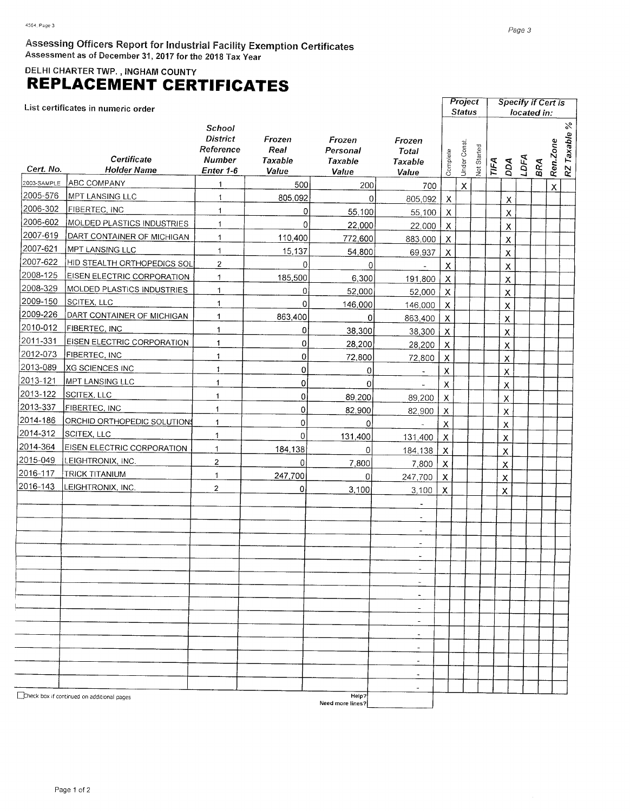DELHI CHARTER TWP., INGHAM COUNTY

# **REPLACEMENT CERTIFICATES**

List certificates in numeric order

|             | List certificates in numeric order         |                                                                             |                                    |                                        |                                            |                           | Status<br>located in: |             |      |                           |      |     |              |                       |
|-------------|--------------------------------------------|-----------------------------------------------------------------------------|------------------------------------|----------------------------------------|--------------------------------------------|---------------------------|-----------------------|-------------|------|---------------------------|------|-----|--------------|-----------------------|
| Cert. No.   | Certificate<br><b>Holder Name</b>          | <b>School</b><br><b>District</b><br>Reference<br><b>Number</b><br>Enter 1-6 | Frozen<br>Real<br>Taxable<br>Value | Frozen<br>Personal<br>Taxable<br>Value | Frozen<br>Total<br><b>Taxable</b><br>Value | Complete                  | Under Const           | Not Started | TIFA | DDA                       | LDFA | BRA | Ren.Zone     | $\%$<br>Taxable<br>RZ |
| 2003-SAMPLE | ABC COMPANY                                | $\mathbf{1}$                                                                | 500                                | 200                                    | 700                                        |                           | $\mathsf{X}$          |             |      |                           |      |     | $\pmb{\chi}$ |                       |
| 2005-576    | MPT LANSING LLC                            | 1                                                                           | 805,092                            | 0                                      | 805,092                                    | $\mathsf{X}$              |                       |             |      | $\mathsf X$               |      |     |              |                       |
| 2006-302    | FIBERTEC, INC                              | $\mathbf{1}$                                                                | $\overline{0}$                     | 55,100                                 | 55,100                                     | $\mathsf{X}$              |                       |             |      | $\pmb{\chi}$              |      |     |              |                       |
| 2006-602    | <b>MOLDED PLASTICS INDUSTRIES</b>          | $\mathbf{1}$                                                                | 0l                                 | 22,000                                 | 22,000                                     | $\pmb{\chi}$              |                       |             |      | $\mathsf{\overline{X}}$   |      |     |              |                       |
| 2007-619    | DART CONTAINER OF MICHIGAN                 | $\mathbf{1}$                                                                | 110,400                            | 772,600                                | 883,000                                    | $\pmb{\mathsf{X}}$        |                       |             |      | $\pmb{\mathsf{X}}$        |      |     |              |                       |
| 2007-621    | MPT LANSING LLC                            | $\mathbf{1}$                                                                | 15,137                             | 54,800                                 | 69,937                                     | $\pmb{\mathsf{X}}$        |                       |             |      | $\pmb{\mathsf{X}}$        |      |     |              |                       |
| 2007-622    | <u>HID STEALTH ORTHOPEDICS SOL</u>         | $\overline{2}$                                                              | 0                                  | 0                                      | $\overline{\phantom{a}}$                   | $\sf X$                   |                       |             |      | Χ                         |      |     |              |                       |
| 2008-125    | EISEN ELECTRIC CORPORATION                 | $\mathbf{1}$                                                                | 185,500                            | 6,300                                  | 191,800                                    | $\pmb{\times}$            |                       |             |      | X                         |      |     |              |                       |
| 2008-329    | MOLDED PLASTICS INDUSTRIES                 | $\mathbf{1}$                                                                | 0                                  | 52,000                                 | 52,000                                     | $\boldsymbol{\mathsf{X}}$ |                       |             |      | X                         |      |     |              |                       |
| 2009-150    | SCITEX, LLC                                | $\mathbf{1}$                                                                | 0                                  | 146,000                                | 146,000                                    | $\mathsf X$               |                       |             |      | X                         |      |     |              |                       |
| 2009-226    | DART CONTAINER OF MICHIGAN                 | $\mathbf{1}$                                                                | 863,400                            | 0                                      | 863,400                                    | $\boldsymbol{\mathsf{x}}$ |                       |             |      | X                         |      |     |              |                       |
| 2010-012    | <b>FIBERTEC, INC</b>                       | $\mathbf{1}$                                                                | 0                                  | 38,300                                 | 38,300                                     | $\boldsymbol{\mathsf{x}}$ |                       |             |      | X                         |      |     |              |                       |
| 2011-331    | <b>EISEN ELECTRIC CORPORATION</b>          | 1                                                                           | 0                                  | 28,200                                 | 28,200                                     | $\boldsymbol{\mathsf{X}}$ |                       |             |      | $\pmb{\mathsf{X}}$        |      |     |              |                       |
| 2012-073    | <b>FIBERTEC, INC</b>                       | $\ddagger$                                                                  | 0                                  | 72,800                                 | 72,800                                     | $\pmb{\times}$            |                       |             |      | $\mathsf{x}$              |      |     |              |                       |
| 2013-089    | XG SCIENCES INC                            | $\mathbf{1}$                                                                | 0                                  | 0                                      | $\overline{\phantom{a}}$                   | $\pmb{\mathsf{X}}$        |                       |             |      | $\pmb{\mathsf{X}}$        |      |     |              |                       |
| 2013-121    | MPT LANSING LLC                            | 1                                                                           | $\overline{0}$                     | 0                                      |                                            | $\mathsf X$               |                       |             |      | $\pmb{\mathsf{X}}$        |      |     |              |                       |
| 2013-122    | SCITEX, LLC                                | $\mathbf{1}$                                                                | 0                                  | 89,200                                 | 89,200                                     | $\pmb{\times}$            |                       |             |      | X                         |      |     |              |                       |
| 2013-337    | FIBERTEC, INC                              | $\mathbf{1}$                                                                | $\pmb{0}$                          | 82,900                                 | 82,900                                     | Х                         |                       |             |      | $\pmb{\mathsf{X}}$        |      |     |              |                       |
| 2014-186    | <b>ORCHID ORTHOPEDIC SOLUTIONS</b>         | $\mathbf{1}$                                                                | 0                                  | 0.                                     |                                            | X                         |                       |             |      | $\pmb{\mathsf{X}}$        |      |     |              |                       |
| 2014-312    | SCITEX, LLC                                | $\mathbf{1}$                                                                | 0                                  | 131,400                                | 131,400                                    | $\boldsymbol{\mathsf{X}}$ |                       |             |      | X                         |      |     |              |                       |
| 2014-364    | <b>EISEN ELECTRIC CORPORATION</b>          | $\mathbf{1}$                                                                | 184,138                            | 0                                      | 184,138                                    | $\boldsymbol{\mathsf{X}}$ |                       |             |      | $\mathsf{X}$              |      |     |              |                       |
| 2015-049    | LEIGHTRONIX, INC.                          | $\overline{2}$                                                              | 0                                  | 7,800                                  | 7,800                                      | $\boldsymbol{\mathsf{x}}$ |                       |             |      | $\mathsf X$               |      |     |              |                       |
| 2016-117    | <b>TRICK TITANIUM</b>                      | $\mathbf{1}$                                                                | 247,700                            | ΟI                                     | 247,700                                    | $\mathsf X$               |                       |             |      | $\boldsymbol{\mathsf{x}}$ |      |     |              |                       |
| 2016-143    | LEIGHTRONIX, INC.                          | $\overline{2}$                                                              | 0                                  | 3,100                                  | 3,100                                      | X                         |                       |             |      | X                         |      |     |              |                       |
|             |                                            |                                                                             |                                    |                                        | $\overline{\phantom{a}}$                   |                           |                       |             |      |                           |      |     |              |                       |
|             |                                            |                                                                             |                                    |                                        | $\blacksquare$                             |                           |                       |             |      |                           |      |     |              |                       |
|             |                                            |                                                                             |                                    |                                        | $\overline{\phantom{a}}$                   |                           |                       |             |      |                           |      |     |              |                       |
|             |                                            |                                                                             |                                    |                                        | $\overline{\phantom{a}}$                   |                           |                       |             |      |                           |      |     |              |                       |
|             |                                            |                                                                             |                                    |                                        | $\tilde{\phantom{a}}$                      |                           |                       |             |      |                           |      |     |              |                       |
|             |                                            |                                                                             |                                    |                                        |                                            |                           |                       |             |      |                           |      |     |              |                       |
|             |                                            |                                                                             |                                    |                                        |                                            |                           |                       |             |      |                           |      |     |              |                       |
|             |                                            |                                                                             |                                    |                                        | $\tilde{\phantom{a}}$                      |                           |                       |             |      |                           |      |     |              |                       |
|             |                                            |                                                                             |                                    |                                        | $\overline{a}$                             |                           |                       |             |      |                           |      |     |              |                       |
|             |                                            |                                                                             |                                    |                                        | $\overline{\phantom{a}}$                   |                           |                       |             |      |                           |      |     |              |                       |
|             |                                            |                                                                             |                                    |                                        | $\overline{\phantom{a}}$                   |                           |                       |             |      |                           |      |     |              |                       |
|             |                                            |                                                                             |                                    |                                        | $\overline{\phantom{a}}$                   |                           |                       |             |      |                           |      |     |              |                       |
|             |                                            |                                                                             |                                    |                                        |                                            |                           |                       |             |      |                           |      |     |              |                       |
|             |                                            |                                                                             |                                    |                                        | $\overline{\phantom{a}}$                   |                           |                       |             |      |                           |      |     |              |                       |
|             |                                            |                                                                             |                                    |                                        | $\tilde{\phantom{a}}$                      |                           |                       |             |      |                           |      |     |              |                       |
|             | Check box if continued on additional pages |                                                                             |                                    | Help?<br>Need more lines?              |                                            |                           |                       |             |      |                           |      |     |              |                       |

**Project** Specify if Cert is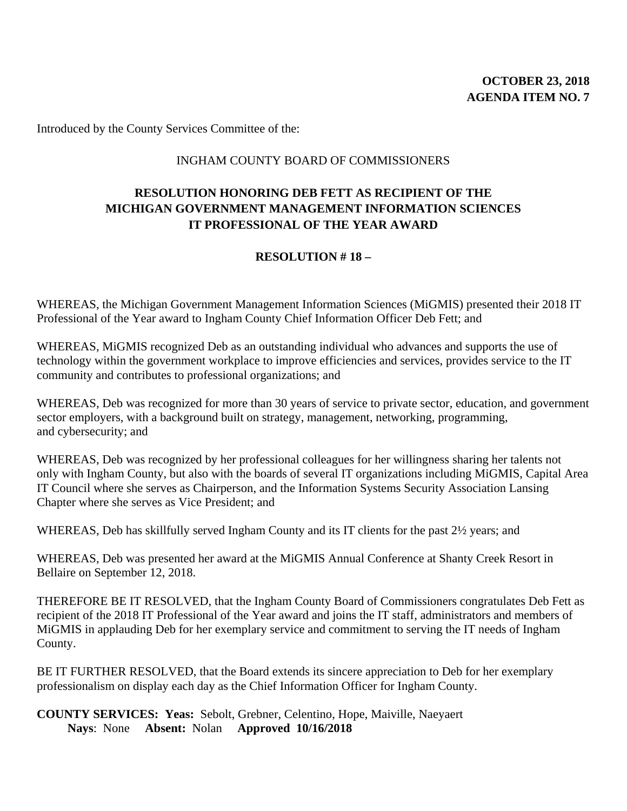### INGHAM COUNTY BOARD OF COMMISSIONERS

# **RESOLUTION HONORING DEB FETT AS RECIPIENT OF THE MICHIGAN GOVERNMENT MANAGEMENT INFORMATION SCIENCES IT PROFESSIONAL OF THE YEAR AWARD**

# **RESOLUTION # 18 –**

WHEREAS, the Michigan Government Management Information Sciences (MiGMIS) presented their 2018 IT Professional of the Year award to Ingham County Chief Information Officer Deb Fett; and

WHEREAS, MiGMIS recognized Deb as an outstanding individual who advances and supports the use of technology within the government workplace to improve efficiencies and services, provides service to the IT community and contributes to professional organizations; and

WHEREAS, Deb was recognized for more than 30 years of service to private sector, education, and government sector employers, with a background built on strategy, management, networking, programming, and cybersecurity; and

WHEREAS, Deb was recognized by her professional colleagues for her willingness sharing her talents not only with Ingham County, but also with the boards of several IT organizations including MiGMIS, Capital Area IT Council where she serves as Chairperson, and the Information Systems Security Association Lansing Chapter where she serves as Vice President; and

WHEREAS, Deb has skillfully served Ingham County and its IT clients for the past 2½ years; and

WHEREAS, Deb was presented her award at the MiGMIS Annual Conference at Shanty Creek Resort in Bellaire on September 12, 2018.

THEREFORE BE IT RESOLVED, that the Ingham County Board of Commissioners congratulates Deb Fett as recipient of the 2018 IT Professional of the Year award and joins the IT staff, administrators and members of MiGMIS in applauding Deb for her exemplary service and commitment to serving the IT needs of Ingham County.

BE IT FURTHER RESOLVED, that the Board extends its sincere appreciation to Deb for her exemplary professionalism on display each day as the Chief Information Officer for Ingham County.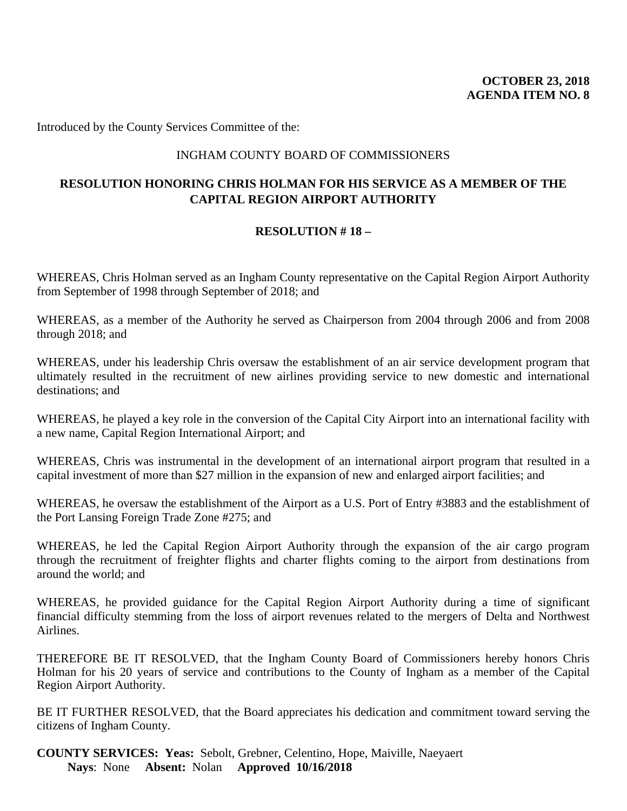### INGHAM COUNTY BOARD OF COMMISSIONERS

# **RESOLUTION HONORING CHRIS HOLMAN FOR HIS SERVICE AS A MEMBER OF THE CAPITAL REGION AIRPORT AUTHORITY**

# **RESOLUTION # 18 –**

WHEREAS, Chris Holman served as an Ingham County representative on the Capital Region Airport Authority from September of 1998 through September of 2018; and

WHEREAS, as a member of the Authority he served as Chairperson from 2004 through 2006 and from 2008 through 2018; and

WHEREAS, under his leadership Chris oversaw the establishment of an air service development program that ultimately resulted in the recruitment of new airlines providing service to new domestic and international destinations; and

WHEREAS, he played a key role in the conversion of the Capital City Airport into an international facility with a new name, Capital Region International Airport; and

WHEREAS, Chris was instrumental in the development of an international airport program that resulted in a capital investment of more than \$27 million in the expansion of new and enlarged airport facilities; and

WHEREAS, he oversaw the establishment of the Airport as a U.S. Port of Entry #3883 and the establishment of the Port Lansing Foreign Trade Zone #275; and

WHEREAS, he led the Capital Region Airport Authority through the expansion of the air cargo program through the recruitment of freighter flights and charter flights coming to the airport from destinations from around the world; and

WHEREAS, he provided guidance for the Capital Region Airport Authority during a time of significant financial difficulty stemming from the loss of airport revenues related to the mergers of Delta and Northwest Airlines.

THEREFORE BE IT RESOLVED, that the Ingham County Board of Commissioners hereby honors Chris Holman for his 20 years of service and contributions to the County of Ingham as a member of the Capital Region Airport Authority.

BE IT FURTHER RESOLVED, that the Board appreciates his dedication and commitment toward serving the citizens of Ingham County.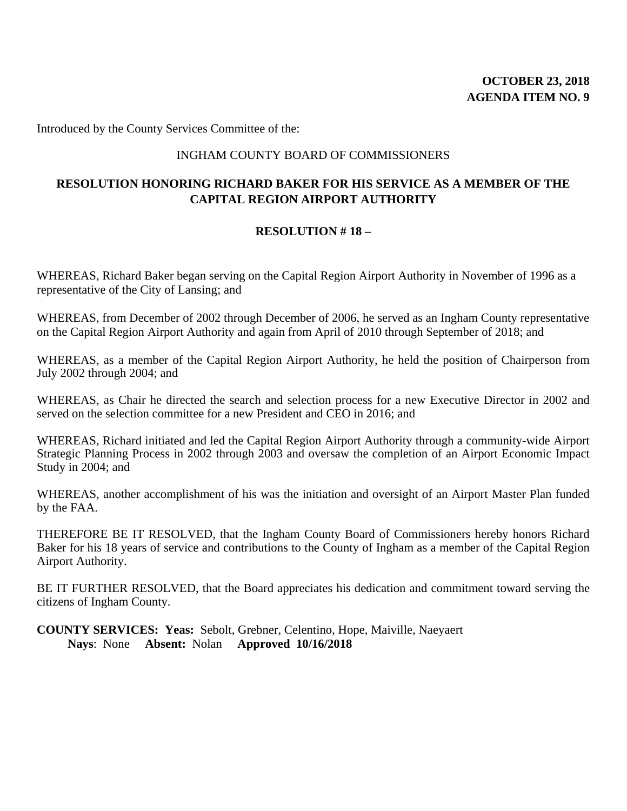### INGHAM COUNTY BOARD OF COMMISSIONERS

# **RESOLUTION HONORING RICHARD BAKER FOR HIS SERVICE AS A MEMBER OF THE CAPITAL REGION AIRPORT AUTHORITY**

# **RESOLUTION # 18 –**

WHEREAS, Richard Baker began serving on the Capital Region Airport Authority in November of 1996 as a representative of the City of Lansing; and

WHEREAS, from December of 2002 through December of 2006, he served as an Ingham County representative on the Capital Region Airport Authority and again from April of 2010 through September of 2018; and

WHEREAS, as a member of the Capital Region Airport Authority, he held the position of Chairperson from July 2002 through 2004; and

WHEREAS, as Chair he directed the search and selection process for a new Executive Director in 2002 and served on the selection committee for a new President and CEO in 2016; and

WHEREAS, Richard initiated and led the Capital Region Airport Authority through a community-wide Airport Strategic Planning Process in 2002 through 2003 and oversaw the completion of an Airport Economic Impact Study in 2004; and

WHEREAS, another accomplishment of his was the initiation and oversight of an Airport Master Plan funded by the FAA.

THEREFORE BE IT RESOLVED, that the Ingham County Board of Commissioners hereby honors Richard Baker for his 18 years of service and contributions to the County of Ingham as a member of the Capital Region Airport Authority.

BE IT FURTHER RESOLVED, that the Board appreciates his dedication and commitment toward serving the citizens of Ingham County.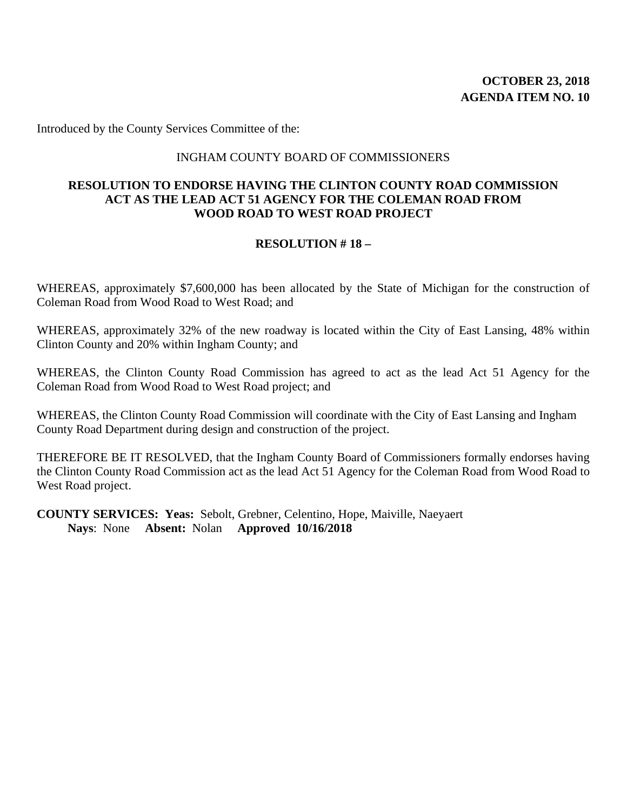#### INGHAM COUNTY BOARD OF COMMISSIONERS

#### **RESOLUTION TO ENDORSE HAVING THE CLINTON COUNTY ROAD COMMISSION ACT AS THE LEAD ACT 51 AGENCY FOR THE COLEMAN ROAD FROM WOOD ROAD TO WEST ROAD PROJECT**

#### **RESOLUTION # 18 –**

WHEREAS, approximately \$7,600,000 has been allocated by the State of Michigan for the construction of Coleman Road from Wood Road to West Road; and

WHEREAS, approximately 32% of the new roadway is located within the City of East Lansing, 48% within Clinton County and 20% within Ingham County; and

WHEREAS, the Clinton County Road Commission has agreed to act as the lead Act 51 Agency for the Coleman Road from Wood Road to West Road project; and

WHEREAS, the Clinton County Road Commission will coordinate with the City of East Lansing and Ingham County Road Department during design and construction of the project.

THEREFORE BE IT RESOLVED, that the Ingham County Board of Commissioners formally endorses having the Clinton County Road Commission act as the lead Act 51 Agency for the Coleman Road from Wood Road to West Road project.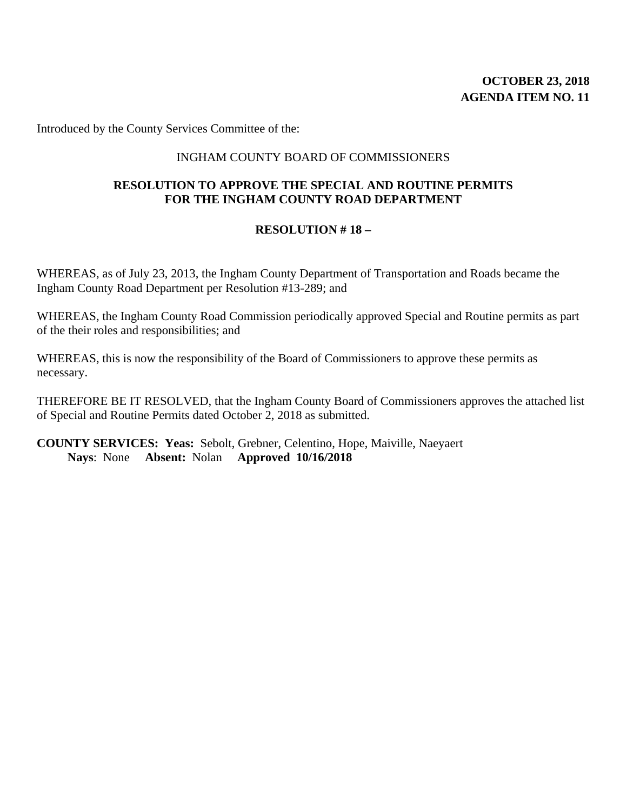# **OCTOBER 23, 2018 AGENDA ITEM NO. 11**

Introduced by the County Services Committee of the:

#### INGHAM COUNTY BOARD OF COMMISSIONERS

# **RESOLUTION TO APPROVE THE SPECIAL AND ROUTINE PERMITS FOR THE INGHAM COUNTY ROAD DEPARTMENT**

#### **RESOLUTION # 18 –**

WHEREAS, as of July 23, 2013, the Ingham County Department of Transportation and Roads became the Ingham County Road Department per Resolution #13-289; and

WHEREAS, the Ingham County Road Commission periodically approved Special and Routine permits as part of the their roles and responsibilities; and

WHEREAS, this is now the responsibility of the Board of Commissioners to approve these permits as necessary.

THEREFORE BE IT RESOLVED, that the Ingham County Board of Commissioners approves the attached list of Special and Routine Permits dated October 2, 2018 as submitted.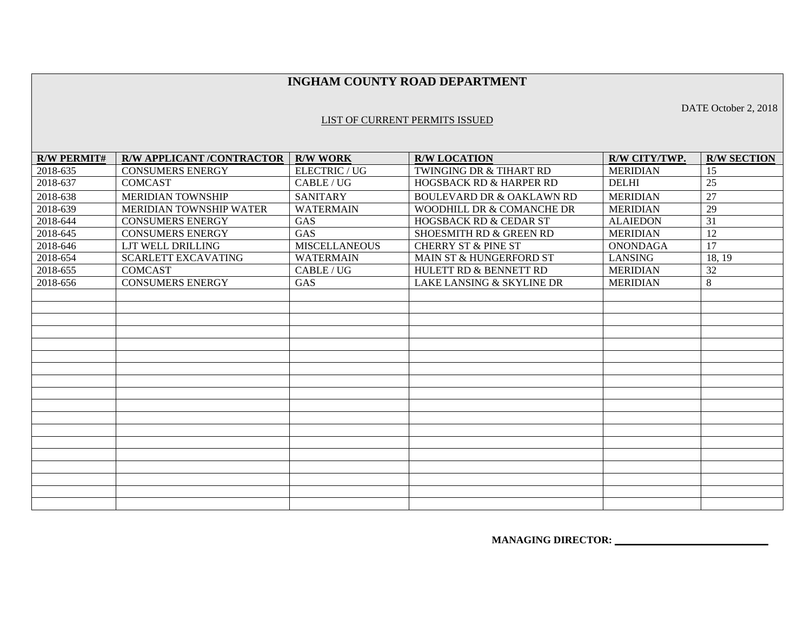#### **INGHAM COUNTY ROAD DEPARTMENT**

#### LIST OF CURRENT PERMITS ISSUED

**R/W PERMIT#** R/W APPLICANT /CONTRACTOR R/W WORK R/W LOCATION R/W R/W CITY/TWP. **R/W SECTION** 2018-635 CONSUMERS ENERGY ELECTRIC / UG TWINGING DR & TIHART RD MERIDIAN 15 2018-637 COMCAST CABLE/UG HOGSBACK RD & HARPER RD DELHI 25 2018-638 MERIDIAN TOWNSHIP SANITARY BOULEVARD DR & OAKLAWN RD MERIDIAN 27 2018-639 MERIDIAN TOWNSHIP WATER WATERMAIN WOODHILL DR & COMANCHE DR MERIDIAN  $\overline{29}$ 2018-644 CONSUMERS ENERGY GAS HOGSBACK RD & CEDAR ST ALAIEDON 31 2018-645 CONSUMERS ENERGY GAS SHOESMITH RD & GREEN RD MERIDIAN 12 2018-646 LJT WELL DRILLING MISCELLANEOUS CHERRY ST & PINE ST ONONDAGA 17 2018-654 SCARLETT EXCAVATING WATERMAIN MAIN ST & HUNGERFORD ST LANSING 18, 19 2018-655 COMCAST CABLE/UG HULETT RD & BENNETT RD MERIDIAN 32 2018-656 CONSUMERS ENERGY GAS LAKE LANSING & SKYLINE DR MERIDIAN 8

**MANAGING DIRECTOR:** 

DATE October 2, 2018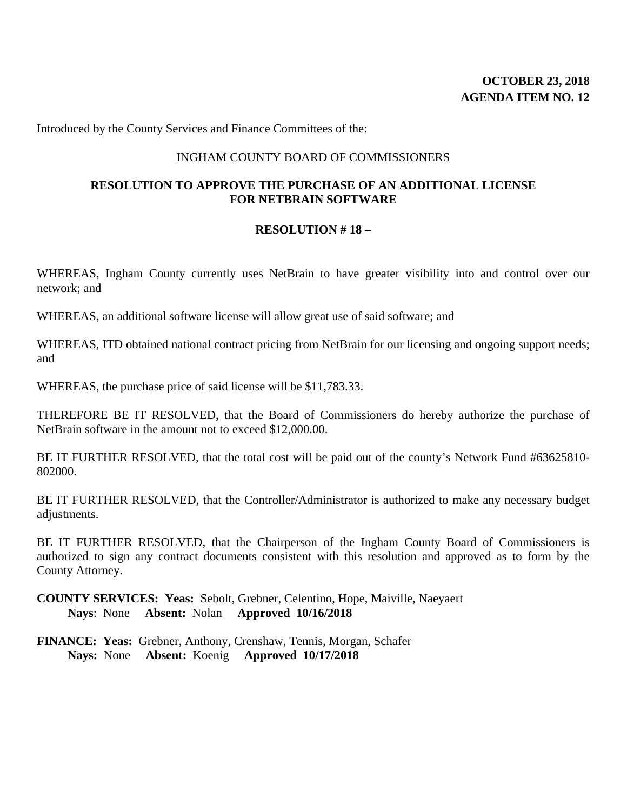# **OCTOBER 23, 2018 AGENDA ITEM NO. 12**

Introduced by the County Services and Finance Committees of the:

#### INGHAM COUNTY BOARD OF COMMISSIONERS

#### **RESOLUTION TO APPROVE THE PURCHASE OF AN ADDITIONAL LICENSE FOR NETBRAIN SOFTWARE**

#### **RESOLUTION # 18 –**

WHEREAS, Ingham County currently uses NetBrain to have greater visibility into and control over our network; and

WHEREAS, an additional software license will allow great use of said software; and

WHEREAS, ITD obtained national contract pricing from NetBrain for our licensing and ongoing support needs; and

WHEREAS, the purchase price of said license will be \$11,783.33.

THEREFORE BE IT RESOLVED, that the Board of Commissioners do hereby authorize the purchase of NetBrain software in the amount not to exceed \$12,000.00.

BE IT FURTHER RESOLVED, that the total cost will be paid out of the county's Network Fund #63625810- 802000.

BE IT FURTHER RESOLVED, that the Controller/Administrator is authorized to make any necessary budget adjustments.

BE IT FURTHER RESOLVED, that the Chairperson of the Ingham County Board of Commissioners is authorized to sign any contract documents consistent with this resolution and approved as to form by the County Attorney.

**COUNTY SERVICES: Yeas:** Sebolt, Grebner, Celentino, Hope, Maiville, Naeyaert **Nays**: None **Absent:** Nolan **Approved 10/16/2018** 

**FINANCE: Yeas:** Grebner, Anthony, Crenshaw, Tennis, Morgan, Schafer **Nays:** None **Absent:** Koenig **Approved 10/17/2018**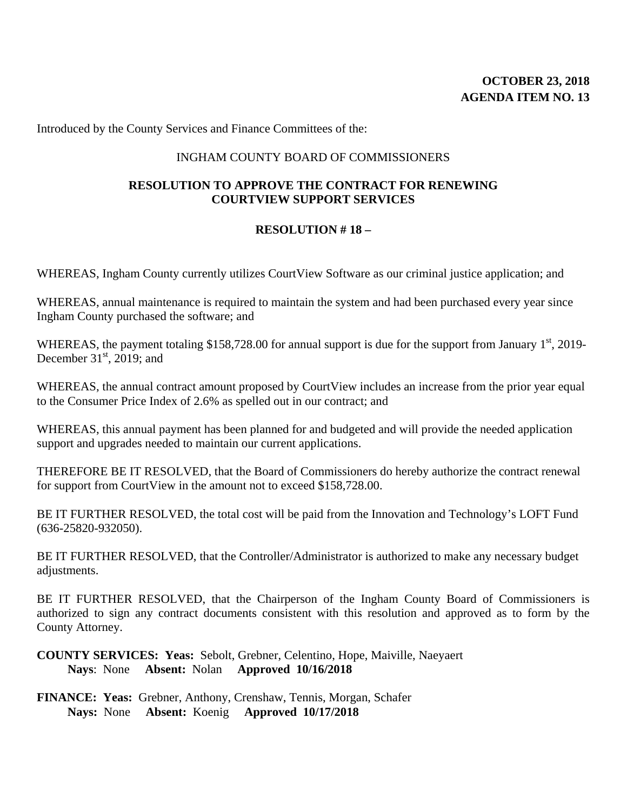Introduced by the County Services and Finance Committees of the:

#### INGHAM COUNTY BOARD OF COMMISSIONERS

# **RESOLUTION TO APPROVE THE CONTRACT FOR RENEWING COURTVIEW SUPPORT SERVICES**

#### **RESOLUTION # 18 –**

WHEREAS, Ingham County currently utilizes CourtView Software as our criminal justice application; and

WHEREAS, annual maintenance is required to maintain the system and had been purchased every year since Ingham County purchased the software; and

WHEREAS, the payment totaling \$158,728.00 for annual support is due for the support from January  $1<sup>st</sup>$ , 2019-December  $31<sup>st</sup>$ , 2019; and

WHEREAS, the annual contract amount proposed by CourtView includes an increase from the prior year equal to the Consumer Price Index of 2.6% as spelled out in our contract; and

WHEREAS, this annual payment has been planned for and budgeted and will provide the needed application support and upgrades needed to maintain our current applications.

THEREFORE BE IT RESOLVED, that the Board of Commissioners do hereby authorize the contract renewal for support from CourtView in the amount not to exceed \$158,728.00.

BE IT FURTHER RESOLVED, the total cost will be paid from the Innovation and Technology's LOFT Fund (636-25820-932050).

BE IT FURTHER RESOLVED, that the Controller/Administrator is authorized to make any necessary budget adjustments.

BE IT FURTHER RESOLVED, that the Chairperson of the Ingham County Board of Commissioners is authorized to sign any contract documents consistent with this resolution and approved as to form by the County Attorney.

**COUNTY SERVICES: Yeas:** Sebolt, Grebner, Celentino, Hope, Maiville, Naeyaert **Nays**: None **Absent:** Nolan **Approved 10/16/2018** 

**FINANCE: Yeas:** Grebner, Anthony, Crenshaw, Tennis, Morgan, Schafer **Nays:** None **Absent:** Koenig **Approved 10/17/2018**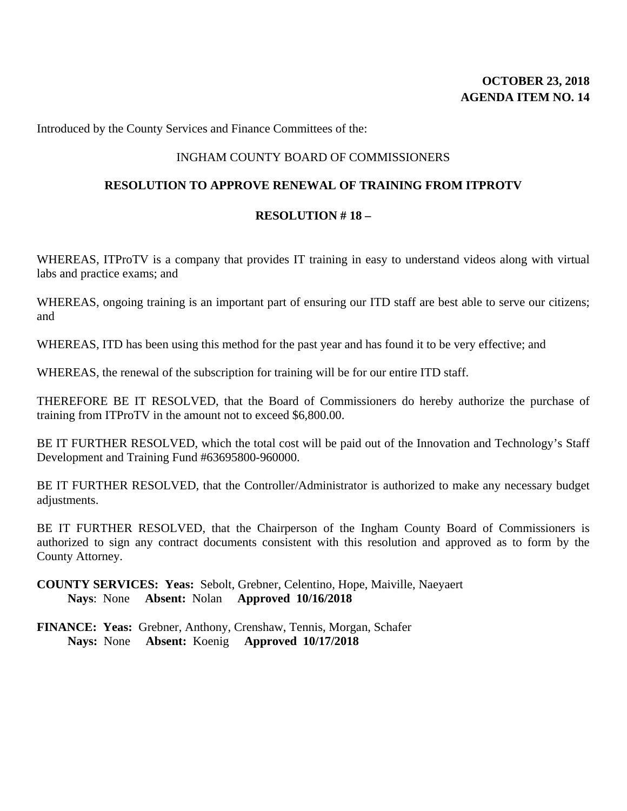## **OCTOBER 23, 2018 AGENDA ITEM NO. 14**

Introduced by the County Services and Finance Committees of the:

### INGHAM COUNTY BOARD OF COMMISSIONERS

#### **RESOLUTION TO APPROVE RENEWAL OF TRAINING FROM ITPROTV**

#### **RESOLUTION # 18 –**

WHEREAS, ITProTV is a company that provides IT training in easy to understand videos along with virtual labs and practice exams; and

WHEREAS, ongoing training is an important part of ensuring our ITD staff are best able to serve our citizens; and

WHEREAS, ITD has been using this method for the past year and has found it to be very effective; and

WHEREAS, the renewal of the subscription for training will be for our entire ITD staff.

THEREFORE BE IT RESOLVED, that the Board of Commissioners do hereby authorize the purchase of training from ITProTV in the amount not to exceed \$6,800.00.

BE IT FURTHER RESOLVED, which the total cost will be paid out of the Innovation and Technology's Staff Development and Training Fund #63695800-960000.

BE IT FURTHER RESOLVED, that the Controller/Administrator is authorized to make any necessary budget adjustments.

BE IT FURTHER RESOLVED, that the Chairperson of the Ingham County Board of Commissioners is authorized to sign any contract documents consistent with this resolution and approved as to form by the County Attorney.

**COUNTY SERVICES: Yeas:** Sebolt, Grebner, Celentino, Hope, Maiville, Naeyaert **Nays**: None **Absent:** Nolan **Approved 10/16/2018**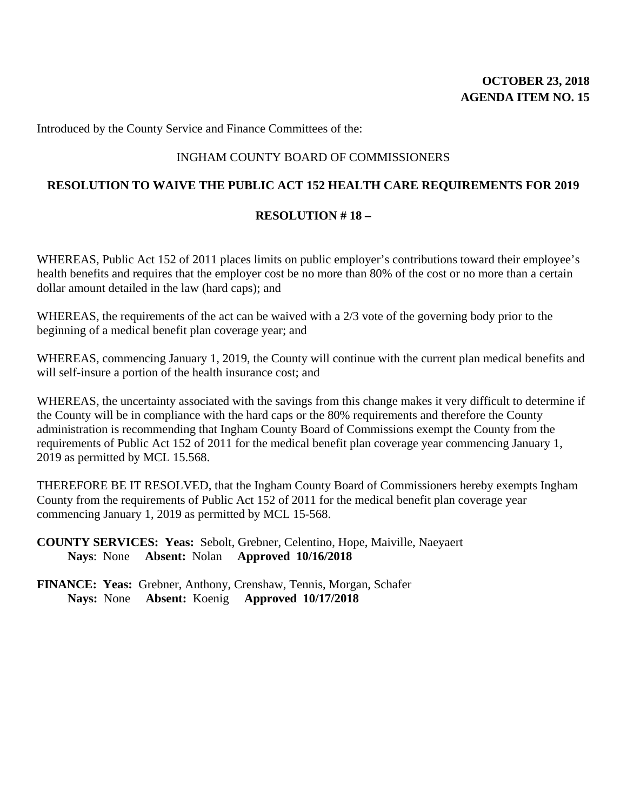## **OCTOBER 23, 2018 AGENDA ITEM NO. 15**

Introduced by the County Service and Finance Committees of the:

### INGHAM COUNTY BOARD OF COMMISSIONERS

## **RESOLUTION TO WAIVE THE PUBLIC ACT 152 HEALTH CARE REQUIREMENTS FOR 2019**

### **RESOLUTION # 18 –**

WHEREAS, Public Act 152 of 2011 places limits on public employer's contributions toward their employee's health benefits and requires that the employer cost be no more than 80% of the cost or no more than a certain dollar amount detailed in the law (hard caps); and

WHEREAS, the requirements of the act can be waived with a 2/3 vote of the governing body prior to the beginning of a medical benefit plan coverage year; and

WHEREAS, commencing January 1, 2019, the County will continue with the current plan medical benefits and will self-insure a portion of the health insurance cost; and

WHEREAS, the uncertainty associated with the savings from this change makes it very difficult to determine if the County will be in compliance with the hard caps or the 80% requirements and therefore the County administration is recommending that Ingham County Board of Commissions exempt the County from the requirements of Public Act 152 of 2011 for the medical benefit plan coverage year commencing January 1, 2019 as permitted by MCL 15.568.

THEREFORE BE IT RESOLVED, that the Ingham County Board of Commissioners hereby exempts Ingham County from the requirements of Public Act 152 of 2011 for the medical benefit plan coverage year commencing January 1, 2019 as permitted by MCL 15-568.

**COUNTY SERVICES: Yeas:** Sebolt, Grebner, Celentino, Hope, Maiville, Naeyaert **Nays**: None **Absent:** Nolan **Approved 10/16/2018**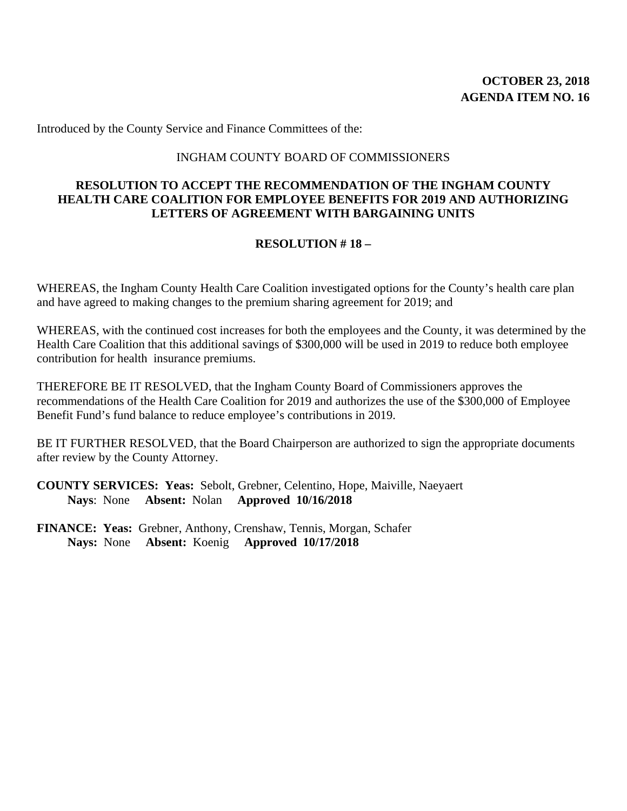Introduced by the County Service and Finance Committees of the:

#### INGHAM COUNTY BOARD OF COMMISSIONERS

### **RESOLUTION TO ACCEPT THE RECOMMENDATION OF THE INGHAM COUNTY HEALTH CARE COALITION FOR EMPLOYEE BENEFITS FOR 2019 AND AUTHORIZING LETTERS OF AGREEMENT WITH BARGAINING UNITS**

### **RESOLUTION # 18 –**

WHEREAS, the Ingham County Health Care Coalition investigated options for the County's health care plan and have agreed to making changes to the premium sharing agreement for 2019; and

WHEREAS, with the continued cost increases for both the employees and the County, it was determined by the Health Care Coalition that this additional savings of \$300,000 will be used in 2019 to reduce both employee contribution for health insurance premiums.

THEREFORE BE IT RESOLVED, that the Ingham County Board of Commissioners approves the recommendations of the Health Care Coalition for 2019 and authorizes the use of the \$300,000 of Employee Benefit Fund's fund balance to reduce employee's contributions in 2019.

BE IT FURTHER RESOLVED, that the Board Chairperson are authorized to sign the appropriate documents after review by the County Attorney.

**COUNTY SERVICES: Yeas:** Sebolt, Grebner, Celentino, Hope, Maiville, Naeyaert **Nays**: None **Absent:** Nolan **Approved 10/16/2018**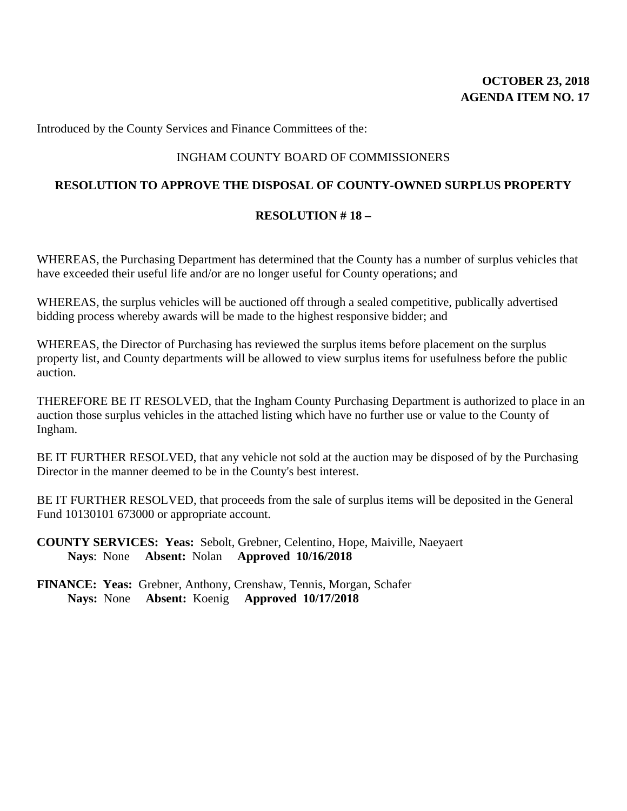## **OCTOBER 23, 2018 AGENDA ITEM NO. 17**

Introduced by the County Services and Finance Committees of the:

### INGHAM COUNTY BOARD OF COMMISSIONERS

#### **RESOLUTION TO APPROVE THE DISPOSAL OF COUNTY-OWNED SURPLUS PROPERTY**

#### **RESOLUTION # 18 –**

WHEREAS, the Purchasing Department has determined that the County has a number of surplus vehicles that have exceeded their useful life and/or are no longer useful for County operations; and

WHEREAS, the surplus vehicles will be auctioned off through a sealed competitive, publically advertised bidding process whereby awards will be made to the highest responsive bidder; and

WHEREAS, the Director of Purchasing has reviewed the surplus items before placement on the surplus property list, and County departments will be allowed to view surplus items for usefulness before the public auction.

THEREFORE BE IT RESOLVED, that the Ingham County Purchasing Department is authorized to place in an auction those surplus vehicles in the attached listing which have no further use or value to the County of Ingham.

BE IT FURTHER RESOLVED, that any vehicle not sold at the auction may be disposed of by the Purchasing Director in the manner deemed to be in the County's best interest.

BE IT FURTHER RESOLVED, that proceeds from the sale of surplus items will be deposited in the General Fund 10130101 673000 or appropriate account.

**COUNTY SERVICES: Yeas:** Sebolt, Grebner, Celentino, Hope, Maiville, Naeyaert **Nays**: None **Absent:** Nolan **Approved 10/16/2018**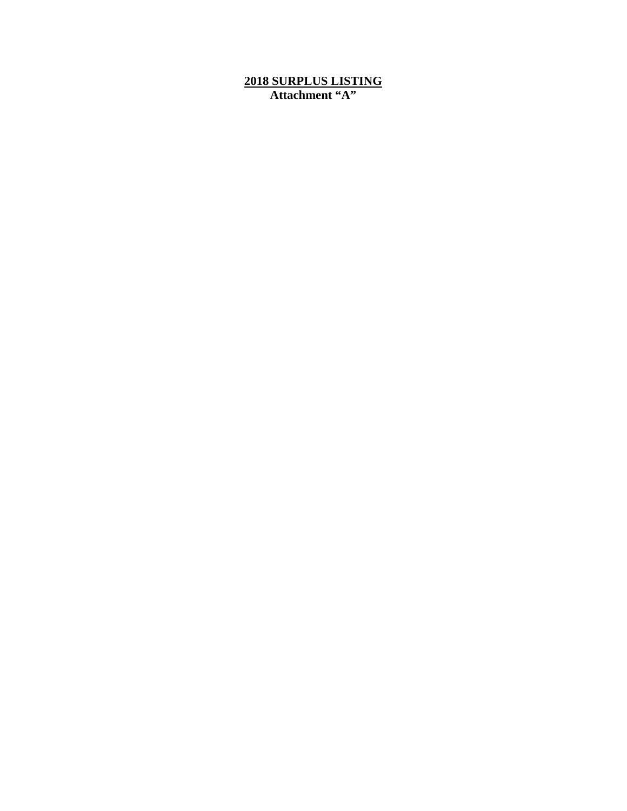#### **2018 SURPLUS LISTING Attachment "A"**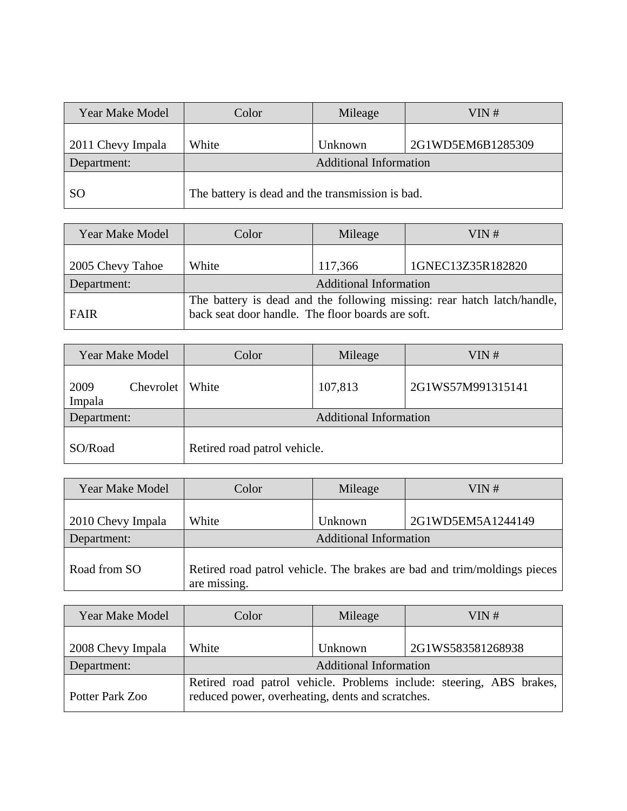| <b>Year Make Model</b> | Color                                            | Mileage | VIN#              |  |
|------------------------|--------------------------------------------------|---------|-------------------|--|
| 2011 Chevy Impala      | White                                            | Unknown | 2G1WD5EM6B1285309 |  |
| Department:            | <b>Additional Information</b>                    |         |                   |  |
| <sub>SO</sub>          | The battery is dead and the transmission is bad. |         |                   |  |

| <b>Year Make Model</b> | Color                                                                                                                        | Mileage | VIN#              |
|------------------------|------------------------------------------------------------------------------------------------------------------------------|---------|-------------------|
| 2005 Chevy Tahoe       | White                                                                                                                        | 117,366 | 1GNEC13Z35R182820 |
| Department:            | <b>Additional Information</b>                                                                                                |         |                   |
| <b>FAIR</b>            | The battery is dead and the following missing: rear hatch latch/handle,<br>back seat door handle. The floor boards are soft. |         |                   |

| <b>Year Make Model</b> |           | Color                         | Mileage | VIN#              |
|------------------------|-----------|-------------------------------|---------|-------------------|
| 2009<br>Impala         | Chevrolet | White                         | 107,813 | 2G1WS57M991315141 |
| Department:            |           | <b>Additional Information</b> |         |                   |
| SO/Road                |           | Retired road patrol vehicle.  |         |                   |

| <b>Year Make Model</b> | Color                         | Mileage | VIN#                                                                     |
|------------------------|-------------------------------|---------|--------------------------------------------------------------------------|
| 2010 Chevy Impala      | White                         | Unknown | 2G1WD5EM5A1244149                                                        |
| Department:            | <b>Additional Information</b> |         |                                                                          |
| Road from SO           | are missing.                  |         | Retired road patrol vehicle. The brakes are bad and trim/moldings pieces |

| <b>Year Make Model</b> | Color                                            | Mileage | VIN#                                                                 |  |
|------------------------|--------------------------------------------------|---------|----------------------------------------------------------------------|--|
| 2008 Chevy Impala      | White                                            | Unknown | 2G1WS583581268938                                                    |  |
| Department:            | <b>Additional Information</b>                    |         |                                                                      |  |
| Potter Park Zoo        | reduced power, overheating, dents and scratches. |         | Retired road patrol vehicle. Problems include: steering, ABS brakes, |  |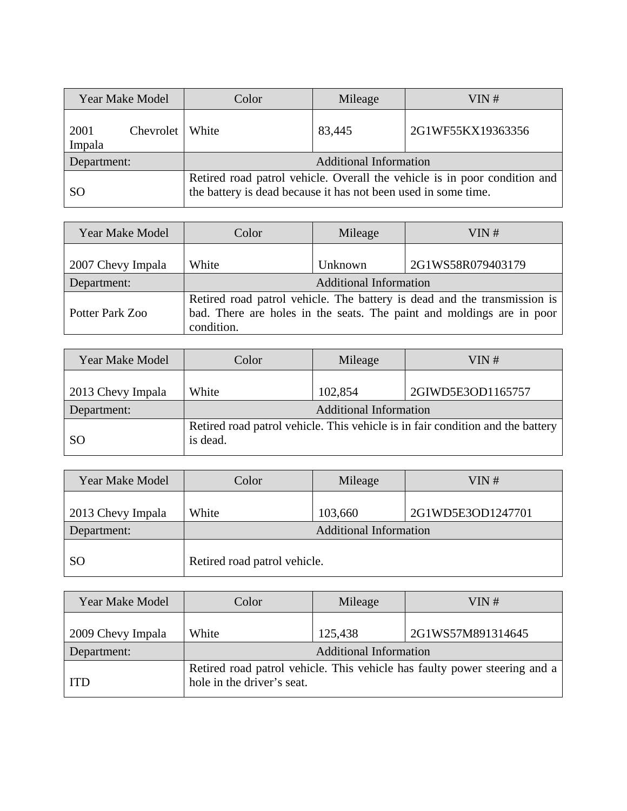| <b>Year Make Model</b>        | Color                                                                                                                                       | Mileage | VIN#              |
|-------------------------------|---------------------------------------------------------------------------------------------------------------------------------------------|---------|-------------------|
| 2001<br>Chevrolet  <br>Impala | White                                                                                                                                       | 83,445  | 2G1WF55KX19363356 |
| Department:                   | <b>Additional Information</b>                                                                                                               |         |                   |
| <sub>SO</sub>                 | Retired road patrol vehicle. Overall the vehicle is in poor condition and<br>the battery is dead because it has not been used in some time. |         |                   |

| <b>Year Make Model</b> | Color                         | Mileage | VIN#                                                                                                                                              |
|------------------------|-------------------------------|---------|---------------------------------------------------------------------------------------------------------------------------------------------------|
| 2007 Chevy Impala      | White                         | Unknown | 2G1WS58R079403179                                                                                                                                 |
| Department:            | <b>Additional Information</b> |         |                                                                                                                                                   |
| Potter Park Zoo        | condition.                    |         | Retired road patrol vehicle. The battery is dead and the transmission is<br>bad. There are holes in the seats. The paint and moldings are in poor |

| <b>Year Make Model</b>           | Color    | Mileage                                  | VIN#                                                                           |
|----------------------------------|----------|------------------------------------------|--------------------------------------------------------------------------------|
| 2013 Chevy Impala<br>Department: | White    | 102,854<br><b>Additional Information</b> | 2GIWD5E3OD1165757                                                              |
| <sub>SO</sub>                    | is dead. |                                          | Retired road patrol vehicle. This vehicle is in fair condition and the battery |

| <b>Year Make Model</b> | Color                         | Mileage | VIN#              |  |
|------------------------|-------------------------------|---------|-------------------|--|
| 2013 Chevy Impala      | White                         | 103,660 | 2G1WD5E3OD1247701 |  |
| Department:            | <b>Additional Information</b> |         |                   |  |
| <sub>SO</sub>          | Retired road patrol vehicle.  |         |                   |  |

| <b>Year Make Model</b> | Color                         | Mileage | VIN#                                                                      |  |
|------------------------|-------------------------------|---------|---------------------------------------------------------------------------|--|
| 2009 Chevy Impala      | White                         | 125,438 | 2G1WS57M891314645                                                         |  |
| Department:            | <b>Additional Information</b> |         |                                                                           |  |
| <b>ITD</b>             | hole in the driver's seat.    |         | Retired road patrol vehicle. This vehicle has faulty power steering and a |  |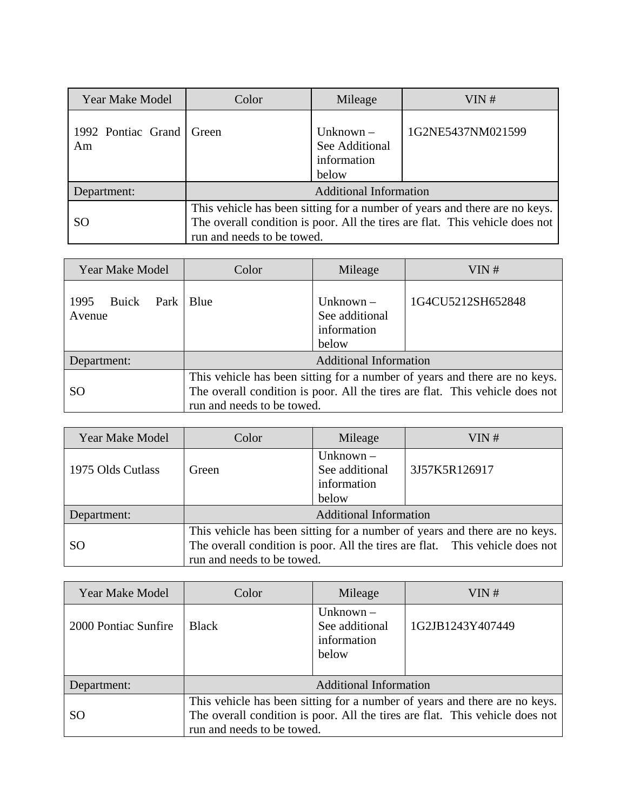| <b>Year Make Model</b>         | Color                                                                                                                                                                                    | Mileage                                               | VIN#              |  |
|--------------------------------|------------------------------------------------------------------------------------------------------------------------------------------------------------------------------------------|-------------------------------------------------------|-------------------|--|
| 1992 Pontiac Grand Green<br>Am |                                                                                                                                                                                          | Unknown $-$<br>See Additional<br>information<br>below | 1G2NE5437NM021599 |  |
| Department:                    | <b>Additional Information</b>                                                                                                                                                            |                                                       |                   |  |
| <sub>SO</sub>                  | This vehicle has been sitting for a number of years and there are no keys.<br>The overall condition is poor. All the tires are flat. This vehicle does not<br>run and needs to be towed. |                                                       |                   |  |

| <b>Year Make Model</b>                 | Color                                                                                                                                                                                    | Mileage                                               | VIN#              |
|----------------------------------------|------------------------------------------------------------------------------------------------------------------------------------------------------------------------------------------|-------------------------------------------------------|-------------------|
| Buick<br>1995<br>Park   Blue<br>Avenue |                                                                                                                                                                                          | Unknown $-$<br>See additional<br>information<br>below | 1G4CU5212SH652848 |
| Department:                            | <b>Additional Information</b>                                                                                                                                                            |                                                       |                   |
| SO.                                    | This vehicle has been sitting for a number of years and there are no keys.<br>The overall condition is poor. All the tires are flat. This vehicle does not<br>run and needs to be towed. |                                                       |                   |

| Year Make Model   | Color                                                                                                                                                                                    | Mileage                                               | VIN#          |  |
|-------------------|------------------------------------------------------------------------------------------------------------------------------------------------------------------------------------------|-------------------------------------------------------|---------------|--|
| 1975 Olds Cutlass | Green                                                                                                                                                                                    | Unknown $-$<br>See additional<br>information<br>below | 3J57K5R126917 |  |
| Department:       | <b>Additional Information</b>                                                                                                                                                            |                                                       |               |  |
| SO.               | This vehicle has been sitting for a number of years and there are no keys.<br>The overall condition is poor. All the tires are flat. This vehicle does not<br>run and needs to be towed. |                                                       |               |  |

| <b>Year Make Model</b> | Color                                                                                                                                                                                    | Mileage                                               | VIN#             |  |
|------------------------|------------------------------------------------------------------------------------------------------------------------------------------------------------------------------------------|-------------------------------------------------------|------------------|--|
| 2000 Pontiac Sunfire   | <b>Black</b>                                                                                                                                                                             | Unknown $-$<br>See additional<br>information<br>below | 1G2JB1243Y407449 |  |
| Department:            | Additional Information                                                                                                                                                                   |                                                       |                  |  |
| SO <sub>1</sub>        | This vehicle has been sitting for a number of years and there are no keys.<br>The overall condition is poor. All the tires are flat. This vehicle does not<br>run and needs to be towed. |                                                       |                  |  |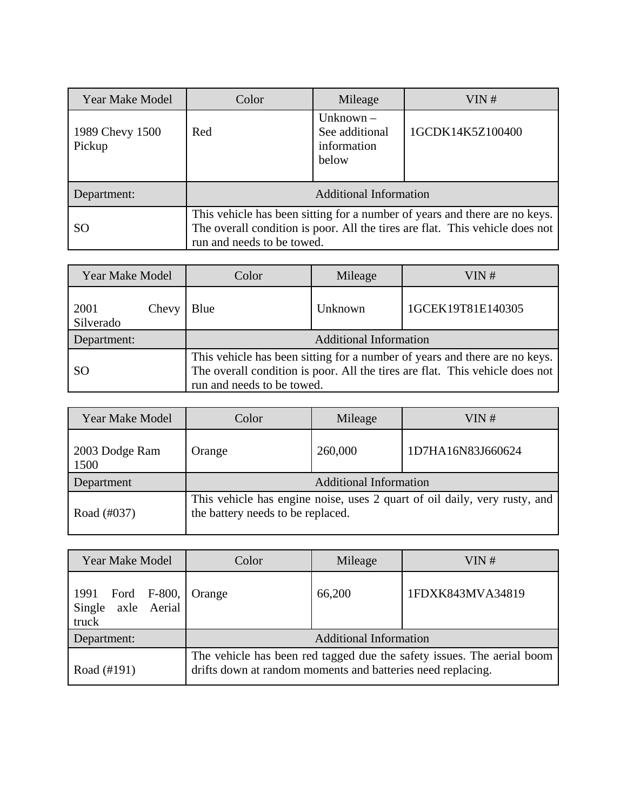| <b>Year Make Model</b>    | Color                                                                                                                                                                                    | Mileage                                               | VIN#             |  |
|---------------------------|------------------------------------------------------------------------------------------------------------------------------------------------------------------------------------------|-------------------------------------------------------|------------------|--|
| 1989 Chevy 1500<br>Pickup | Red                                                                                                                                                                                      | Unknown $-$<br>See additional<br>information<br>below | 1GCDK14K5Z100400 |  |
| Department:               | <b>Additional Information</b>                                                                                                                                                            |                                                       |                  |  |
| <b>SO</b>                 | This vehicle has been sitting for a number of years and there are no keys.<br>The overall condition is poor. All the tires are flat. This vehicle does not<br>run and needs to be towed. |                                                       |                  |  |

| <b>Year Make Model</b>     | Color                                                                                                                                                                                    | Mileage                       | VIN #             |  |
|----------------------------|------------------------------------------------------------------------------------------------------------------------------------------------------------------------------------------|-------------------------------|-------------------|--|
| 2001<br>Chevy<br>Silverado | Blue                                                                                                                                                                                     | Unknown                       | 1GCEK19T81E140305 |  |
| Department:                |                                                                                                                                                                                          | <b>Additional Information</b> |                   |  |
| SO <sub>1</sub>            | This vehicle has been sitting for a number of years and there are no keys.<br>The overall condition is poor. All the tires are flat. This vehicle does not<br>run and needs to be towed. |                               |                   |  |

| <b>Year Make Model</b> | Color                             | Mileage | VIN #                                                                     |  |
|------------------------|-----------------------------------|---------|---------------------------------------------------------------------------|--|
| 2003 Dodge Ram<br>1500 | Orange                            | 260,000 | 1D7HA16N83J660624                                                         |  |
| Department             | <b>Additional Information</b>     |         |                                                                           |  |
| Road (#037)            | the battery needs to be replaced. |         | This vehicle has engine noise, uses 2 quart of oil daily, very rusty, and |  |

| <b>Year Make Model</b>                                    | Color                                                                                                                                 | Mileage | VIN $#$          |
|-----------------------------------------------------------|---------------------------------------------------------------------------------------------------------------------------------------|---------|------------------|
| 1991 Ford F-800, Orange<br>axle Aerial<br>Single<br>truck |                                                                                                                                       | 66,200  | 1FDXK843MVA34819 |
| Department:                                               | <b>Additional Information</b>                                                                                                         |         |                  |
| Road (#191)                                               | The vehicle has been red tagged due the safety issues. The aerial boom<br>drifts down at random moments and batteries need replacing. |         |                  |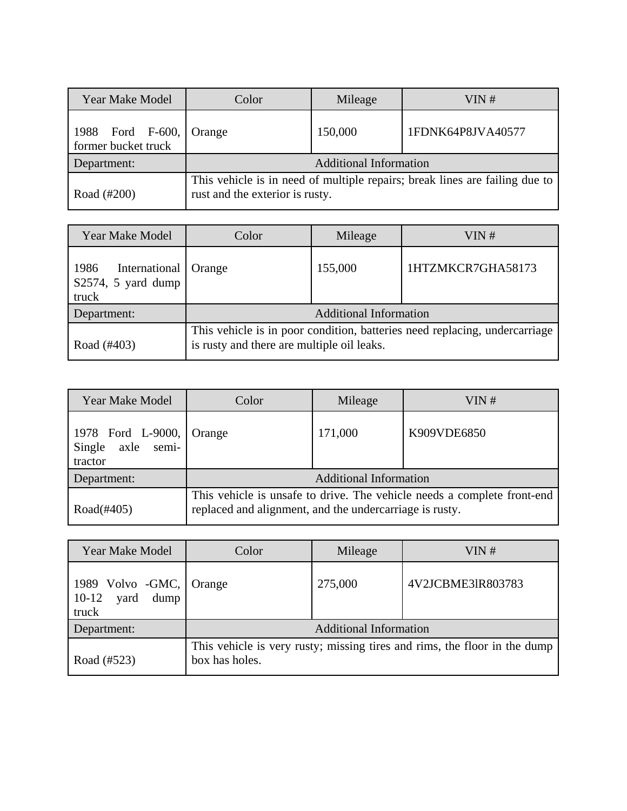| <b>Year Make Model</b>                  | Color                                                                                                          | Mileage | VIN#              |  |
|-----------------------------------------|----------------------------------------------------------------------------------------------------------------|---------|-------------------|--|
| 1988 Ford F-600,<br>former bucket truck | Orange                                                                                                         | 150,000 | 1FDNK64P8JVA40577 |  |
| Department:                             | <b>Additional Information</b>                                                                                  |         |                   |  |
| Road (#200)                             | This vehicle is in need of multiple repairs; break lines are failing due to<br>rust and the exterior is rusty. |         |                   |  |

| <b>Year Make Model</b>                                  | Color                                                                                                                    | Mileage | VIN #             |  |
|---------------------------------------------------------|--------------------------------------------------------------------------------------------------------------------------|---------|-------------------|--|
| International<br>1986<br>$S2574$ , 5 yard dump<br>truck | Orange                                                                                                                   | 155,000 | 1HTZMKCR7GHA58173 |  |
| Department:                                             | <b>Additional Information</b>                                                                                            |         |                   |  |
| Road (#403)                                             | This vehicle is in poor condition, batteries need replacing, undercarriage<br>is rusty and there are multiple oil leaks. |         |                   |  |

| <b>Year Make Model</b>                               | Color                                                                                                                              | Mileage | VIN#        |
|------------------------------------------------------|------------------------------------------------------------------------------------------------------------------------------------|---------|-------------|
| 1978 Ford L-9000,<br>axle semi-<br>Single<br>tractor | Orange                                                                                                                             | 171,000 | K909VDE6850 |
| Department:                                          | <b>Additional Information</b>                                                                                                      |         |             |
| Road $(\#405)$                                       | This vehicle is unsafe to drive. The vehicle needs a complete front-end<br>replaced and alignment, and the undercarriage is rusty. |         |             |

| <b>Year Make Model</b>                                   | Color                                                                                       | Mileage | VIN #             |
|----------------------------------------------------------|---------------------------------------------------------------------------------------------|---------|-------------------|
| 1989 Volvo - $GMC$ ,<br>dump<br>$10-12$<br>yard<br>truck | Orange                                                                                      | 275,000 | 4V2JCBME3IR803783 |
| Department:                                              | <b>Additional Information</b>                                                               |         |                   |
| Road (#523)                                              | This vehicle is very rusty; missing tires and rims, the floor in the dump<br>box has holes. |         |                   |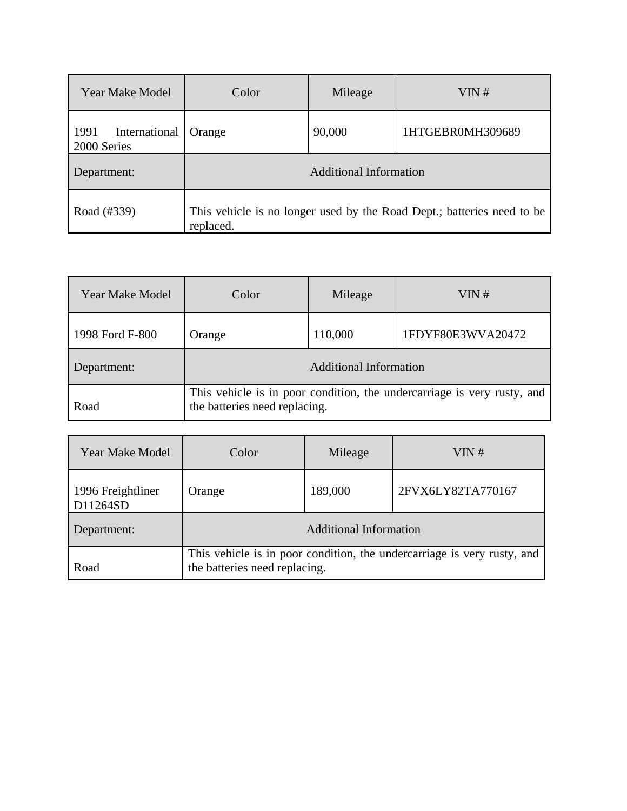| <b>Year Make Model</b>               | Color                                                                               | Mileage | VIN#             |  |
|--------------------------------------|-------------------------------------------------------------------------------------|---------|------------------|--|
| International<br>1991<br>2000 Series | Orange                                                                              | 90,000  | 1HTGEBR0MH309689 |  |
| Department:                          | <b>Additional Information</b>                                                       |         |                  |  |
| Road (#339)                          | This vehicle is no longer used by the Road Dept.; batteries need to be<br>replaced. |         |                  |  |

| <b>Year Make Model</b> | Color                                                                                                    | Mileage | VIN#              |  |
|------------------------|----------------------------------------------------------------------------------------------------------|---------|-------------------|--|
| 1998 Ford F-800        | Orange                                                                                                   | 110,000 | 1FDYF80E3WVA20472 |  |
| Department:            | <b>Additional Information</b>                                                                            |         |                   |  |
| Road                   | This vehicle is in poor condition, the undercarriage is very rusty, and<br>the batteries need replacing. |         |                   |  |

| <b>Year Make Model</b>        | Color                                                                                                    | Mileage | VIN#              |  |
|-------------------------------|----------------------------------------------------------------------------------------------------------|---------|-------------------|--|
| 1996 Freightliner<br>D11264SD | Orange                                                                                                   | 189,000 | 2FVX6LY82TA770167 |  |
| Department:                   | <b>Additional Information</b>                                                                            |         |                   |  |
| Road                          | This vehicle is in poor condition, the undercarriage is very rusty, and<br>the batteries need replacing. |         |                   |  |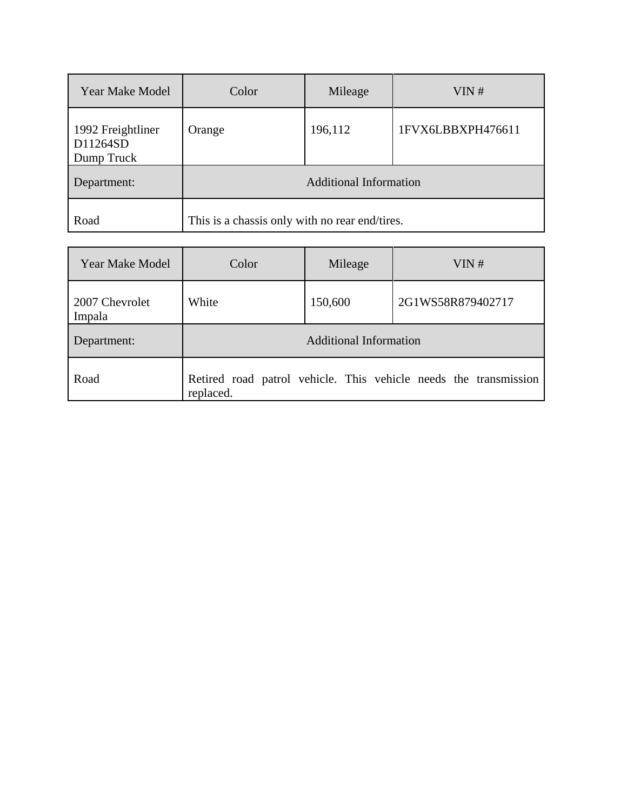| <b>Year Make Model</b>                      | Color                                          | Mileage | VIN#              |  |
|---------------------------------------------|------------------------------------------------|---------|-------------------|--|
| 1992 Freightliner<br>D11264SD<br>Dump Truck | Orange                                         | 196,112 | 1FVX6LBBXPH476611 |  |
| Department:                                 | <b>Additional Information</b>                  |         |                   |  |
| Road                                        | This is a chassis only with no rear end/tires. |         |                   |  |

| <b>Year Make Model</b>   | Color     | Mileage                       | VIN#                                                             |
|--------------------------|-----------|-------------------------------|------------------------------------------------------------------|
| 2007 Chevrolet<br>Impala | White     | 150,600                       | 2G1WS58R879402717                                                |
| Department:              |           | <b>Additional Information</b> |                                                                  |
| Road                     | replaced. |                               | Retired road patrol vehicle. This vehicle needs the transmission |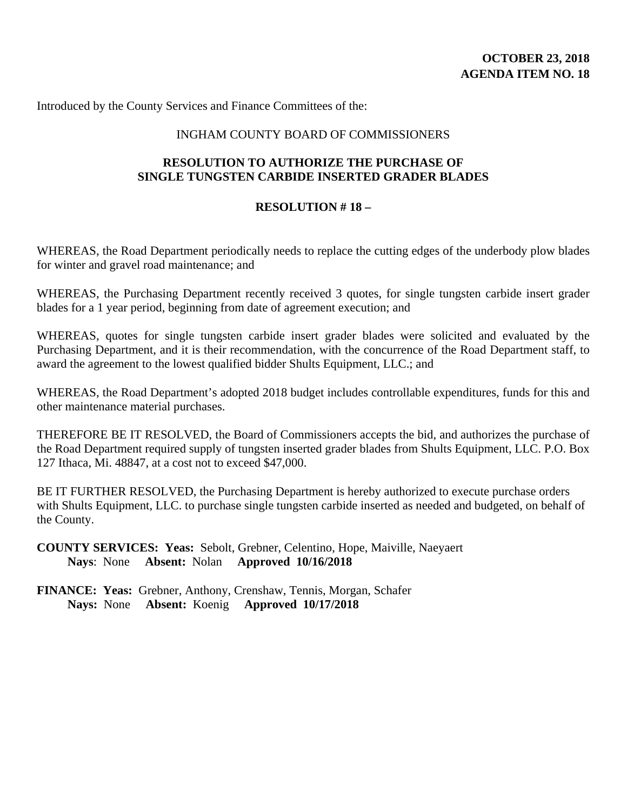Introduced by the County Services and Finance Committees of the:

#### INGHAM COUNTY BOARD OF COMMISSIONERS

### **RESOLUTION TO AUTHORIZE THE PURCHASE OF SINGLE TUNGSTEN CARBIDE INSERTED GRADER BLADES**

#### **RESOLUTION # 18 –**

WHEREAS, the Road Department periodically needs to replace the cutting edges of the underbody plow blades for winter and gravel road maintenance; and

WHEREAS, the Purchasing Department recently received 3 quotes, for single tungsten carbide insert grader blades for a 1 year period, beginning from date of agreement execution; and

WHEREAS, quotes for single tungsten carbide insert grader blades were solicited and evaluated by the Purchasing Department, and it is their recommendation, with the concurrence of the Road Department staff, to award the agreement to the lowest qualified bidder Shults Equipment, LLC.; and

WHEREAS, the Road Department's adopted 2018 budget includes controllable expenditures, funds for this and other maintenance material purchases.

THEREFORE BE IT RESOLVED, the Board of Commissioners accepts the bid, and authorizes the purchase of the Road Department required supply of tungsten inserted grader blades from Shults Equipment, LLC. P.O. Box 127 Ithaca, Mi. 48847, at a cost not to exceed \$47,000.

BE IT FURTHER RESOLVED, the Purchasing Department is hereby authorized to execute purchase orders with Shults Equipment, LLC. to purchase single tungsten carbide inserted as needed and budgeted, on behalf of the County.

**COUNTY SERVICES: Yeas:** Sebolt, Grebner, Celentino, Hope, Maiville, Naeyaert **Nays**: None **Absent:** Nolan **Approved 10/16/2018**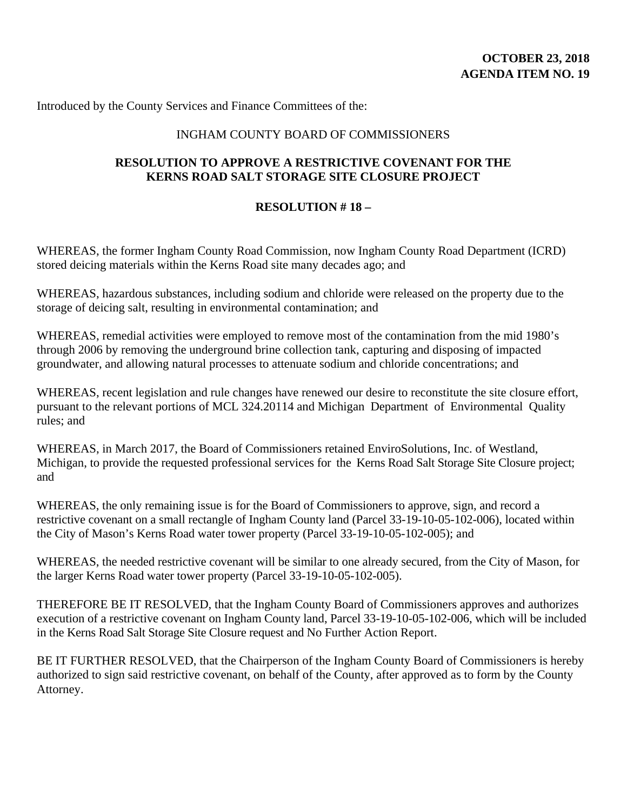Introduced by the County Services and Finance Committees of the:

#### INGHAM COUNTY BOARD OF COMMISSIONERS

### **RESOLUTION TO APPROVE A RESTRICTIVE COVENANT FOR THE KERNS ROAD SALT STORAGE SITE CLOSURE PROJECT**

#### **RESOLUTION # 18 –**

WHEREAS, the former Ingham County Road Commission, now Ingham County Road Department (ICRD) stored deicing materials within the Kerns Road site many decades ago; and

WHEREAS, hazardous substances, including sodium and chloride were released on the property due to the storage of deicing salt, resulting in environmental contamination; and

WHEREAS, remedial activities were employed to remove most of the contamination from the mid 1980's through 2006 by removing the underground brine collection tank, capturing and disposing of impacted groundwater, and allowing natural processes to attenuate sodium and chloride concentrations; and

WHEREAS, recent legislation and rule changes have renewed our desire to reconstitute the site closure effort, pursuant to the relevant portions of MCL 324.20114 and Michigan Department of Environmental Quality rules; and

WHEREAS, in March 2017, the Board of Commissioners retained EnviroSolutions, Inc. of Westland, Michigan, to provide the requested professional services for the Kerns Road Salt Storage Site Closure project; and

WHEREAS, the only remaining issue is for the Board of Commissioners to approve, sign, and record a restrictive covenant on a small rectangle of Ingham County land (Parcel 33-19-10-05-102-006), located within the City of Mason's Kerns Road water tower property (Parcel 33-19-10-05-102-005); and

WHEREAS, the needed restrictive covenant will be similar to one already secured, from the City of Mason, for the larger Kerns Road water tower property (Parcel 33-19-10-05-102-005).

THEREFORE BE IT RESOLVED, that the Ingham County Board of Commissioners approves and authorizes execution of a restrictive covenant on Ingham County land, Parcel 33-19-10-05-102-006, which will be included in the Kerns Road Salt Storage Site Closure request and No Further Action Report.

BE IT FURTHER RESOLVED, that the Chairperson of the Ingham County Board of Commissioners is hereby authorized to sign said restrictive covenant, on behalf of the County, after approved as to form by the County Attorney.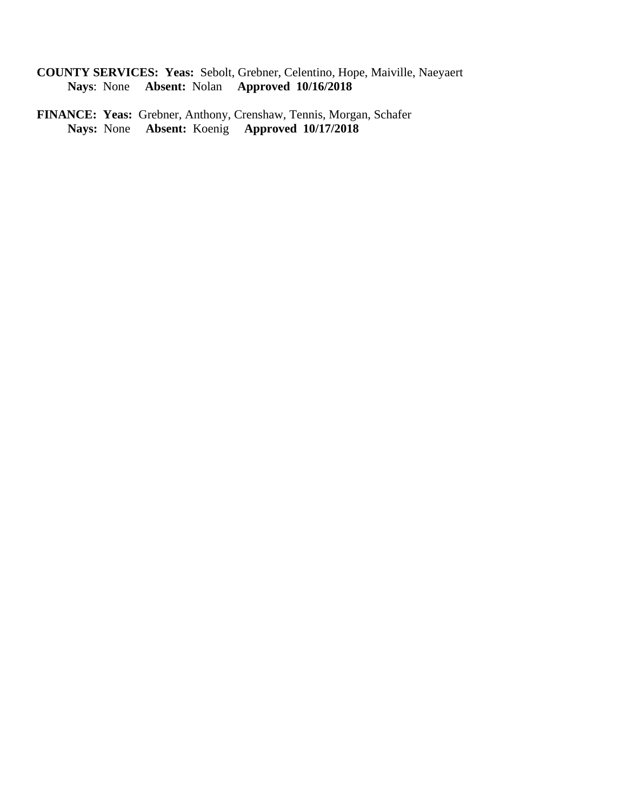- **COUNTY SERVICES: Yeas:** Sebolt, Grebner, Celentino, Hope, Maiville, Naeyaert **Nays**: None **Absent:** Nolan **Approved 10/16/2018**
- **FINANCE: Yeas:** Grebner, Anthony, Crenshaw, Tennis, Morgan, Schafer **Nays:** None **Absent:** Koenig **Approved 10/17/2018**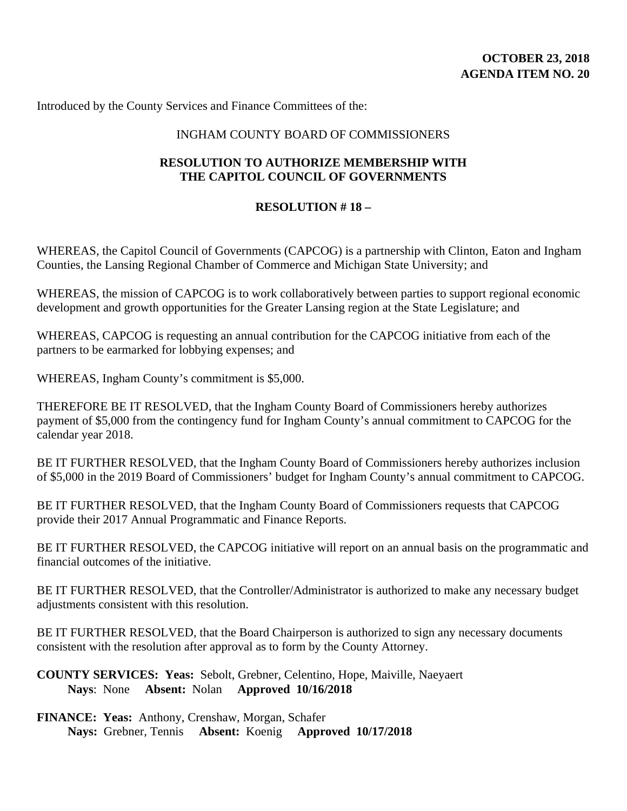Introduced by the County Services and Finance Committees of the:

#### INGHAM COUNTY BOARD OF COMMISSIONERS

### **RESOLUTION TO AUTHORIZE MEMBERSHIP WITH THE CAPITOL COUNCIL OF GOVERNMENTS**

#### **RESOLUTION # 18 –**

WHEREAS, the Capitol Council of Governments (CAPCOG) is a partnership with Clinton, Eaton and Ingham Counties, the Lansing Regional Chamber of Commerce and Michigan State University; and

WHEREAS, the mission of CAPCOG is to work collaboratively between parties to support regional economic development and growth opportunities for the Greater Lansing region at the State Legislature; and

WHEREAS, CAPCOG is requesting an annual contribution for the CAPCOG initiative from each of the partners to be earmarked for lobbying expenses; and

WHEREAS, Ingham County's commitment is \$5,000.

THEREFORE BE IT RESOLVED, that the Ingham County Board of Commissioners hereby authorizes payment of \$5,000 from the contingency fund for Ingham County's annual commitment to CAPCOG for the calendar year 2018.

BE IT FURTHER RESOLVED, that the Ingham County Board of Commissioners hereby authorizes inclusion of \$5,000 in the 2019 Board of Commissioners' budget for Ingham County's annual commitment to CAPCOG.

BE IT FURTHER RESOLVED, that the Ingham County Board of Commissioners requests that CAPCOG provide their 2017 Annual Programmatic and Finance Reports.

BE IT FURTHER RESOLVED, the CAPCOG initiative will report on an annual basis on the programmatic and financial outcomes of the initiative.

BE IT FURTHER RESOLVED, that the Controller/Administrator is authorized to make any necessary budget adjustments consistent with this resolution.

BE IT FURTHER RESOLVED, that the Board Chairperson is authorized to sign any necessary documents consistent with the resolution after approval as to form by the County Attorney.

**COUNTY SERVICES: Yeas:** Sebolt, Grebner, Celentino, Hope, Maiville, Naeyaert **Nays**: None **Absent:** Nolan **Approved 10/16/2018** 

**FINANCE: Yeas:** Anthony, Crenshaw, Morgan, Schafer **Nays:** Grebner, Tennis **Absent:** Koenig **Approved 10/17/2018**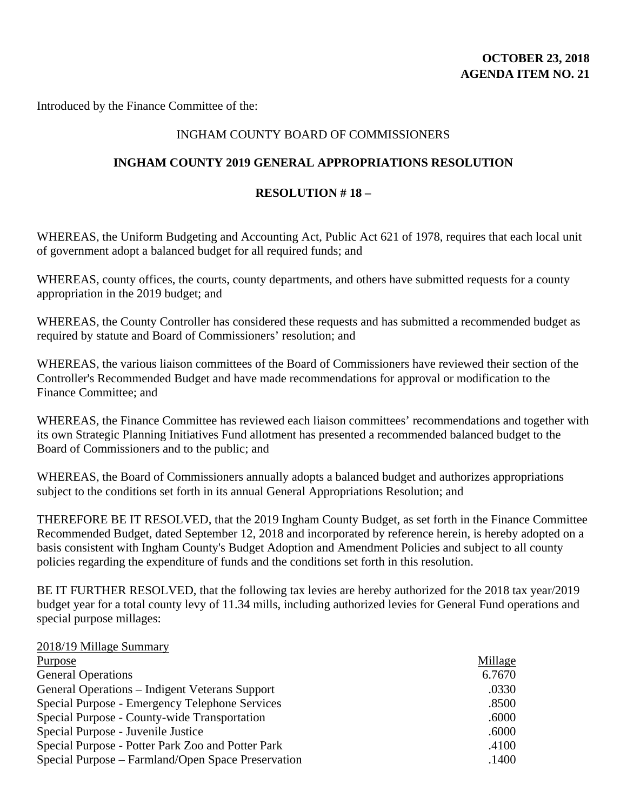# **OCTOBER 23, 2018 AGENDA ITEM NO. 21**

Introduced by the Finance Committee of the:

#### INGHAM COUNTY BOARD OF COMMISSIONERS

#### **INGHAM COUNTY 2019 GENERAL APPROPRIATIONS RESOLUTION**

#### **RESOLUTION # 18 –**

WHEREAS, the Uniform Budgeting and Accounting Act, Public Act 621 of 1978, requires that each local unit of government adopt a balanced budget for all required funds; and

WHEREAS, county offices, the courts, county departments, and others have submitted requests for a county appropriation in the 2019 budget; and

WHEREAS, the County Controller has considered these requests and has submitted a recommended budget as required by statute and Board of Commissioners' resolution; and

WHEREAS, the various liaison committees of the Board of Commissioners have reviewed their section of the Controller's Recommended Budget and have made recommendations for approval or modification to the Finance Committee; and

WHEREAS, the Finance Committee has reviewed each liaison committees' recommendations and together with its own Strategic Planning Initiatives Fund allotment has presented a recommended balanced budget to the Board of Commissioners and to the public; and

WHEREAS, the Board of Commissioners annually adopts a balanced budget and authorizes appropriations subject to the conditions set forth in its annual General Appropriations Resolution; and

THEREFORE BE IT RESOLVED, that the 2019 Ingham County Budget, as set forth in the Finance Committee Recommended Budget, dated September 12, 2018 and incorporated by reference herein, is hereby adopted on a basis consistent with Ingham County's Budget Adoption and Amendment Policies and subject to all county policies regarding the expenditure of funds and the conditions set forth in this resolution.

BE IT FURTHER RESOLVED, that the following tax levies are hereby authorized for the 2018 tax year/2019 budget year for a total county levy of 11.34 mills, including authorized levies for General Fund operations and special purpose millages:

#### 2018/19 Millage Summary

| <b>Purpose</b>                                        | Millage |
|-------------------------------------------------------|---------|
| <b>General Operations</b>                             | 6.7670  |
| <b>General Operations - Indigent Veterans Support</b> | .0330   |
| Special Purpose - Emergency Telephone Services        | .8500   |
| Special Purpose - County-wide Transportation          | .6000   |
| Special Purpose - Juvenile Justice                    | .6000   |
| Special Purpose - Potter Park Zoo and Potter Park     | .4100   |
| Special Purpose – Farmland/Open Space Preservation    | .1400   |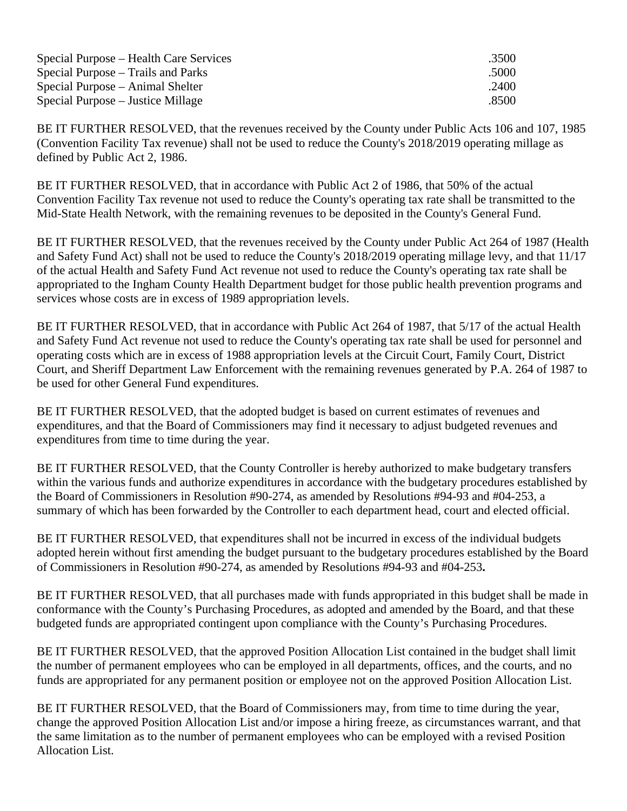| Special Purpose – Health Care Services | .3500 |
|----------------------------------------|-------|
| Special Purpose – Trails and Parks     | .5000 |
| Special Purpose – Animal Shelter       | .2400 |
| Special Purpose – Justice Millage      | .8500 |

BE IT FURTHER RESOLVED, that the revenues received by the County under Public Acts 106 and 107, 1985 (Convention Facility Tax revenue) shall not be used to reduce the County's 2018/2019 operating millage as defined by Public Act 2, 1986.

BE IT FURTHER RESOLVED, that in accordance with Public Act 2 of 1986, that 50% of the actual Convention Facility Tax revenue not used to reduce the County's operating tax rate shall be transmitted to the Mid-State Health Network, with the remaining revenues to be deposited in the County's General Fund.

BE IT FURTHER RESOLVED, that the revenues received by the County under Public Act 264 of 1987 (Health and Safety Fund Act) shall not be used to reduce the County's 2018/2019 operating millage levy, and that 11/17 of the actual Health and Safety Fund Act revenue not used to reduce the County's operating tax rate shall be appropriated to the Ingham County Health Department budget for those public health prevention programs and services whose costs are in excess of 1989 appropriation levels.

BE IT FURTHER RESOLVED, that in accordance with Public Act 264 of 1987, that 5/17 of the actual Health and Safety Fund Act revenue not used to reduce the County's operating tax rate shall be used for personnel and operating costs which are in excess of 1988 appropriation levels at the Circuit Court, Family Court, District Court, and Sheriff Department Law Enforcement with the remaining revenues generated by P.A. 264 of 1987 to be used for other General Fund expenditures.

BE IT FURTHER RESOLVED, that the adopted budget is based on current estimates of revenues and expenditures, and that the Board of Commissioners may find it necessary to adjust budgeted revenues and expenditures from time to time during the year.

BE IT FURTHER RESOLVED, that the County Controller is hereby authorized to make budgetary transfers within the various funds and authorize expenditures in accordance with the budgetary procedures established by the Board of Commissioners in Resolution #90-274, as amended by Resolutions #94-93 and #04-253, a summary of which has been forwarded by the Controller to each department head, court and elected official.

BE IT FURTHER RESOLVED, that expenditures shall not be incurred in excess of the individual budgets adopted herein without first amending the budget pursuant to the budgetary procedures established by the Board of Commissioners in Resolution #90-274, as amended by Resolutions #94-93 and #04-253**.** 

BE IT FURTHER RESOLVED, that all purchases made with funds appropriated in this budget shall be made in conformance with the County's Purchasing Procedures, as adopted and amended by the Board, and that these budgeted funds are appropriated contingent upon compliance with the County's Purchasing Procedures.

BE IT FURTHER RESOLVED, that the approved Position Allocation List contained in the budget shall limit the number of permanent employees who can be employed in all departments, offices, and the courts, and no funds are appropriated for any permanent position or employee not on the approved Position Allocation List.

BE IT FURTHER RESOLVED, that the Board of Commissioners may, from time to time during the year, change the approved Position Allocation List and/or impose a hiring freeze, as circumstances warrant, and that the same limitation as to the number of permanent employees who can be employed with a revised Position Allocation List.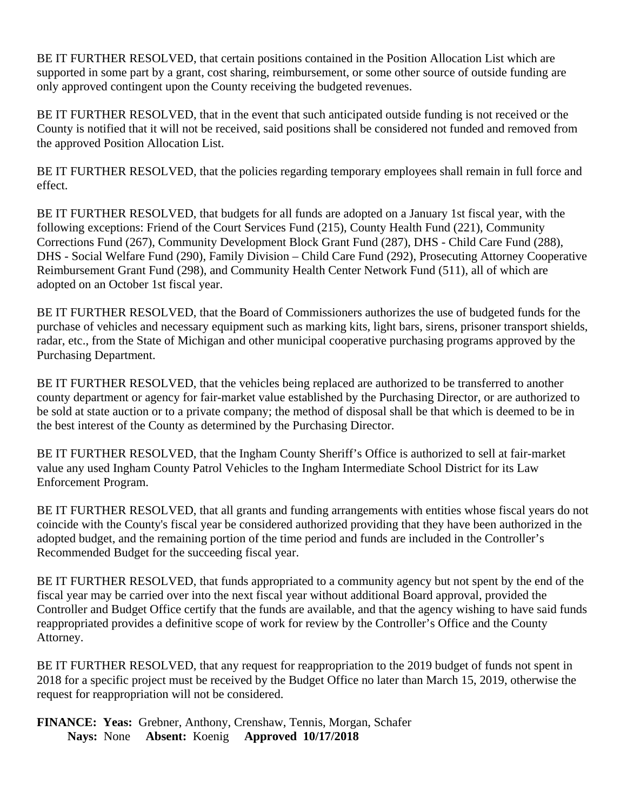BE IT FURTHER RESOLVED, that certain positions contained in the Position Allocation List which are supported in some part by a grant, cost sharing, reimbursement, or some other source of outside funding are only approved contingent upon the County receiving the budgeted revenues.

BE IT FURTHER RESOLVED, that in the event that such anticipated outside funding is not received or the County is notified that it will not be received, said positions shall be considered not funded and removed from the approved Position Allocation List.

BE IT FURTHER RESOLVED, that the policies regarding temporary employees shall remain in full force and effect.

BE IT FURTHER RESOLVED, that budgets for all funds are adopted on a January 1st fiscal year, with the following exceptions: Friend of the Court Services Fund (215), County Health Fund (221), Community Corrections Fund (267), Community Development Block Grant Fund (287), DHS - Child Care Fund (288), DHS - Social Welfare Fund (290), Family Division – Child Care Fund (292), Prosecuting Attorney Cooperative Reimbursement Grant Fund (298), and Community Health Center Network Fund (511), all of which are adopted on an October 1st fiscal year.

BE IT FURTHER RESOLVED, that the Board of Commissioners authorizes the use of budgeted funds for the purchase of vehicles and necessary equipment such as marking kits, light bars, sirens, prisoner transport shields, radar, etc., from the State of Michigan and other municipal cooperative purchasing programs approved by the Purchasing Department.

BE IT FURTHER RESOLVED, that the vehicles being replaced are authorized to be transferred to another county department or agency for fair-market value established by the Purchasing Director, or are authorized to be sold at state auction or to a private company; the method of disposal shall be that which is deemed to be in the best interest of the County as determined by the Purchasing Director.

BE IT FURTHER RESOLVED, that the Ingham County Sheriff's Office is authorized to sell at fair-market value any used Ingham County Patrol Vehicles to the Ingham Intermediate School District for its Law Enforcement Program.

BE IT FURTHER RESOLVED, that all grants and funding arrangements with entities whose fiscal years do not coincide with the County's fiscal year be considered authorized providing that they have been authorized in the adopted budget, and the remaining portion of the time period and funds are included in the Controller's Recommended Budget for the succeeding fiscal year.

BE IT FURTHER RESOLVED, that funds appropriated to a community agency but not spent by the end of the fiscal year may be carried over into the next fiscal year without additional Board approval, provided the Controller and Budget Office certify that the funds are available, and that the agency wishing to have said funds reappropriated provides a definitive scope of work for review by the Controller's Office and the County Attorney.

BE IT FURTHER RESOLVED, that any request for reappropriation to the 2019 budget of funds not spent in 2018 for a specific project must be received by the Budget Office no later than March 15, 2019, otherwise the request for reappropriation will not be considered.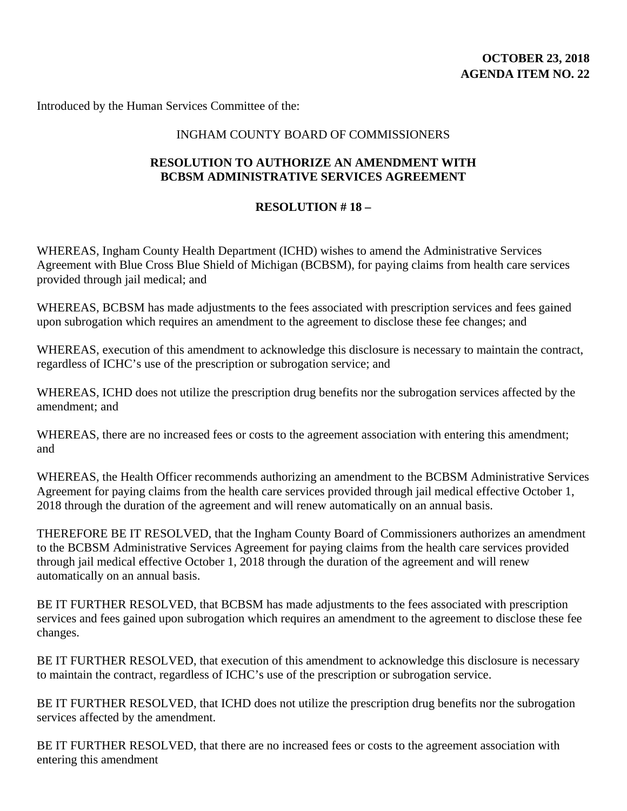Introduced by the Human Services Committee of the:

#### INGHAM COUNTY BOARD OF COMMISSIONERS

### **RESOLUTION TO AUTHORIZE AN AMENDMENT WITH BCBSM ADMINISTRATIVE SERVICES AGREEMENT**

### **RESOLUTION # 18 –**

WHEREAS, Ingham County Health Department (ICHD) wishes to amend the Administrative Services Agreement with Blue Cross Blue Shield of Michigan (BCBSM), for paying claims from health care services provided through jail medical; and

WHEREAS, BCBSM has made adjustments to the fees associated with prescription services and fees gained upon subrogation which requires an amendment to the agreement to disclose these fee changes; and

WHEREAS, execution of this amendment to acknowledge this disclosure is necessary to maintain the contract, regardless of ICHC's use of the prescription or subrogation service; and

WHEREAS, ICHD does not utilize the prescription drug benefits nor the subrogation services affected by the amendment; and

WHEREAS, there are no increased fees or costs to the agreement association with entering this amendment; and

WHEREAS, the Health Officer recommends authorizing an amendment to the BCBSM Administrative Services Agreement for paying claims from the health care services provided through jail medical effective October 1, 2018 through the duration of the agreement and will renew automatically on an annual basis.

THEREFORE BE IT RESOLVED, that the Ingham County Board of Commissioners authorizes an amendment to the BCBSM Administrative Services Agreement for paying claims from the health care services provided through jail medical effective October 1, 2018 through the duration of the agreement and will renew automatically on an annual basis.

BE IT FURTHER RESOLVED, that BCBSM has made adjustments to the fees associated with prescription services and fees gained upon subrogation which requires an amendment to the agreement to disclose these fee changes.

BE IT FURTHER RESOLVED, that execution of this amendment to acknowledge this disclosure is necessary to maintain the contract, regardless of ICHC's use of the prescription or subrogation service.

BE IT FURTHER RESOLVED, that ICHD does not utilize the prescription drug benefits nor the subrogation services affected by the amendment.

BE IT FURTHER RESOLVED, that there are no increased fees or costs to the agreement association with entering this amendment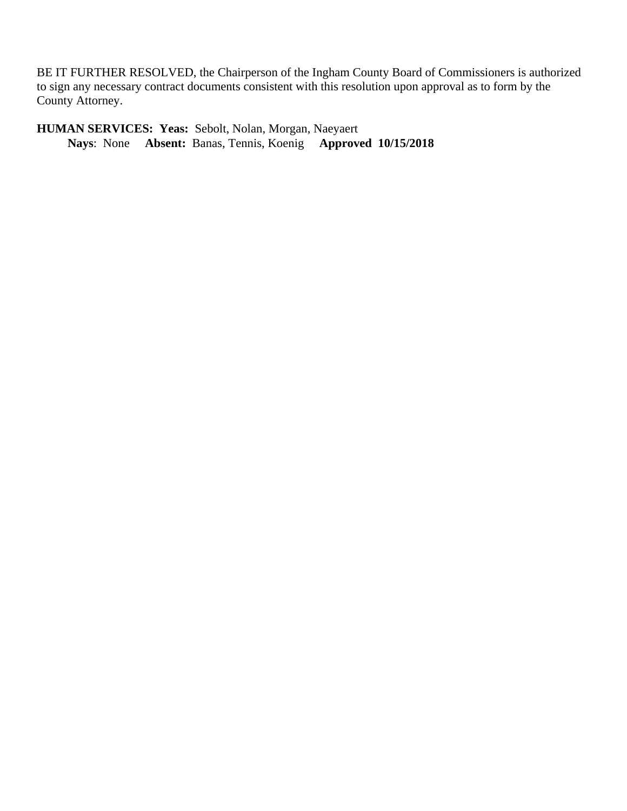BE IT FURTHER RESOLVED, the Chairperson of the Ingham County Board of Commissioners is authorized to sign any necessary contract documents consistent with this resolution upon approval as to form by the County Attorney.

**HUMAN SERVICES: Yeas:** Sebolt, Nolan, Morgan, Naeyaert  **Nays**: None **Absent:** Banas, Tennis, Koenig **Approved 10/15/2018**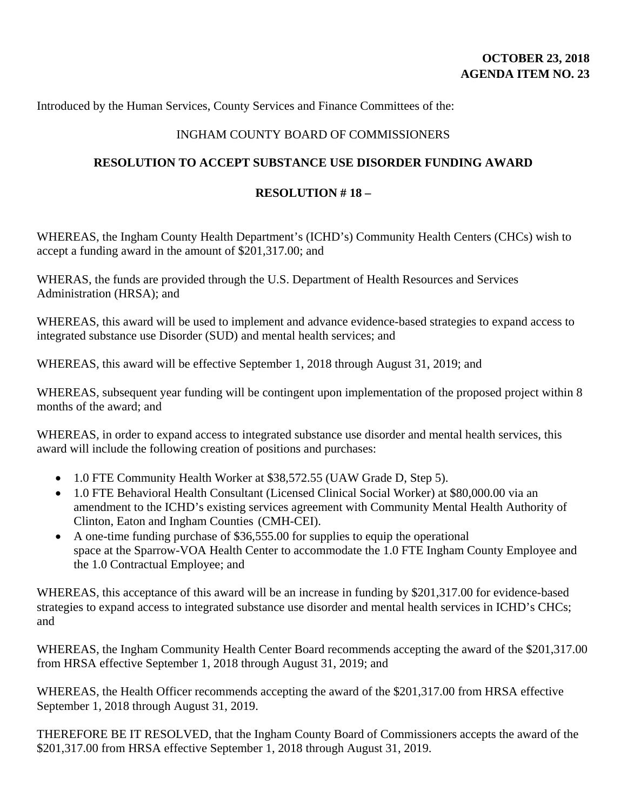Introduced by the Human Services, County Services and Finance Committees of the:

## INGHAM COUNTY BOARD OF COMMISSIONERS

## **RESOLUTION TO ACCEPT SUBSTANCE USE DISORDER FUNDING AWARD**

## **RESOLUTION # 18 –**

WHEREAS, the Ingham County Health Department's (ICHD's) Community Health Centers (CHCs) wish to accept a funding award in the amount of \$201,317.00; and

WHERAS, the funds are provided through the U.S. Department of Health Resources and Services Administration (HRSA); and

WHEREAS, this award will be used to implement and advance evidence-based strategies to expand access to integrated substance use Disorder (SUD) and mental health services; and

WHEREAS, this award will be effective September 1, 2018 through August 31, 2019; and

WHEREAS, subsequent year funding will be contingent upon implementation of the proposed project within 8 months of the award; and

WHEREAS, in order to expand access to integrated substance use disorder and mental health services, this award will include the following creation of positions and purchases:

- 1.0 FTE Community Health Worker at \$38,572.55 (UAW Grade D, Step 5).
- 1.0 FTE Behavioral Health Consultant (Licensed Clinical Social Worker) at \$80,000.00 via an amendment to the ICHD's existing services agreement with Community Mental Health Authority of Clinton, Eaton and Ingham Counties (CMH-CEI).
- A one-time funding purchase of \$36,555.00 for supplies to equip the operational space at the Sparrow-VOA Health Center to accommodate the 1.0 FTE Ingham County Employee and the 1.0 Contractual Employee; and

WHEREAS, this acceptance of this award will be an increase in funding by \$201,317.00 for evidence-based strategies to expand access to integrated substance use disorder and mental health services in ICHD's CHCs; and

WHEREAS, the Ingham Community Health Center Board recommends accepting the award of the \$201,317.00 from HRSA effective September 1, 2018 through August 31, 2019; and

WHEREAS, the Health Officer recommends accepting the award of the \$201,317.00 from HRSA effective September 1, 2018 through August 31, 2019.

THEREFORE BE IT RESOLVED, that the Ingham County Board of Commissioners accepts the award of the \$201,317.00 from HRSA effective September 1, 2018 through August 31, 2019.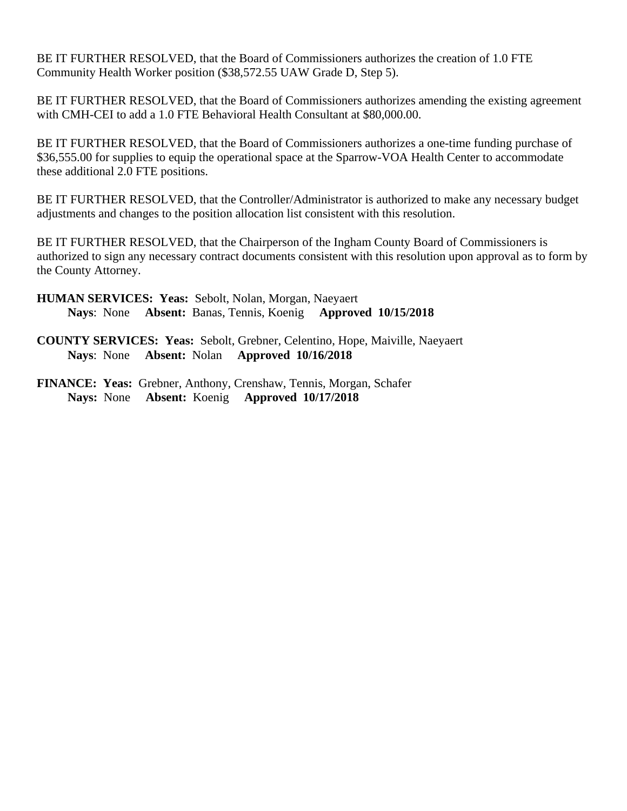BE IT FURTHER RESOLVED, that the Board of Commissioners authorizes the creation of 1.0 FTE Community Health Worker position (\$38,572.55 UAW Grade D, Step 5).

BE IT FURTHER RESOLVED, that the Board of Commissioners authorizes amending the existing agreement with CMH-CEI to add a 1.0 FTE Behavioral Health Consultant at \$80,000.00.

BE IT FURTHER RESOLVED, that the Board of Commissioners authorizes a one-time funding purchase of \$36,555.00 for supplies to equip the operational space at the Sparrow-VOA Health Center to accommodate these additional 2.0 FTE positions.

BE IT FURTHER RESOLVED, that the Controller/Administrator is authorized to make any necessary budget adjustments and changes to the position allocation list consistent with this resolution.

BE IT FURTHER RESOLVED, that the Chairperson of the Ingham County Board of Commissioners is authorized to sign any necessary contract documents consistent with this resolution upon approval as to form by the County Attorney.

- **HUMAN SERVICES: Yeas:** Sebolt, Nolan, Morgan, Naeyaert  **Nays**: None **Absent:** Banas, Tennis, Koenig **Approved 10/15/2018**
- **COUNTY SERVICES: Yeas:** Sebolt, Grebner, Celentino, Hope, Maiville, Naeyaert **Nays**: None **Absent:** Nolan **Approved 10/16/2018**
- **FINANCE: Yeas:** Grebner, Anthony, Crenshaw, Tennis, Morgan, Schafer **Nays:** None **Absent:** Koenig **Approved 10/17/2018**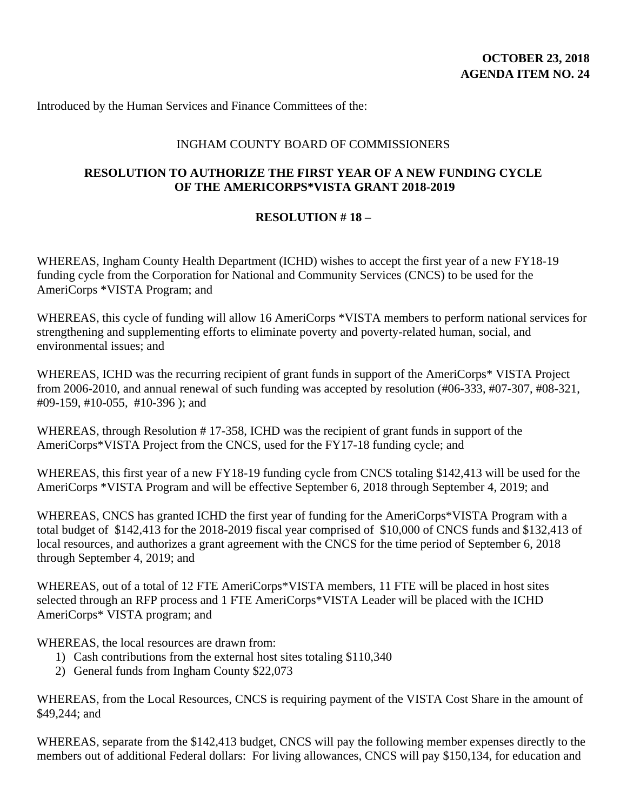Introduced by the Human Services and Finance Committees of the:

#### INGHAM COUNTY BOARD OF COMMISSIONERS

#### **RESOLUTION TO AUTHORIZE THE FIRST YEAR OF A NEW FUNDING CYCLE OF THE AMERICORPS\*VISTA GRANT 2018-2019**

### **RESOLUTION # 18 –**

WHEREAS, Ingham County Health Department (ICHD) wishes to accept the first year of a new FY18-19 funding cycle from the Corporation for National and Community Services (CNCS) to be used for the AmeriCorps \*VISTA Program; and

WHEREAS, this cycle of funding will allow 16 AmeriCorps \*VISTA members to perform national services for strengthening and supplementing efforts to eliminate poverty and poverty-related human, social, and environmental issues; and

WHEREAS, ICHD was the recurring recipient of grant funds in support of the AmeriCorps\* VISTA Project from 2006-2010, and annual renewal of such funding was accepted by resolution (#06-333, #07-307, #08-321, #09-159, #10-055, #10-396 ); and

WHEREAS, through Resolution #17-358, ICHD was the recipient of grant funds in support of the AmeriCorps\*VISTA Project from the CNCS, used for the FY17-18 funding cycle; and

WHEREAS, this first year of a new FY18-19 funding cycle from CNCS totaling \$142,413 will be used for the AmeriCorps \*VISTA Program and will be effective September 6, 2018 through September 4, 2019; and

WHEREAS, CNCS has granted ICHD the first year of funding for the AmeriCorps\*VISTA Program with a total budget of \$142,413 for the 2018-2019 fiscal year comprised of \$10,000 of CNCS funds and \$132,413 of local resources, and authorizes a grant agreement with the CNCS for the time period of September 6, 2018 through September 4, 2019; and

WHEREAS, out of a total of 12 FTE AmeriCorps\*VISTA members, 11 FTE will be placed in host sites selected through an RFP process and 1 FTE AmeriCorps\*VISTA Leader will be placed with the ICHD AmeriCorps\* VISTA program; and

WHEREAS, the local resources are drawn from:

- 1) Cash contributions from the external host sites totaling \$110,340
- 2) General funds from Ingham County \$22,073

WHEREAS, from the Local Resources, CNCS is requiring payment of the VISTA Cost Share in the amount of \$49,244; and

WHEREAS, separate from the \$142,413 budget, CNCS will pay the following member expenses directly to the members out of additional Federal dollars: For living allowances, CNCS will pay \$150,134, for education and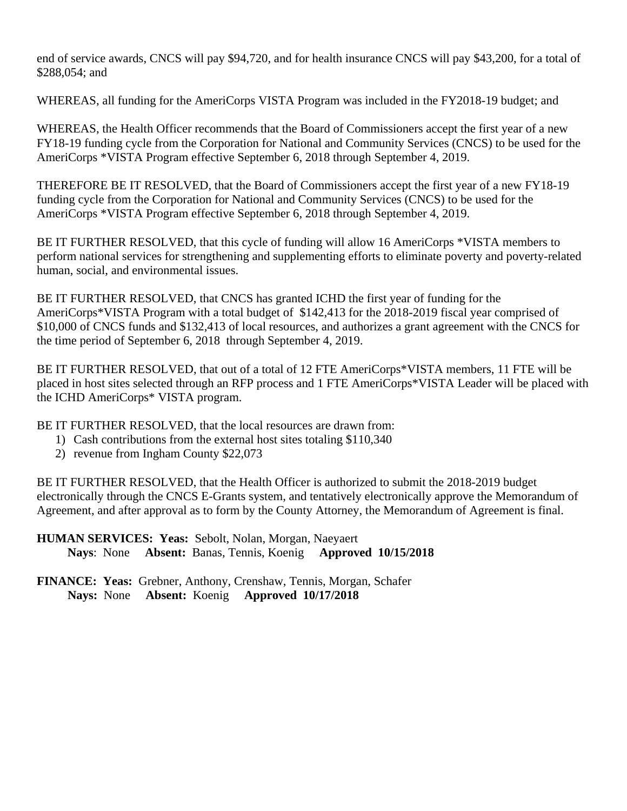end of service awards, CNCS will pay \$94,720, and for health insurance CNCS will pay \$43,200, for a total of \$288,054; and

WHEREAS, all funding for the AmeriCorps VISTA Program was included in the FY2018-19 budget; and

WHEREAS, the Health Officer recommends that the Board of Commissioners accept the first year of a new FY18-19 funding cycle from the Corporation for National and Community Services (CNCS) to be used for the AmeriCorps \*VISTA Program effective September 6, 2018 through September 4, 2019.

THEREFORE BE IT RESOLVED, that the Board of Commissioners accept the first year of a new FY18-19 funding cycle from the Corporation for National and Community Services (CNCS) to be used for the AmeriCorps \*VISTA Program effective September 6, 2018 through September 4, 2019.

BE IT FURTHER RESOLVED, that this cycle of funding will allow 16 AmeriCorps \*VISTA members to perform national services for strengthening and supplementing efforts to eliminate poverty and poverty-related human, social, and environmental issues.

BE IT FURTHER RESOLVED, that CNCS has granted ICHD the first year of funding for the AmeriCorps\*VISTA Program with a total budget of \$142,413 for the 2018-2019 fiscal year comprised of \$10,000 of CNCS funds and \$132,413 of local resources, and authorizes a grant agreement with the CNCS for the time period of September 6, 2018 through September 4, 2019.

BE IT FURTHER RESOLVED, that out of a total of 12 FTE AmeriCorps\*VISTA members, 11 FTE will be placed in host sites selected through an RFP process and 1 FTE AmeriCorps\*VISTA Leader will be placed with the ICHD AmeriCorps\* VISTA program.

BE IT FURTHER RESOLVED, that the local resources are drawn from:

- 1) Cash contributions from the external host sites totaling \$110,340
- 2) revenue from Ingham County \$22,073

BE IT FURTHER RESOLVED, that the Health Officer is authorized to submit the 2018-2019 budget electronically through the CNCS E-Grants system, and tentatively electronically approve the Memorandum of Agreement, and after approval as to form by the County Attorney, the Memorandum of Agreement is final.

**HUMAN SERVICES: Yeas:** Sebolt, Nolan, Morgan, Naeyaert  **Nays**: None **Absent:** Banas, Tennis, Koenig **Approved 10/15/2018**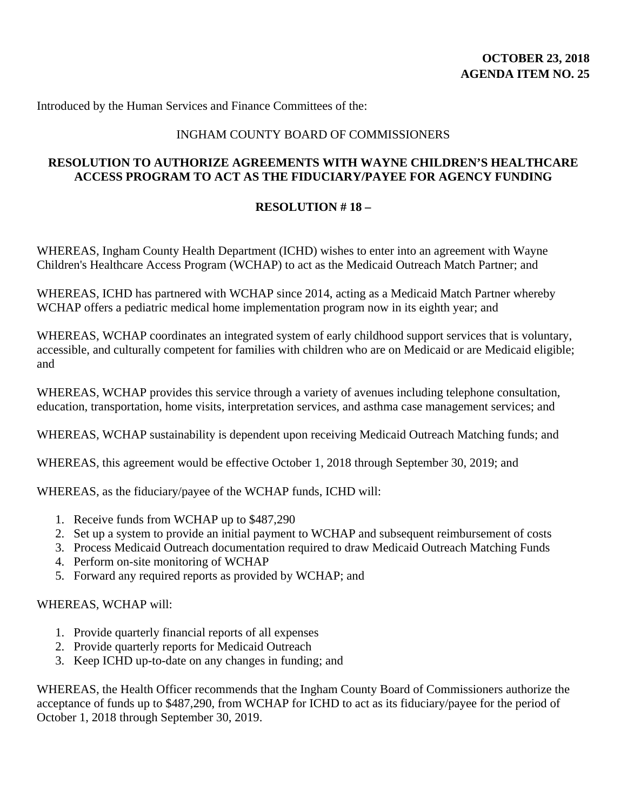Introduced by the Human Services and Finance Committees of the:

#### INGHAM COUNTY BOARD OF COMMISSIONERS

### **RESOLUTION TO AUTHORIZE AGREEMENTS WITH WAYNE CHILDREN'S HEALTHCARE ACCESS PROGRAM TO ACT AS THE FIDUCIARY/PAYEE FOR AGENCY FUNDING**

### **RESOLUTION # 18 –**

WHEREAS, Ingham County Health Department (ICHD) wishes to enter into an agreement with Wayne Children's Healthcare Access Program (WCHAP) to act as the Medicaid Outreach Match Partner; and

WHEREAS, ICHD has partnered with WCHAP since 2014, acting as a Medicaid Match Partner whereby WCHAP offers a pediatric medical home implementation program now in its eighth year; and

WHEREAS, WCHAP coordinates an integrated system of early childhood support services that is voluntary, accessible, and culturally competent for families with children who are on Medicaid or are Medicaid eligible; and

WHEREAS, WCHAP provides this service through a variety of avenues including telephone consultation, education, transportation, home visits, interpretation services, and asthma case management services; and

WHEREAS, WCHAP sustainability is dependent upon receiving Medicaid Outreach Matching funds; and

WHEREAS, this agreement would be effective October 1, 2018 through September 30, 2019; and

WHEREAS, as the fiduciary/payee of the WCHAP funds, ICHD will:

- 1. Receive funds from WCHAP up to \$487,290
- 2. Set up a system to provide an initial payment to WCHAP and subsequent reimbursement of costs
- 3. Process Medicaid Outreach documentation required to draw Medicaid Outreach Matching Funds
- 4. Perform on-site monitoring of WCHAP
- 5. Forward any required reports as provided by WCHAP; and

#### WHEREAS, WCHAP will:

- 1. Provide quarterly financial reports of all expenses
- 2. Provide quarterly reports for Medicaid Outreach
- 3. Keep ICHD up-to-date on any changes in funding; and

WHEREAS, the Health Officer recommends that the Ingham County Board of Commissioners authorize the acceptance of funds up to \$487,290, from WCHAP for ICHD to act as its fiduciary/payee for the period of October 1, 2018 through September 30, 2019.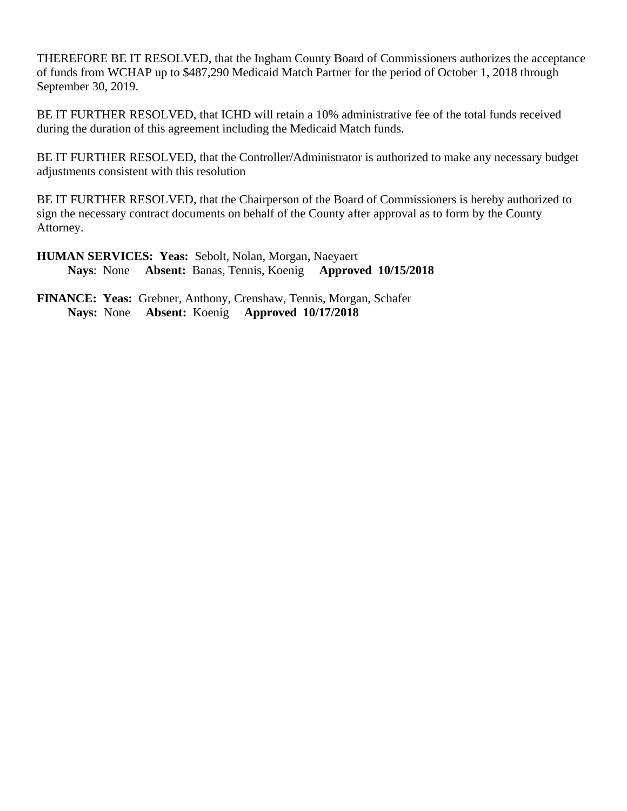THEREFORE BE IT RESOLVED, that the Ingham County Board of Commissioners authorizes the acceptance of funds from WCHAP up to \$487,290 Medicaid Match Partner for the period of October 1, 2018 through September 30, 2019.

BE IT FURTHER RESOLVED, that ICHD will retain a 10% administrative fee of the total funds received during the duration of this agreement including the Medicaid Match funds.

BE IT FURTHER RESOLVED, that the Controller/Administrator is authorized to make any necessary budget adjustments consistent with this resolution

BE IT FURTHER RESOLVED, that the Chairperson of the Board of Commissioners is hereby authorized to sign the necessary contract documents on behalf of the County after approval as to form by the County Attorney.

**HUMAN SERVICES: Yeas:** Sebolt, Nolan, Morgan, Naeyaert  **Nays**: None **Absent:** Banas, Tennis, Koenig **Approved 10/15/2018**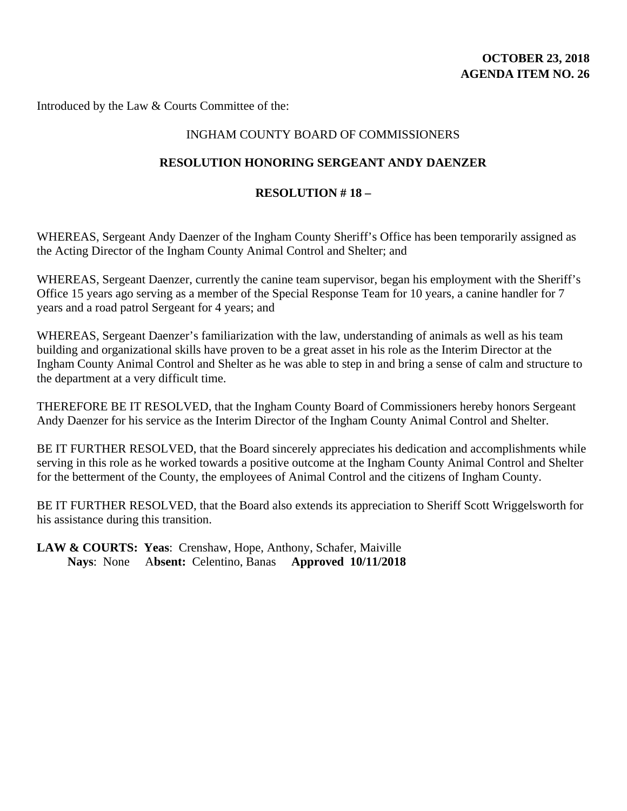## **OCTOBER 23, 2018 AGENDA ITEM NO. 26**

Introduced by the Law & Courts Committee of the:

#### INGHAM COUNTY BOARD OF COMMISSIONERS

#### **RESOLUTION HONORING SERGEANT ANDY DAENZER**

#### **RESOLUTION # 18 –**

WHEREAS, Sergeant Andy Daenzer of the Ingham County Sheriff's Office has been temporarily assigned as the Acting Director of the Ingham County Animal Control and Shelter; and

WHEREAS, Sergeant Daenzer, currently the canine team supervisor, began his employment with the Sheriff's Office 15 years ago serving as a member of the Special Response Team for 10 years, a canine handler for 7 years and a road patrol Sergeant for 4 years; and

WHEREAS, Sergeant Daenzer's familiarization with the law, understanding of animals as well as his team building and organizational skills have proven to be a great asset in his role as the Interim Director at the Ingham County Animal Control and Shelter as he was able to step in and bring a sense of calm and structure to the department at a very difficult time.

THEREFORE BE IT RESOLVED, that the Ingham County Board of Commissioners hereby honors Sergeant Andy Daenzer for his service as the Interim Director of the Ingham County Animal Control and Shelter.

BE IT FURTHER RESOLVED, that the Board sincerely appreciates his dedication and accomplishments while serving in this role as he worked towards a positive outcome at the Ingham County Animal Control and Shelter for the betterment of the County, the employees of Animal Control and the citizens of Ingham County.

BE IT FURTHER RESOLVED, that the Board also extends its appreciation to Sheriff Scott Wriggelsworth for his assistance during this transition.

**LAW & COURTS: Yeas**: Crenshaw, Hope, Anthony, Schafer, Maiville  **Nays**: None A**bsent:** Celentino, Banas **Approved 10/11/2018**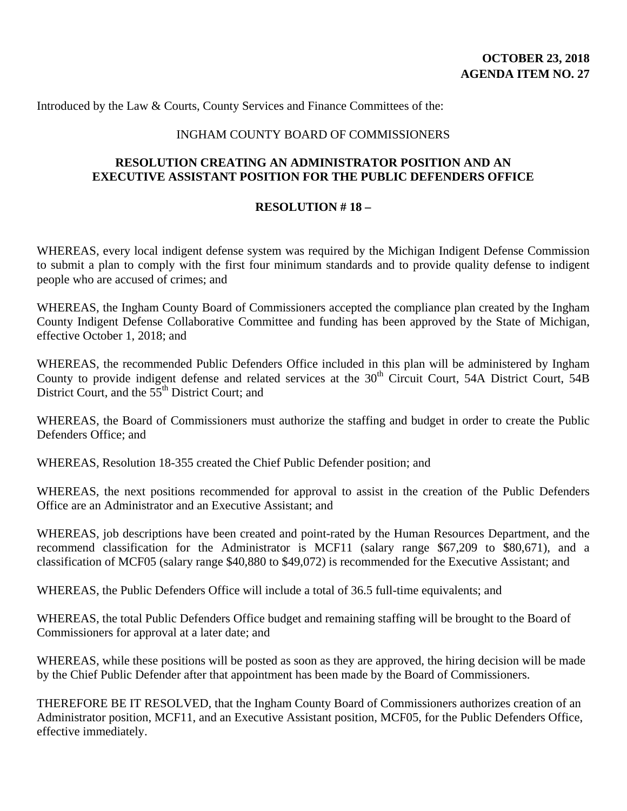Introduced by the Law & Courts, County Services and Finance Committees of the:

#### INGHAM COUNTY BOARD OF COMMISSIONERS

### **RESOLUTION CREATING AN ADMINISTRATOR POSITION AND AN EXECUTIVE ASSISTANT POSITION FOR THE PUBLIC DEFENDERS OFFICE**

#### **RESOLUTION # 18 –**

WHEREAS, every local indigent defense system was required by the Michigan Indigent Defense Commission to submit a plan to comply with the first four minimum standards and to provide quality defense to indigent people who are accused of crimes; and

WHEREAS, the Ingham County Board of Commissioners accepted the compliance plan created by the Ingham County Indigent Defense Collaborative Committee and funding has been approved by the State of Michigan, effective October 1, 2018; and

WHEREAS, the recommended Public Defenders Office included in this plan will be administered by Ingham County to provide indigent defense and related services at the  $30<sup>th</sup>$  Circuit Court, 54A District Court, 54B District Court, and the 55<sup>th</sup> District Court; and

WHEREAS, the Board of Commissioners must authorize the staffing and budget in order to create the Public Defenders Office; and

WHEREAS, Resolution 18-355 created the Chief Public Defender position; and

WHEREAS, the next positions recommended for approval to assist in the creation of the Public Defenders Office are an Administrator and an Executive Assistant; and

WHEREAS, job descriptions have been created and point-rated by the Human Resources Department, and the recommend classification for the Administrator is MCF11 (salary range \$67,209 to \$80,671), and a classification of MCF05 (salary range \$40,880 to \$49,072) is recommended for the Executive Assistant; and

WHEREAS, the Public Defenders Office will include a total of 36.5 full-time equivalents; and

WHEREAS, the total Public Defenders Office budget and remaining staffing will be brought to the Board of Commissioners for approval at a later date; and

WHEREAS, while these positions will be posted as soon as they are approved, the hiring decision will be made by the Chief Public Defender after that appointment has been made by the Board of Commissioners.

THEREFORE BE IT RESOLVED, that the Ingham County Board of Commissioners authorizes creation of an Administrator position, MCF11, and an Executive Assistant position, MCF05, for the Public Defenders Office, effective immediately.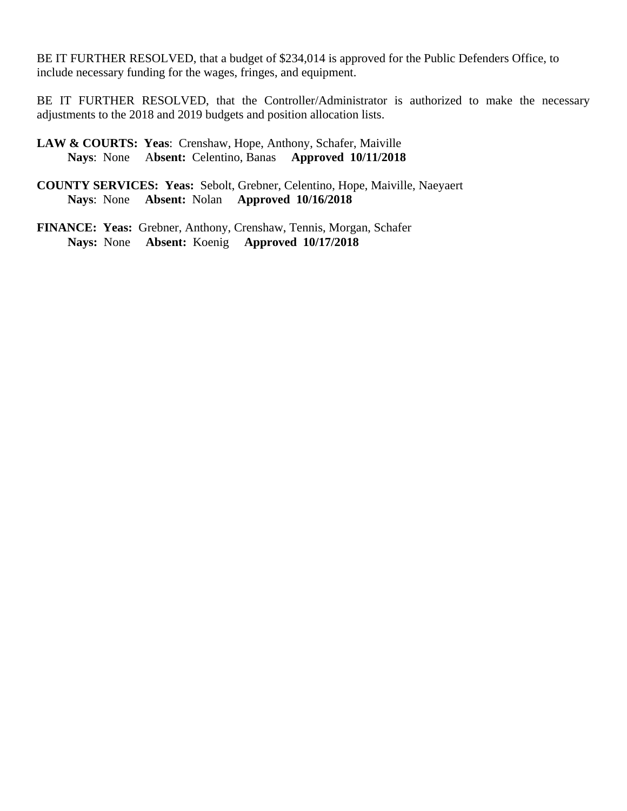BE IT FURTHER RESOLVED, that a budget of \$234,014 is approved for the Public Defenders Office, to include necessary funding for the wages, fringes, and equipment.

BE IT FURTHER RESOLVED, that the Controller/Administrator is authorized to make the necessary adjustments to the 2018 and 2019 budgets and position allocation lists.

**LAW & COURTS: Yeas**: Crenshaw, Hope, Anthony, Schafer, Maiville  **Nays**: None A**bsent:** Celentino, Banas **Approved 10/11/2018**

- **COUNTY SERVICES: Yeas:** Sebolt, Grebner, Celentino, Hope, Maiville, Naeyaert **Nays**: None **Absent:** Nolan **Approved 10/16/2018**
- **FINANCE: Yeas:** Grebner, Anthony, Crenshaw, Tennis, Morgan, Schafer **Nays:** None **Absent:** Koenig **Approved 10/17/2018**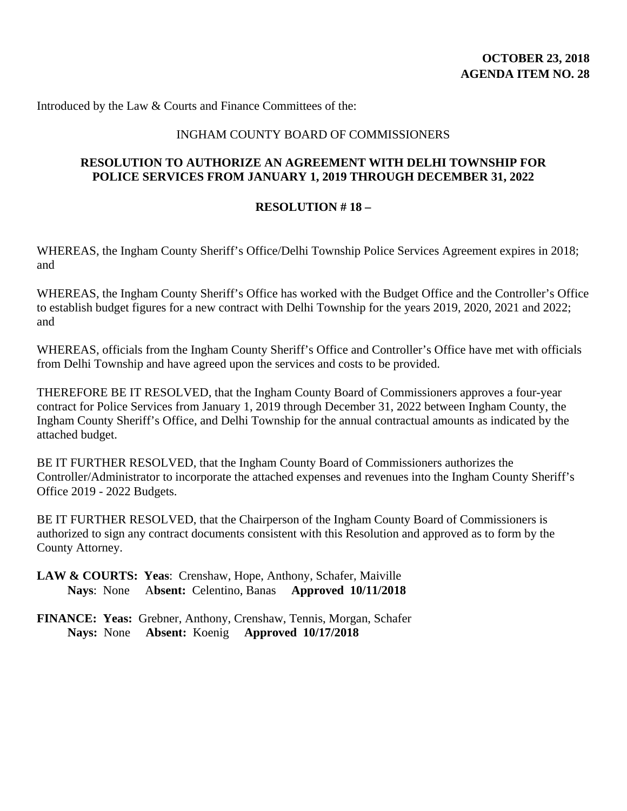Introduced by the Law & Courts and Finance Committees of the:

#### INGHAM COUNTY BOARD OF COMMISSIONERS

### **RESOLUTION TO AUTHORIZE AN AGREEMENT WITH DELHI TOWNSHIP FOR POLICE SERVICES FROM JANUARY 1, 2019 THROUGH DECEMBER 31, 2022**

#### **RESOLUTION # 18 –**

WHEREAS, the Ingham County Sheriff's Office/Delhi Township Police Services Agreement expires in 2018; and

WHEREAS, the Ingham County Sheriff's Office has worked with the Budget Office and the Controller's Office to establish budget figures for a new contract with Delhi Township for the years 2019, 2020, 2021 and 2022; and

WHEREAS, officials from the Ingham County Sheriff's Office and Controller's Office have met with officials from Delhi Township and have agreed upon the services and costs to be provided.

THEREFORE BE IT RESOLVED, that the Ingham County Board of Commissioners approves a four-year contract for Police Services from January 1, 2019 through December 31, 2022 between Ingham County, the Ingham County Sheriff's Office, and Delhi Township for the annual contractual amounts as indicated by the attached budget.

BE IT FURTHER RESOLVED, that the Ingham County Board of Commissioners authorizes the Controller/Administrator to incorporate the attached expenses and revenues into the Ingham County Sheriff's Office 2019 - 2022 Budgets.

BE IT FURTHER RESOLVED, that the Chairperson of the Ingham County Board of Commissioners is authorized to sign any contract documents consistent with this Resolution and approved as to form by the County Attorney.

**LAW & COURTS: Yeas**: Crenshaw, Hope, Anthony, Schafer, Maiville  **Nays**: None A**bsent:** Celentino, Banas **Approved 10/11/2018**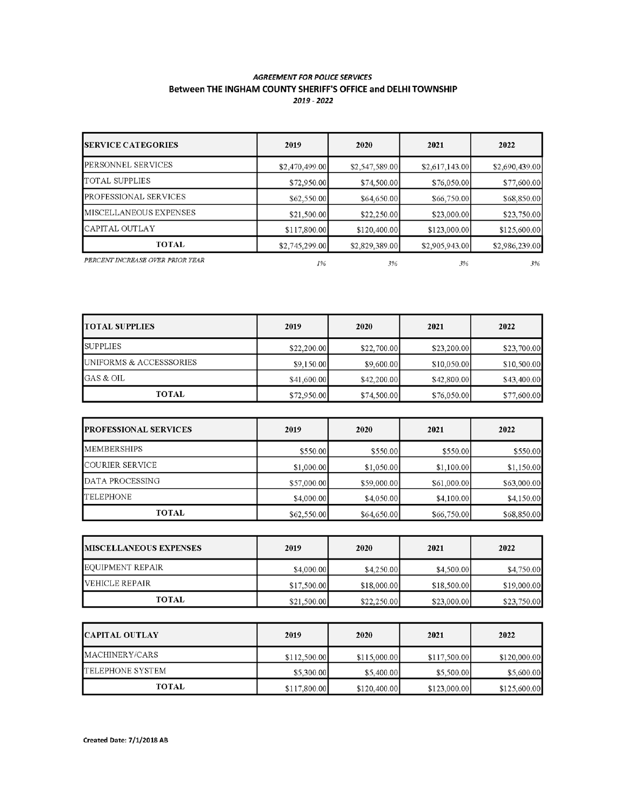#### **AGREEMENT FOR POLICE SERVICES** Between THE INGHAM COUNTY SHERIFF'S OFFICE and DELHI TOWNSHIP 2019 - 2022

| <b>SERVICE CATEGORIES</b>        | 2019           | 2020           | 2021           | 2022           |
|----------------------------------|----------------|----------------|----------------|----------------|
| PERSONNEL SERVICES               | \$2,470,499.00 | \$2,547,589.00 | \$2,617,143.00 | \$2,690,439.00 |
| TOTAL SUPPLIES                   | \$72,950.00    | \$74,500.00    | \$76,050.00    | \$77,600.00    |
| PROFESSIONAL SERVICES            | \$62,550.00    | \$64,650.00    | \$66,750.00    | \$68,850.00    |
| MISCELLANEOUS EXPENSES           | \$21,500.00    | \$22,250.00    | \$23,000.00    | \$23,750.00    |
| CAPITAL OUTLAY                   | \$117,800.00   | \$120,400.00   | \$123,000.00   | \$125,600.00   |
| TOTAL                            | \$2,745,299.00 | \$2,829,389.00 | \$2,905,943.00 | \$2,986,239.00 |
| PERCENT INCREASE OVER PRIOR YEAR | 1%             | 3%             | 3%             | 3%             |

| <b>TOTAL SUPPLIES</b>   | 2019        | 2020        | 2021        | 2022        |
|-------------------------|-------------|-------------|-------------|-------------|
| <b>SUPPLIES</b>         | \$22,200.00 | \$22,700.00 | \$23,200.00 | \$23,700.00 |
| UNIFORMS & ACCESSSORIES | \$9,150.00  | \$9,600.00  | \$10,050.00 | \$10,500.00 |
| GAS & OIL               | \$41,600.00 | \$42,200.00 | \$42,800.00 | \$43,400.00 |
| <b>TOTAL</b>            | \$72,950.00 | \$74,500.00 | \$76,050.00 | \$77,600.00 |

| <b>PROFESSIONAL SERVICES</b> | 2019        | 2020        | 2021        | 2022        |
|------------------------------|-------------|-------------|-------------|-------------|
| <b>MEMBERSHIPS</b>           | \$550.00    | \$550.00    | \$550.00    | \$550.00    |
| COURIER SERVICE              | \$1,000.00  | \$1,050.00  | \$1,100.00  | \$1,150.00  |
| DATA PROCESSING              | \$57,000.00 | \$59,000.00 | \$61,000.00 | \$63,000.00 |
| <b>TELEPHONE</b>             | \$4,000.00  | \$4,050.00  | \$4,100.00  | \$4,150.00  |
| TOTAL                        | \$62,550.00 | \$64,650.00 | \$66,750.00 | \$68,850.00 |

| <b>IMISCELLANEOUS EXPENSES</b> | 2019        | 2020        | 2021        | 2022        |
|--------------------------------|-------------|-------------|-------------|-------------|
| EQUIPMENT REPAIR               | \$4,000.00  | \$4,250.00  | \$4,500.00  | \$4,750.00  |
| VEHICLE REPAIR                 | \$17,500.00 | \$18,000.00 | \$18,500.00 | \$19,000.00 |
| <b>TOTAL</b>                   | \$21,500.00 | \$22,250.00 | \$23,000.00 | \$23,750.00 |

| <b>CAPITAL OUTLAY</b> | 2019         | 2020         | 2021         | 2022         |
|-----------------------|--------------|--------------|--------------|--------------|
| MACHINERY/CARS        | \$112,500.00 | \$115,000.00 | \$117,500.00 | \$120,000.00 |
| TELEPHONE SYSTEM      | \$5,300.00   | \$5,400.00   | \$5,500.00   | \$5,600.00   |
| <b>TOTAL</b>          | \$117,800.00 | \$120,400.00 | \$123,000.00 | \$125,600.00 |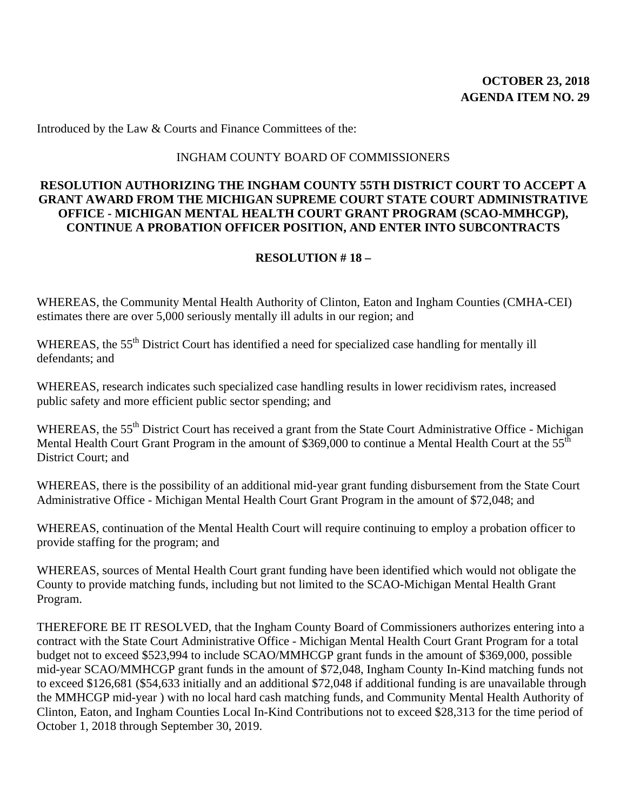Introduced by the Law & Courts and Finance Committees of the:

#### INGHAM COUNTY BOARD OF COMMISSIONERS

### **RESOLUTION AUTHORIZING THE INGHAM COUNTY 55TH DISTRICT COURT TO ACCEPT A GRANT AWARD FROM THE MICHIGAN SUPREME COURT STATE COURT ADMINISTRATIVE OFFICE - MICHIGAN MENTAL HEALTH COURT GRANT PROGRAM (SCAO-MMHCGP), CONTINUE A PROBATION OFFICER POSITION, AND ENTER INTO SUBCONTRACTS**

#### **RESOLUTION # 18 –**

WHEREAS, the Community Mental Health Authority of Clinton, Eaton and Ingham Counties (CMHA-CEI) estimates there are over 5,000 seriously mentally ill adults in our region; and

WHEREAS, the 55<sup>th</sup> District Court has identified a need for specialized case handling for mentally ill defendants; and

WHEREAS, research indicates such specialized case handling results in lower recidivism rates, increased public safety and more efficient public sector spending; and

WHEREAS, the 55<sup>th</sup> District Court has received a grant from the State Court Administrative Office - Michigan Mental Health Court Grant Program in the amount of \$369,000 to continue a Mental Health Court at the 55<sup>th</sup> District Court; and

WHEREAS, there is the possibility of an additional mid-year grant funding disbursement from the State Court Administrative Office - Michigan Mental Health Court Grant Program in the amount of \$72,048; and

WHEREAS, continuation of the Mental Health Court will require continuing to employ a probation officer to provide staffing for the program; and

WHEREAS, sources of Mental Health Court grant funding have been identified which would not obligate the County to provide matching funds, including but not limited to the SCAO-Michigan Mental Health Grant Program.

THEREFORE BE IT RESOLVED, that the Ingham County Board of Commissioners authorizes entering into a contract with the State Court Administrative Office - Michigan Mental Health Court Grant Program for a total budget not to exceed \$523,994 to include SCAO/MMHCGP grant funds in the amount of \$369,000, possible mid-year SCAO/MMHCGP grant funds in the amount of \$72,048, Ingham County In-Kind matching funds not to exceed \$126,681 (\$54,633 initially and an additional \$72,048 if additional funding is are unavailable through the MMHCGP mid-year ) with no local hard cash matching funds, and Community Mental Health Authority of Clinton, Eaton, and Ingham Counties Local In-Kind Contributions not to exceed \$28,313 for the time period of October 1, 2018 through September 30, 2019.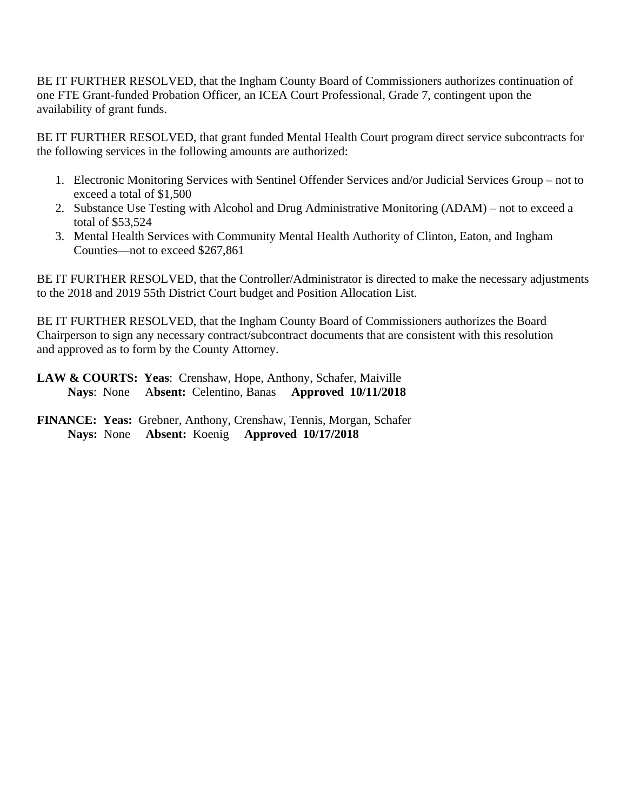BE IT FURTHER RESOLVED, that the Ingham County Board of Commissioners authorizes continuation of one FTE Grant-funded Probation Officer, an ICEA Court Professional, Grade 7, contingent upon the availability of grant funds.

BE IT FURTHER RESOLVED, that grant funded Mental Health Court program direct service subcontracts for the following services in the following amounts are authorized:

- 1. Electronic Monitoring Services with Sentinel Offender Services and/or Judicial Services Group not to exceed a total of \$1,500
- 2. Substance Use Testing with Alcohol and Drug Administrative Monitoring (ADAM) not to exceed a total of \$53,524
- 3. Mental Health Services with Community Mental Health Authority of Clinton, Eaton, and Ingham Counties—not to exceed \$267,861

BE IT FURTHER RESOLVED, that the Controller/Administrator is directed to make the necessary adjustments to the 2018 and 2019 55th District Court budget and Position Allocation List.

BE IT FURTHER RESOLVED, that the Ingham County Board of Commissioners authorizes the Board Chairperson to sign any necessary contract/subcontract documents that are consistent with this resolution and approved as to form by the County Attorney.

**LAW & COURTS: Yeas**: Crenshaw, Hope, Anthony, Schafer, Maiville  **Nays**: None A**bsent:** Celentino, Banas **Approved 10/11/2018**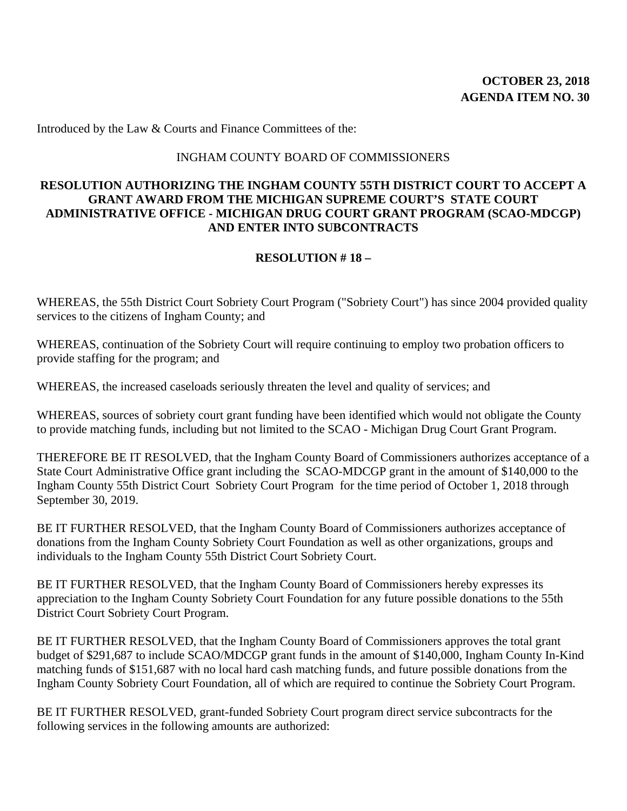Introduced by the Law & Courts and Finance Committees of the:

#### INGHAM COUNTY BOARD OF COMMISSIONERS

### **RESOLUTION AUTHORIZING THE INGHAM COUNTY 55TH DISTRICT COURT TO ACCEPT A GRANT AWARD FROM THE MICHIGAN SUPREME COURT'S STATE COURT ADMINISTRATIVE OFFICE - MICHIGAN DRUG COURT GRANT PROGRAM (SCAO-MDCGP) AND ENTER INTO SUBCONTRACTS**

#### **RESOLUTION # 18 –**

WHEREAS, the 55th District Court Sobriety Court Program ("Sobriety Court") has since 2004 provided quality services to the citizens of Ingham County; and

WHEREAS, continuation of the Sobriety Court will require continuing to employ two probation officers to provide staffing for the program; and

WHEREAS, the increased caseloads seriously threaten the level and quality of services; and

WHEREAS, sources of sobriety court grant funding have been identified which would not obligate the County to provide matching funds, including but not limited to the SCAO - Michigan Drug Court Grant Program.

THEREFORE BE IT RESOLVED, that the Ingham County Board of Commissioners authorizes acceptance of a State Court Administrative Office grant including the SCAO-MDCGP grant in the amount of \$140,000 to the Ingham County 55th District Court Sobriety Court Program for the time period of October 1, 2018 through September 30, 2019.

BE IT FURTHER RESOLVED, that the Ingham County Board of Commissioners authorizes acceptance of donations from the Ingham County Sobriety Court Foundation as well as other organizations, groups and individuals to the Ingham County 55th District Court Sobriety Court.

BE IT FURTHER RESOLVED, that the Ingham County Board of Commissioners hereby expresses its appreciation to the Ingham County Sobriety Court Foundation for any future possible donations to the 55th District Court Sobriety Court Program.

BE IT FURTHER RESOLVED, that the Ingham County Board of Commissioners approves the total grant budget of \$291,687 to include SCAO/MDCGP grant funds in the amount of \$140,000, Ingham County In-Kind matching funds of \$151,687 with no local hard cash matching funds, and future possible donations from the Ingham County Sobriety Court Foundation, all of which are required to continue the Sobriety Court Program.

BE IT FURTHER RESOLVED, grant-funded Sobriety Court program direct service subcontracts for the following services in the following amounts are authorized: